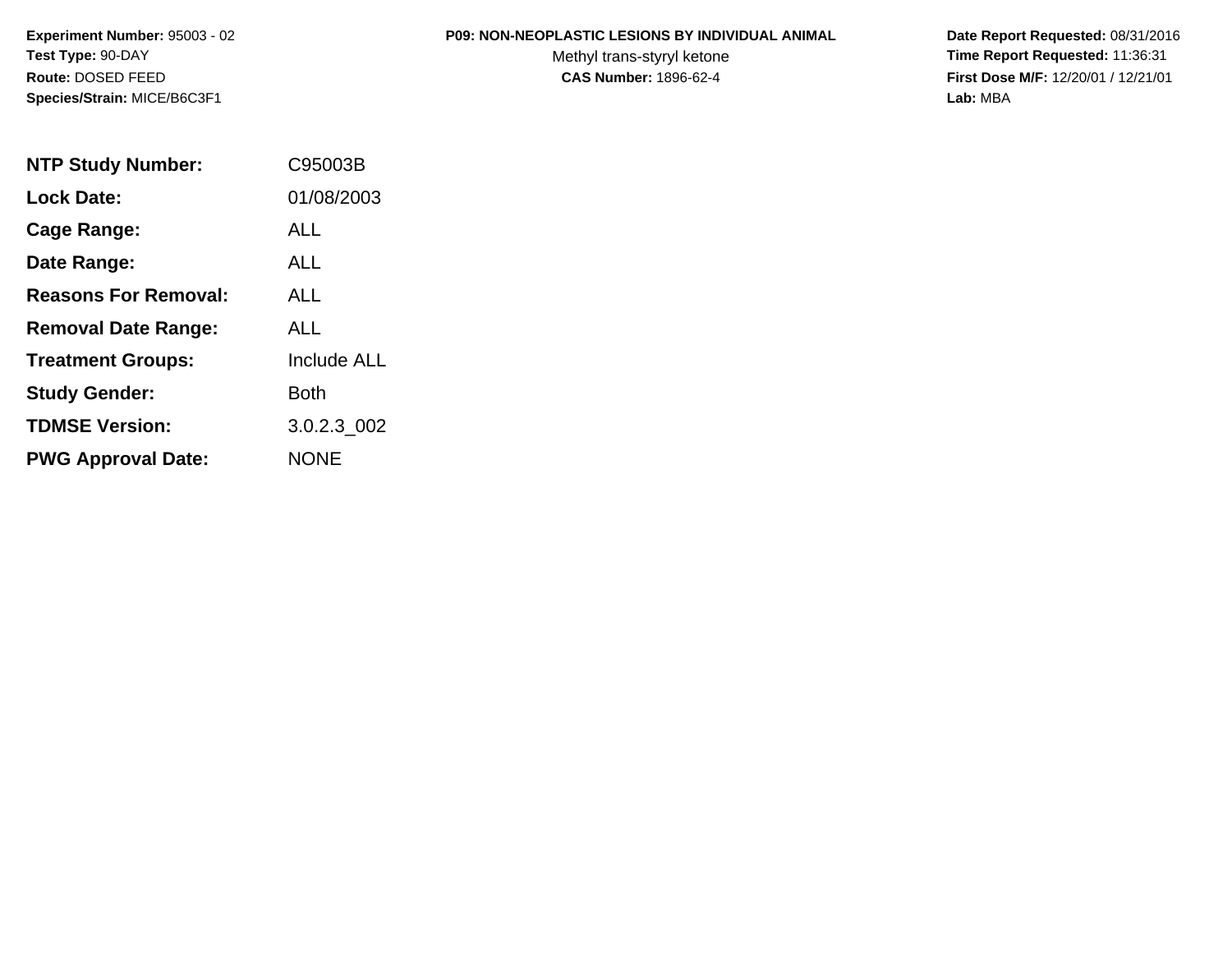#### **P09: NON-NEOPLASTIC LESIONS BY INDIVIDUAL ANIMAL**

Methyl trans-styryl ketone<br>CAS Number: 1896-62-4

| <b>NTP Study Number:</b>    | C95003B            |
|-----------------------------|--------------------|
| <b>Lock Date:</b>           | 01/08/2003         |
| <b>Cage Range:</b>          | ALL                |
| Date Range:                 | ALL                |
| <b>Reasons For Removal:</b> | ALL.               |
| <b>Removal Date Range:</b>  | ALL                |
| <b>Treatment Groups:</b>    | <b>Include ALL</b> |
| <b>Study Gender:</b>        | Both               |
| <b>TDMSE Version:</b>       | 3.0.2.3 002        |
| <b>PWG Approval Date:</b>   | <b>NONE</b>        |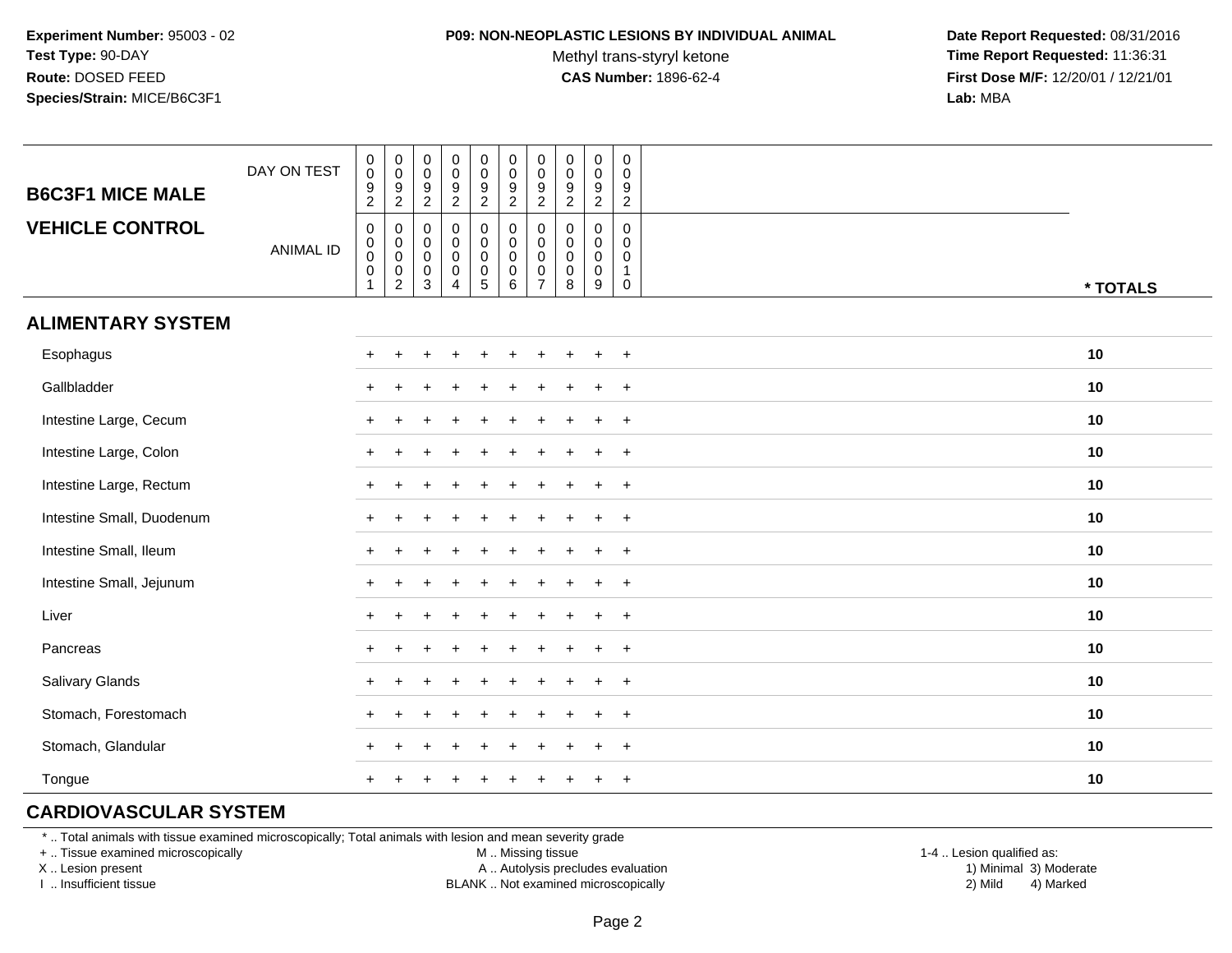#### **P09: NON-NEOPLASTIC LESIONS BY INDIVIDUAL ANIMAL**

Methyl trans-styryl ketone<br>CAS Number: 1896-62-4

 **Date Report Requested:** 08/31/2016 **Time Report Requested:** 11:36:31 **First Dose M/F:** 12/20/01 / 12/21/01<br>**Lab:** MBA **Lab:** MBA

| <b>B6C3F1 MICE MALE</b>   | DAY ON TEST      | $\begin{smallmatrix} 0\\0 \end{smallmatrix}$<br>$\frac{9}{2}$                           | $_{\rm 0}^{\rm 0}$<br>$\frac{9}{2}$                    | $\mathbf 0$<br>$\mathbf 0$<br>$\frac{9}{2}$                                              | $\begin{smallmatrix} 0\\0 \end{smallmatrix}$<br>$\frac{9}{2}$                    | $\begin{smallmatrix} 0\\0 \end{smallmatrix}$<br>$\frac{9}{2}$  | $\begin{smallmatrix} 0\\0 \end{smallmatrix}$<br>$\frac{9}{2}$                         | $\begin{smallmatrix}0\\0\end{smallmatrix}$<br>$\frac{9}{2}$                | $\mathbf 0$<br>$\mathbf 0$<br>$\frac{9}{2}$ | $\begin{smallmatrix} 0\\0 \end{smallmatrix}$<br>$\frac{9}{2}$ | 0<br>0<br>9<br>$\overline{c}$                               |          |
|---------------------------|------------------|-----------------------------------------------------------------------------------------|--------------------------------------------------------|------------------------------------------------------------------------------------------|----------------------------------------------------------------------------------|----------------------------------------------------------------|---------------------------------------------------------------------------------------|----------------------------------------------------------------------------|---------------------------------------------|---------------------------------------------------------------|-------------------------------------------------------------|----------|
| <b>VEHICLE CONTROL</b>    | <b>ANIMAL ID</b> | $\mathsf{O}\xspace$<br>$\begin{smallmatrix}0\\0\\0\\0\end{smallmatrix}$<br>$\mathbf{1}$ | 0<br>$_{\rm 0}^{\rm 0}$<br>$\pmb{0}$<br>$\overline{2}$ | $\mathbf 0$<br>$\begin{smallmatrix} 0\\0 \end{smallmatrix}$<br>$\,0\,$<br>$\overline{3}$ | $\mathbf 0$<br>$\pmb{0}$<br>$\mathsf{O}\xspace$<br>$\mathsf 0$<br>$\overline{4}$ | 0<br>$\mathbf 0$<br>$\mathsf 0$<br>$\pmb{0}$<br>$\overline{5}$ | $\boldsymbol{0}$<br>$\mathsf{O}\xspace$<br>$\overline{0}$ <sub>0</sub><br>$6^{\circ}$ | $\mathbf 0$<br>$\mathbf 0$<br>$\mathbf 0$<br>$\mathbf 0$<br>$\overline{7}$ | $\mathbf 0$<br>0<br>0<br>$\mathbf 0$<br>8   | $\mathbf 0$<br>$\mathbf 0$<br>$\mathbf 0$<br>$\mathbf 0$<br>9 | $\mathbf 0$<br>$\Omega$<br>0<br>$\mathbf{1}$<br>$\mathbf 0$ | * TOTALS |
| <b>ALIMENTARY SYSTEM</b>  |                  |                                                                                         |                                                        |                                                                                          |                                                                                  |                                                                |                                                                                       |                                                                            |                                             |                                                               |                                                             |          |
| Esophagus                 |                  | $+$                                                                                     | $\div$                                                 |                                                                                          |                                                                                  | $\div$                                                         |                                                                                       |                                                                            |                                             |                                                               | $+$                                                         | 10       |
| Gallbladder               |                  | $+$                                                                                     | $\ddot{}$                                              |                                                                                          |                                                                                  |                                                                |                                                                                       |                                                                            |                                             | $\ddot{}$                                                     | $+$                                                         | 10       |
| Intestine Large, Cecum    |                  | $\ddot{}$                                                                               |                                                        |                                                                                          |                                                                                  |                                                                |                                                                                       |                                                                            |                                             |                                                               | $+$                                                         | 10       |
| Intestine Large, Colon    |                  | $+$                                                                                     |                                                        |                                                                                          |                                                                                  |                                                                |                                                                                       |                                                                            |                                             |                                                               | $+$                                                         | 10       |
| Intestine Large, Rectum   |                  |                                                                                         |                                                        |                                                                                          |                                                                                  |                                                                |                                                                                       |                                                                            |                                             |                                                               | $+$                                                         | 10       |
| Intestine Small, Duodenum |                  |                                                                                         |                                                        |                                                                                          |                                                                                  |                                                                |                                                                                       | ÷.                                                                         |                                             |                                                               | $+$                                                         | 10       |
| Intestine Small, Ileum    |                  | $+$                                                                                     |                                                        |                                                                                          |                                                                                  |                                                                |                                                                                       | ÷.                                                                         |                                             | $\pm$                                                         | $+$                                                         | 10       |
| Intestine Small, Jejunum  |                  | $+$                                                                                     |                                                        |                                                                                          |                                                                                  |                                                                |                                                                                       | $\div$                                                                     |                                             | $\div$                                                        | $+$                                                         | 10       |
| Liver                     |                  | $+$                                                                                     | $\ddot{}$                                              |                                                                                          |                                                                                  |                                                                |                                                                                       |                                                                            |                                             | $\div$                                                        | $+$                                                         | 10       |
| Pancreas                  |                  | $+$                                                                                     | $\div$                                                 |                                                                                          |                                                                                  |                                                                |                                                                                       |                                                                            |                                             |                                                               | $+$                                                         | 10       |
| Salivary Glands           |                  |                                                                                         |                                                        |                                                                                          |                                                                                  |                                                                |                                                                                       |                                                                            |                                             |                                                               | $+$                                                         | 10       |
| Stomach, Forestomach      |                  | $+$                                                                                     |                                                        |                                                                                          |                                                                                  |                                                                |                                                                                       |                                                                            |                                             |                                                               | $\ddot{}$                                                   | 10       |
| Stomach, Glandular        |                  |                                                                                         |                                                        |                                                                                          |                                                                                  |                                                                |                                                                                       |                                                                            |                                             |                                                               | $+$                                                         | 10       |
| Tongue                    |                  | $+$                                                                                     |                                                        |                                                                                          |                                                                                  | $\div$                                                         |                                                                                       | $\pm$                                                                      |                                             | $\ddot{}$                                                     | $+$                                                         | 10       |

# **CARDIOVASCULAR SYSTEM**

\* .. Total animals with tissue examined microscopically; Total animals with lesion and mean severity grade

+ .. Tissue examined microscopically

X .. Lesion present

I .. Insufficient tissue

M .. Missing tissue

A .. Autolysis precludes evaluation

BLANK .. Not examined microscopically 2) Mild 4) Marked

1-4 .. Lesion qualified as: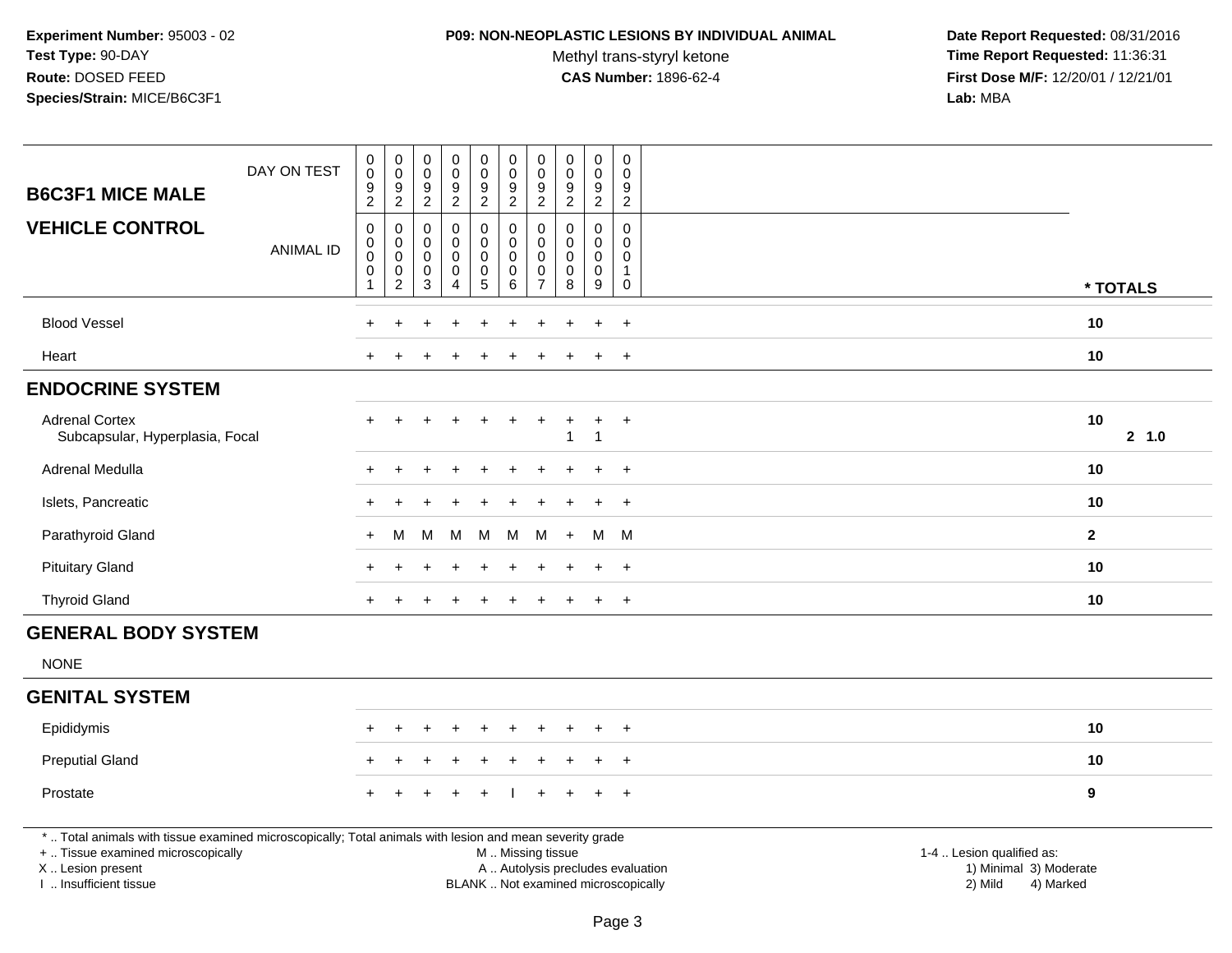#### **P09: NON-NEOPLASTIC LESIONS BY INDIVIDUAL ANIMAL**

Methyl trans-styryl ketone<br>CAS Number: 1896-62-4

| <b>B6C3F1 MICE MALE</b>                                                                                                                                                                       | DAY ON TEST      | $\pmb{0}$<br>$\mathbf 0$<br>$\boldsymbol{9}$                                       | $\pmb{0}$<br>$\mathbf 0$<br>$\boldsymbol{9}$                 | $_{\rm 0}^{\rm 0}$<br>$\boldsymbol{9}$                              | $\pmb{0}$<br>$\bar{0}$<br>$\boldsymbol{9}$                             | $\boldsymbol{0}$<br>$\mathsf{O}\xspace$<br>$\frac{9}{2}$            | $\pmb{0}$<br>$\ddot{\mathbf{0}}$<br>$\boldsymbol{9}$        | $\pmb{0}$<br>$\mathbf 0$<br>$\boldsymbol{9}$                            | $\pmb{0}$<br>$\mathbf 0$<br>$\boldsymbol{9}$             | $\pmb{0}$<br>$\pmb{0}$<br>$\boldsymbol{9}$ | $\pmb{0}$<br>$\Omega$<br>9                                 |                                                                                                                                                         |          |
|-----------------------------------------------------------------------------------------------------------------------------------------------------------------------------------------------|------------------|------------------------------------------------------------------------------------|--------------------------------------------------------------|---------------------------------------------------------------------|------------------------------------------------------------------------|---------------------------------------------------------------------|-------------------------------------------------------------|-------------------------------------------------------------------------|----------------------------------------------------------|--------------------------------------------|------------------------------------------------------------|---------------------------------------------------------------------------------------------------------------------------------------------------------|----------|
|                                                                                                                                                                                               |                  | 2                                                                                  | $\overline{2}$                                               | $\overline{2}$                                                      | $\overline{2}$                                                         |                                                                     | $\overline{2}$                                              | $\overline{2}$                                                          | $\overline{c}$                                           | $\overline{2}$                             | $\overline{2}$                                             |                                                                                                                                                         |          |
| <b>VEHICLE CONTROL</b>                                                                                                                                                                        | <b>ANIMAL ID</b> | $\boldsymbol{0}$<br>$\mathbf 0$<br>$\mathbf 0$<br>$\boldsymbol{0}$<br>$\mathbf{1}$ | 0<br>$\pmb{0}$<br>$\pmb{0}$<br>$\mathsf 0$<br>$\overline{c}$ | 0<br>$\mathbf 0$<br>$\mathsf{O}\xspace$<br>$\mathsf{O}\xspace$<br>3 | $\mathbf 0$<br>$\pmb{0}$<br>$\mathsf 0$<br>$\pmb{0}$<br>$\overline{4}$ | 0<br>$\mathsf{O}\xspace$<br>$\mathbf 0$<br>$\mathsf{O}\xspace$<br>5 | $\mathbf 0$<br>$\pmb{0}$<br>$\mathbf 0$<br>$\mathbf 0$<br>6 | $\mathbf 0$<br>$\Omega$<br>$\mathbf 0$<br>$\mathbf 0$<br>$\overline{7}$ | $\mathbf 0$<br>$\Omega$<br>$\mathbf 0$<br>$\pmb{0}$<br>8 | 0<br>0<br>0<br>$\pmb{0}$<br>9              | $\mathbf 0$<br>$\Omega$<br>$\Omega$<br>$\overline{1}$<br>0 |                                                                                                                                                         | * TOTALS |
|                                                                                                                                                                                               |                  |                                                                                    |                                                              |                                                                     |                                                                        |                                                                     |                                                             |                                                                         |                                                          |                                            |                                                            |                                                                                                                                                         |          |
| <b>Blood Vessel</b>                                                                                                                                                                           |                  |                                                                                    |                                                              |                                                                     |                                                                        |                                                                     |                                                             |                                                                         |                                                          | ÷.                                         | $+$                                                        | 10                                                                                                                                                      |          |
| Heart                                                                                                                                                                                         |                  |                                                                                    |                                                              |                                                                     |                                                                        |                                                                     |                                                             |                                                                         |                                                          | $\overline{ }$                             | $\overline{+}$                                             | 10                                                                                                                                                      |          |
| <b>ENDOCRINE SYSTEM</b>                                                                                                                                                                       |                  |                                                                                    |                                                              |                                                                     |                                                                        |                                                                     |                                                             |                                                                         |                                                          |                                            |                                                            |                                                                                                                                                         |          |
| <b>Adrenal Cortex</b><br>Subcapsular, Hyperplasia, Focal                                                                                                                                      |                  |                                                                                    |                                                              |                                                                     |                                                                        |                                                                     |                                                             | $\ddot{}$                                                               | 1                                                        | $\ddot{}$<br>$\mathbf{1}$                  | $\ddot{}$                                                  | 10                                                                                                                                                      | 2, 1.0   |
| Adrenal Medulla                                                                                                                                                                               |                  |                                                                                    |                                                              |                                                                     |                                                                        |                                                                     |                                                             |                                                                         |                                                          |                                            | $\ddot{}$                                                  | 10                                                                                                                                                      |          |
| Islets, Pancreatic                                                                                                                                                                            |                  |                                                                                    |                                                              |                                                                     |                                                                        |                                                                     |                                                             |                                                                         |                                                          |                                            | $\overline{+}$                                             | 10                                                                                                                                                      |          |
| Parathyroid Gland                                                                                                                                                                             |                  | $+$                                                                                | M                                                            | м                                                                   | M                                                                      | M                                                                   | M                                                           | м                                                                       | $+$                                                      | M                                          | M                                                          | $\overline{2}$                                                                                                                                          |          |
| <b>Pituitary Gland</b>                                                                                                                                                                        |                  |                                                                                    |                                                              |                                                                     |                                                                        |                                                                     |                                                             |                                                                         |                                                          |                                            | $\overline{ }$                                             | 10                                                                                                                                                      |          |
| <b>Thyroid Gland</b>                                                                                                                                                                          |                  | +                                                                                  |                                                              |                                                                     |                                                                        |                                                                     |                                                             |                                                                         |                                                          | $\overline{+}$                             | $+$                                                        | 10                                                                                                                                                      |          |
| <b>GENERAL BODY SYSTEM</b>                                                                                                                                                                    |                  |                                                                                    |                                                              |                                                                     |                                                                        |                                                                     |                                                             |                                                                         |                                                          |                                            |                                                            |                                                                                                                                                         |          |
| <b>NONE</b>                                                                                                                                                                                   |                  |                                                                                    |                                                              |                                                                     |                                                                        |                                                                     |                                                             |                                                                         |                                                          |                                            |                                                            |                                                                                                                                                         |          |
| <b>GENITAL SYSTEM</b>                                                                                                                                                                         |                  |                                                                                    |                                                              |                                                                     |                                                                        |                                                                     |                                                             |                                                                         |                                                          |                                            |                                                            |                                                                                                                                                         |          |
| Epididymis                                                                                                                                                                                    |                  |                                                                                    |                                                              |                                                                     |                                                                        |                                                                     |                                                             |                                                                         |                                                          |                                            | $\overline{ }$                                             | 10                                                                                                                                                      |          |
| <b>Preputial Gland</b>                                                                                                                                                                        |                  |                                                                                    |                                                              |                                                                     |                                                                        |                                                                     |                                                             |                                                                         |                                                          |                                            | $\overline{+}$                                             | 10                                                                                                                                                      |          |
| Prostate                                                                                                                                                                                      |                  |                                                                                    |                                                              |                                                                     |                                                                        |                                                                     |                                                             |                                                                         |                                                          | $\ddot{}$                                  | $\ddot{}$                                                  | 9                                                                                                                                                       |          |
| *  Total animals with tissue examined microscopically; Total animals with lesion and mean severity grade<br>+  Tissue examined microscopically<br>X  Lesion present<br>I  Insufficient tissue |                  |                                                                                    |                                                              |                                                                     |                                                                        |                                                                     | M  Missing tissue                                           |                                                                         |                                                          |                                            |                                                            | 1-4  Lesion qualified as:<br>A  Autolysis precludes evaluation<br>1) Minimal 3) Moderate<br>BLANK  Not examined microscopically<br>2) Mild<br>4) Marked |          |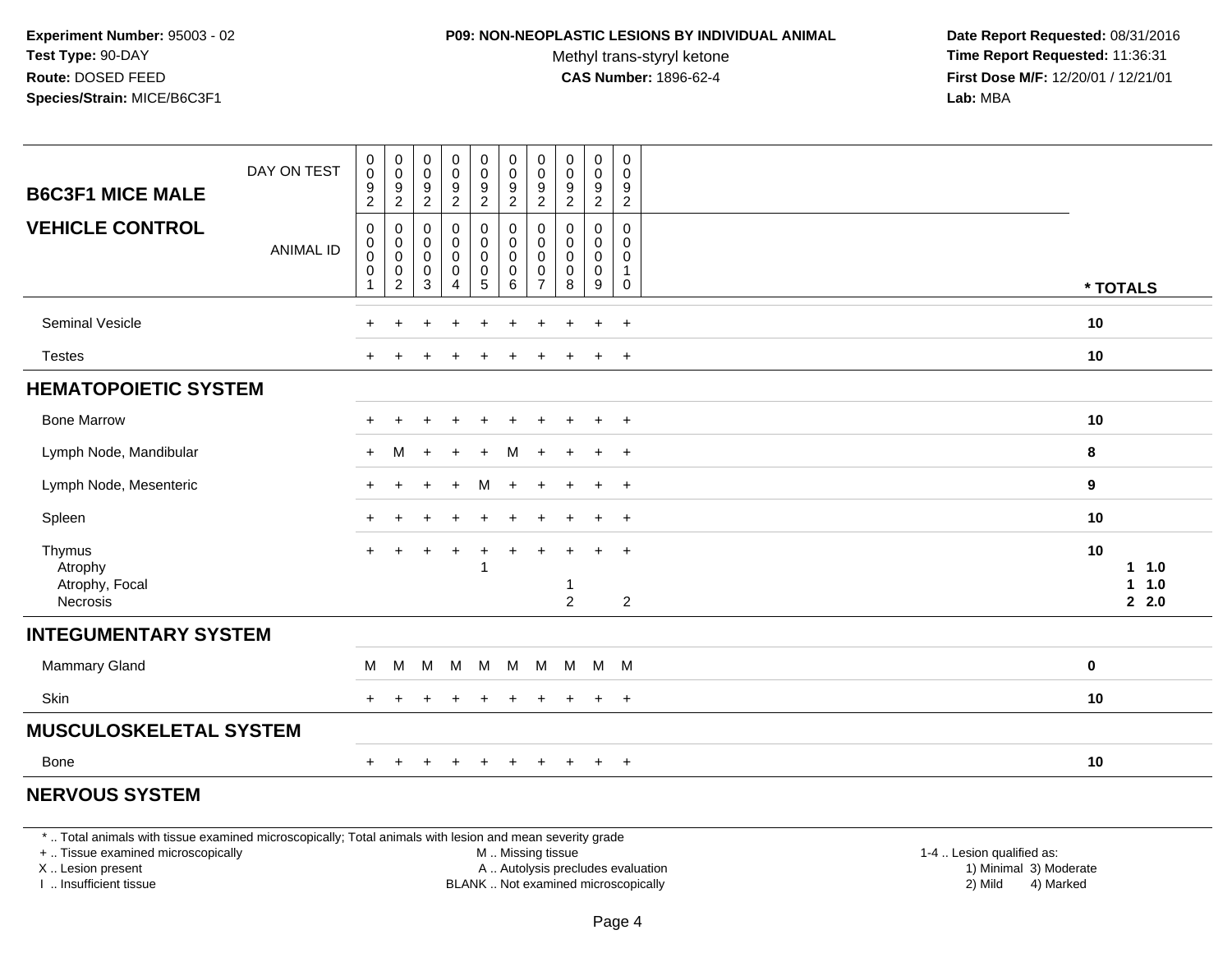#### **P09: NON-NEOPLASTIC LESIONS BY INDIVIDUAL ANIMAL**

Methyl trans-styryl ketone<br>CAS Number: 1896-62-4

 **Date Report Requested:** 08/31/2016 **Time Report Requested:** 11:36:31 **First Dose M/F:** 12/20/01 / 12/21/01<br>**Lab:** MBA **Lab:** MBA

| <b>B6C3F1 MICE MALE</b>                         | DAY ON TEST      | $\pmb{0}$<br>$\overline{0}$<br>9<br>2                              | 0<br>$\mathbf 0$<br>9<br>$\overline{2}$                   | $_{\rm 0}^{\rm 0}$<br>$\frac{9}{2}$        | $_0^0$<br>$\frac{9}{2}$                           | $\begin{smallmatrix}0\0\0\end{smallmatrix}$<br>9<br>$\overline{2}$ | $_{\rm 0}^{\rm 0}$<br>$\frac{9}{2}$                               | $\pmb{0}$<br>$\mathbf 0$<br>9<br>$\overline{2}$        | $\pmb{0}$<br>$\pmb{0}$<br>9<br>$\overline{2}$               | $\mathbf 0$<br>$\mathbf 0$<br>9<br>$\overline{2}$       | 0<br>$\pmb{0}$<br>9<br>$\overline{2}$                |                    |                         |
|-------------------------------------------------|------------------|--------------------------------------------------------------------|-----------------------------------------------------------|--------------------------------------------|---------------------------------------------------|--------------------------------------------------------------------|-------------------------------------------------------------------|--------------------------------------------------------|-------------------------------------------------------------|---------------------------------------------------------|------------------------------------------------------|--------------------|-------------------------|
| <b>VEHICLE CONTROL</b>                          | <b>ANIMAL ID</b> | $\pmb{0}$<br>$\mathbf 0$<br>$\pmb{0}$<br>$\pmb{0}$<br>$\mathbf{1}$ | 0<br>0<br>$\boldsymbol{0}$<br>$\pmb{0}$<br>$\overline{c}$ | 0<br>0<br>$\overline{0}$<br>$\pmb{0}$<br>3 | $\pmb{0}$<br>$_{\rm 0}^{\rm 0}$<br>$\pmb{0}$<br>4 | 0<br>0<br>0<br>$\begin{matrix}0\\5\end{matrix}$                    | $\mathbf 0$<br>$\mathbf 0$<br>$\mathbf 0$<br>$\pmb{0}$<br>$\,6\,$ | 0<br>$\mathbf 0$<br>$\mathbf 0$<br>0<br>$\overline{7}$ | $\mathbf 0$<br>$\mathbf 0$<br>$\mathbf 0$<br>$\pmb{0}$<br>8 | $\mathbf 0$<br>$\mathbf 0$<br>0<br>$\mathbf 0$<br>$9\,$ | $\mathbf 0$<br>0<br>$\mathbf 0$<br>$\mathbf{1}$<br>0 | * TOTALS           |                         |
| Seminal Vesicle                                 |                  |                                                                    |                                                           |                                            | $\ddot{}$                                         | +                                                                  | $\ddot{}$                                                         | +                                                      | ÷                                                           | $\ddot{}$                                               | $+$                                                  | 10                 |                         |
| <b>Testes</b>                                   |                  | $+$                                                                |                                                           |                                            |                                                   |                                                                    |                                                                   | ÷                                                      |                                                             | $\ddot{+}$                                              | $+$                                                  | 10                 |                         |
| <b>HEMATOPOIETIC SYSTEM</b>                     |                  |                                                                    |                                                           |                                            |                                                   |                                                                    |                                                                   |                                                        |                                                             |                                                         |                                                      |                    |                         |
| <b>Bone Marrow</b>                              |                  |                                                                    |                                                           |                                            |                                                   |                                                                    |                                                                   |                                                        |                                                             |                                                         | $\ddot{}$                                            | 10                 |                         |
| Lymph Node, Mandibular                          |                  | $\pm$                                                              | M                                                         | $\div$                                     | $+$                                               | $+$                                                                | м                                                                 | $\ddot{}$                                              |                                                             | $\ddot{}$                                               | $+$                                                  | 8                  |                         |
| Lymph Node, Mesenteric                          |                  | $\pm$                                                              |                                                           |                                            | $\overline{+}$                                    | м                                                                  | $\pm$                                                             | +                                                      | $\ddot{}$                                                   | $+$                                                     | $+$                                                  | 9                  |                         |
| Spleen                                          |                  | $\pm$                                                              |                                                           |                                            |                                                   | ÷                                                                  |                                                                   |                                                        |                                                             | $\ddot{}$                                               | $+$                                                  | 10                 |                         |
| Thymus<br>Atrophy<br>Atrophy, Focal<br>Necrosis |                  | $+$                                                                |                                                           |                                            | $\ddot{}$                                         | $+$                                                                | $+$                                                               | $+$                                                    | -1<br>$\overline{2}$                                        | $\ddot{}$                                               | $+$<br>$\overline{2}$                                | 10<br>$\mathbf{1}$ | $1 \t1.0$<br>1.0<br>2.0 |
| <b>INTEGUMENTARY SYSTEM</b>                     |                  |                                                                    |                                                           |                                            |                                                   |                                                                    |                                                                   |                                                        |                                                             |                                                         |                                                      |                    |                         |
| Mammary Gland                                   |                  | M                                                                  | M                                                         | M                                          | M                                                 | M                                                                  | M                                                                 | M                                                      | M                                                           |                                                         | M M                                                  | 0                  |                         |
| Skin                                            |                  | $\pm$                                                              | $\pm$                                                     |                                            | $\pm$                                             | $\ddot{}$                                                          | $\pm$                                                             | $\ddot{}$                                              | $\pm$                                                       | $\ddot{}$                                               | $+$                                                  | 10                 |                         |
| <b>MUSCULOSKELETAL SYSTEM</b>                   |                  |                                                                    |                                                           |                                            |                                                   |                                                                    |                                                                   |                                                        |                                                             |                                                         |                                                      |                    |                         |
| Bone                                            |                  | $+$                                                                | $\overline{+}$                                            | $\ddot{}$                                  | $+$                                               | $+$                                                                | $+$                                                               | $+$                                                    | $+$                                                         | $+$                                                     | $+$                                                  | 10                 |                         |
| <b>NERVOUS SYSTEM</b>                           |                  |                                                                    |                                                           |                                            |                                                   |                                                                    |                                                                   |                                                        |                                                             |                                                         |                                                      |                    |                         |

\* .. Total animals with tissue examined microscopically; Total animals with lesion and mean severity grade

+ .. Tissue examined microscopically

X .. Lesion present

I .. Insufficient tissue

M .. Missing tissue

Lesion present A .. Autolysis precludes evaluation 1) Minimal 3) Moderate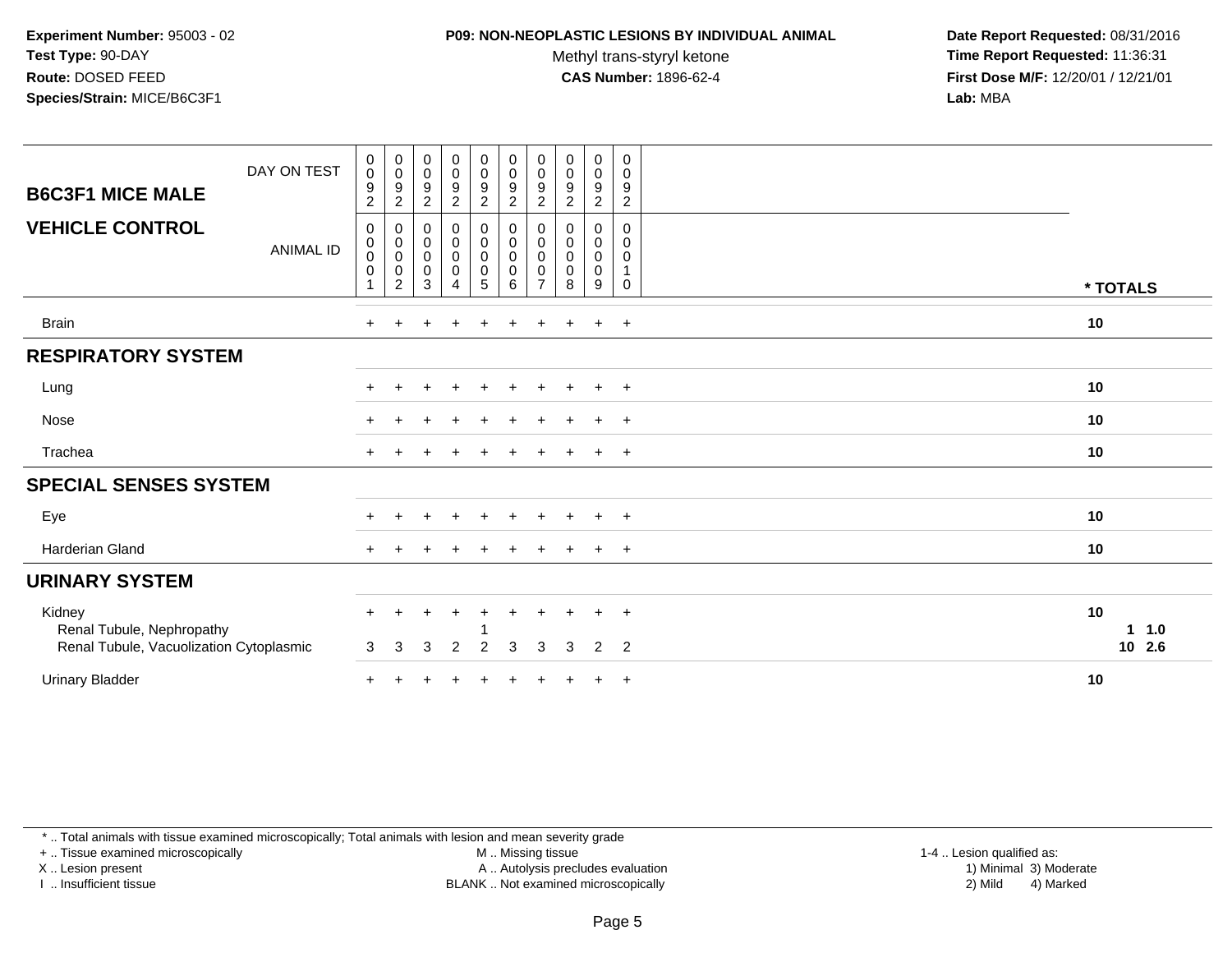#### **P09: NON-NEOPLASTIC LESIONS BY INDIVIDUAL ANIMAL**

Methyl trans-styryl ketone<br>CAS Number: 1896-62-4

 **Date Report Requested:** 08/31/2016 **Time Report Requested:** 11:36:31 **First Dose M/F:** 12/20/01 / 12/21/01<br>**Lab:** MBA **Lab:** MBA

| <b>B6C3F1 MICE MALE</b>                                                        | DAY ON TEST      | $\pmb{0}$<br>$\pmb{0}$<br>$\boldsymbol{9}$<br>$\overline{c}$ | $\begin{smallmatrix}0\\0\\9\end{smallmatrix}$<br>$\sqrt{2}$                | $\begin{smallmatrix} 0\\0 \end{smallmatrix}$<br>$\boldsymbol{9}$<br>$\sqrt{2}$ | $\mathbf 0$<br>$\mathsf{O}$<br>9<br>$\overline{c}$                | $\begin{smallmatrix} 0\\0 \end{smallmatrix}$<br>$\boldsymbol{9}$<br>$\overline{c}$ | $\begin{smallmatrix}0\0\0\9\end{smallmatrix}$<br>$\overline{c}$         | $\mathbf 0$<br>$\mathbf 0$<br>9<br>$\overline{2}$ | $\pmb{0}$<br>$\pmb{0}$<br>$\boldsymbol{9}$<br>$\overline{c}$ | 0<br>$\mathbf 0$<br>$\boldsymbol{9}$<br>$\overline{c}$ | 0<br>0<br>9<br>$\overline{c}$              |                          |
|--------------------------------------------------------------------------------|------------------|--------------------------------------------------------------|----------------------------------------------------------------------------|--------------------------------------------------------------------------------|-------------------------------------------------------------------|------------------------------------------------------------------------------------|-------------------------------------------------------------------------|---------------------------------------------------|--------------------------------------------------------------|--------------------------------------------------------|--------------------------------------------|--------------------------|
| <b>VEHICLE CONTROL</b>                                                         | <b>ANIMAL ID</b> | 0<br>$\boldsymbol{0}$<br>$\pmb{0}$<br>$\pmb{0}$              | $\mathbf 0$<br>$\overset{0}{\phantom{0}}\!\!\!$<br>$\pmb{0}$<br>$\sqrt{2}$ | 0<br>$\pmb{0}$<br>$\pmb{0}$<br>$\pmb{0}$<br>$\mathbf{3}$                       | 0<br>$\pmb{0}$<br>$\pmb{0}$<br>$\boldsymbol{0}$<br>$\overline{4}$ | 0<br>$\mathbf 0$<br>$\pmb{0}$<br>$\boldsymbol{0}$<br>5                             | $\mathbf 0$<br>$\ddot{\mathbf{0}}$<br>$\pmb{0}$<br>$\pmb{0}$<br>$\,6\,$ | 0<br>$\mathbf 0$<br>0<br>0<br>$\overline{7}$      | 0<br>$\pmb{0}$<br>$\pmb{0}$<br>0<br>8                        | 0<br>$\mathbf 0$<br>0<br>$\mathbf 0$<br>9              | 0<br>$\mathbf 0$<br>0<br>$\mathbf{1}$<br>0 | * TOTALS                 |
| <b>Brain</b>                                                                   |                  | $\ddot{}$                                                    |                                                                            |                                                                                |                                                                   | $\pm$                                                                              | $\pm$                                                                   |                                                   |                                                              | $\pm$                                                  | $+$                                        | 10                       |
| <b>RESPIRATORY SYSTEM</b>                                                      |                  |                                                              |                                                                            |                                                                                |                                                                   |                                                                                    |                                                                         |                                                   |                                                              |                                                        |                                            |                          |
| Lung                                                                           |                  | $+$                                                          |                                                                            |                                                                                |                                                                   | $\pm$                                                                              |                                                                         |                                                   |                                                              | $\ddot{}$                                              | $+$                                        | 10                       |
| Nose                                                                           |                  | $\pm$                                                        |                                                                            |                                                                                |                                                                   |                                                                                    |                                                                         |                                                   |                                                              | $\ddot{}$                                              | $+$                                        | 10                       |
| Trachea                                                                        |                  | $+$                                                          |                                                                            |                                                                                |                                                                   |                                                                                    |                                                                         |                                                   |                                                              | $\ddot{}$                                              | $+$                                        | 10                       |
| <b>SPECIAL SENSES SYSTEM</b>                                                   |                  |                                                              |                                                                            |                                                                                |                                                                   |                                                                                    |                                                                         |                                                   |                                                              |                                                        |                                            |                          |
| Eye                                                                            |                  |                                                              |                                                                            |                                                                                | $\div$                                                            | $\pm$                                                                              | $\div$                                                                  |                                                   |                                                              | $\pm$                                                  | $+$                                        | 10                       |
| <b>Harderian Gland</b>                                                         |                  |                                                              |                                                                            |                                                                                |                                                                   |                                                                                    |                                                                         |                                                   |                                                              |                                                        | $^{+}$                                     | 10                       |
| <b>URINARY SYSTEM</b>                                                          |                  |                                                              |                                                                            |                                                                                |                                                                   |                                                                                    |                                                                         |                                                   |                                                              |                                                        |                                            |                          |
| Kidney<br>Renal Tubule, Nephropathy<br>Renal Tubule, Vacuolization Cytoplasmic |                  | $+$<br>3                                                     | 3                                                                          | ÷<br>3                                                                         | $\ddot{}$<br>$\overline{2}$                                       | $\ddot{}$<br>$\overline{2}$                                                        | $\ddot{}$<br>3                                                          | 3                                                 | $\pm$<br>3                                                   | $\ddot{}$<br>2                                         | $+$<br>$\overline{2}$                      | 10<br>1.0<br>1<br>10 2.6 |
| <b>Urinary Bladder</b>                                                         |                  | $\pm$                                                        |                                                                            |                                                                                |                                                                   |                                                                                    |                                                                         |                                                   |                                                              | $\ddot{}$                                              | $+$                                        | 10                       |

\* .. Total animals with tissue examined microscopically; Total animals with lesion and mean severity grade

+ .. Tissue examined microscopically

X .. Lesion present

I .. Insufficient tissue

M .. Missing tissue

Lesion present A .. Autolysis precludes evaluation 1) Minimal 3) Moderate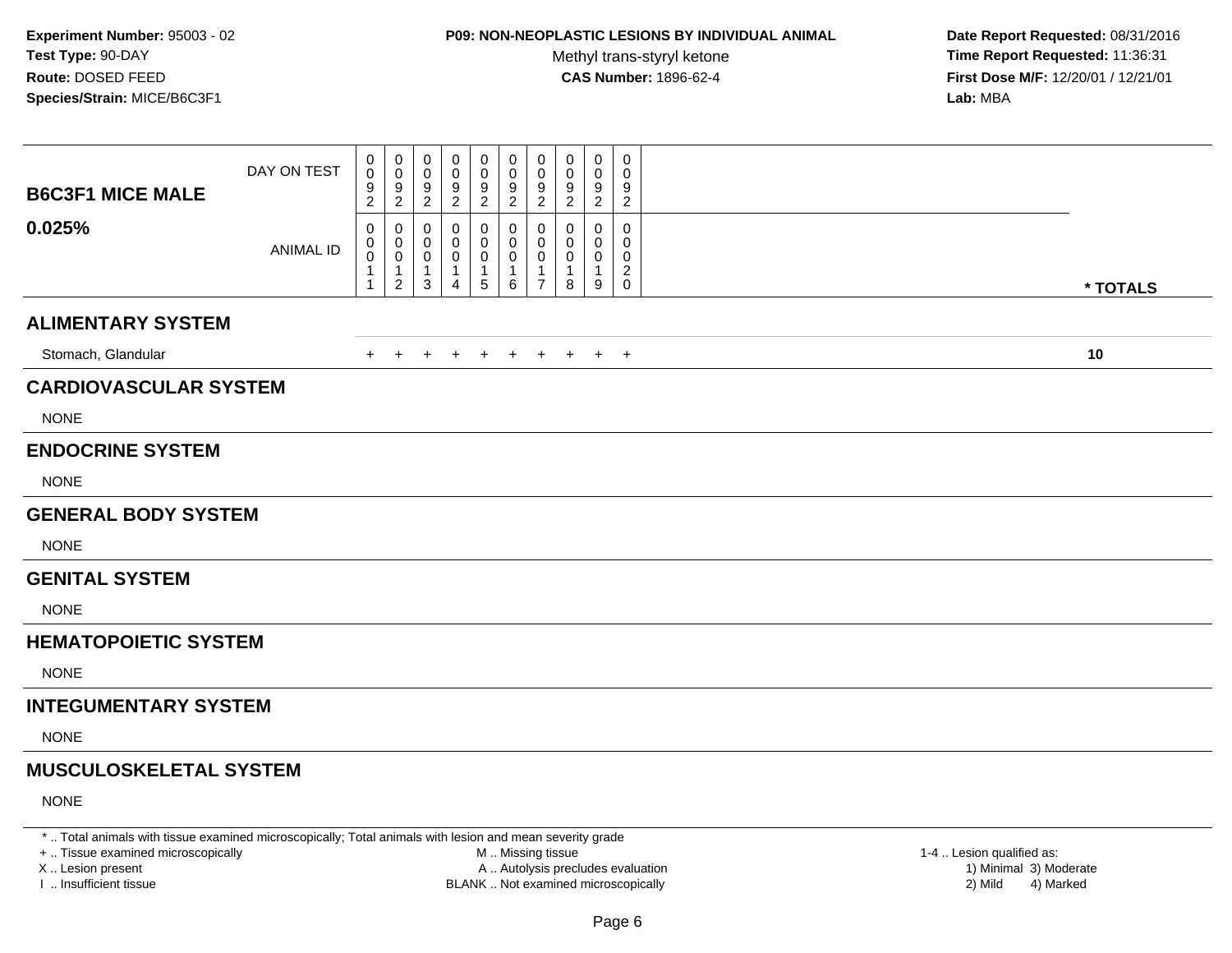# **P09: NON-NEOPLASTIC LESIONS BY INDIVIDUAL ANIMAL**

Methyl trans-styryl ketone<br>CAS Number: 1896-62-4

 **Date Report Requested:** 08/31/2016 **Time Report Requested:** 11:36:31 **First Dose M/F:** 12/20/01 / 12/21/01<br>**Lab:** MBA **Lab:** MBA

| <b>B6C3F1 MICE MALE</b>       | DAY ON TEST      | 0<br>0<br>$\frac{9}{2}$                  | 0<br>$\mathbf 0$<br>$\frac{9}{2}$                       | 0<br>0<br>9<br>$\overline{2}$                       | 0<br>0<br>9<br>$\overline{2}$                   | 0<br>0<br>9<br>$\overline{2}$            | 0<br>0<br>9<br>$\overline{2}$   | 0<br>0<br>9<br>$\overline{c}$                | 0<br>0<br>9<br>$\overline{c}$ | 0<br>0<br>9<br>$\overline{2}$ | $\mathbf 0$<br>0<br>9<br>$\overline{2}$               |          |
|-------------------------------|------------------|------------------------------------------|---------------------------------------------------------|-----------------------------------------------------|-------------------------------------------------|------------------------------------------|---------------------------------|----------------------------------------------|-------------------------------|-------------------------------|-------------------------------------------------------|----------|
| 0.025%                        | <b>ANIMAL ID</b> | 0<br>0<br>$\pmb{0}$<br>1<br>$\mathbf{1}$ | 0<br>0<br>$\mathbf 0$<br>$\mathbf{1}$<br>$\overline{2}$ | 0<br>0<br>$\mathbf 0$<br>$\mathbf{1}$<br>$\sqrt{3}$ | 0<br>0<br>0<br>$\overline{1}$<br>$\overline{4}$ | 0<br>0<br>0<br>$\mathbf 1$<br>$\sqrt{5}$ | 0<br>0<br>$\mathbf 0$<br>1<br>6 | 0<br>$\mathbf 0$<br>0<br>1<br>$\overline{7}$ | 0<br>0<br>0<br>8              | 0<br>$\Omega$<br>0<br>-1<br>9 | 0<br>0<br>0<br>$\overline{\mathbf{c}}$<br>$\mathbf 0$ | * TOTALS |
| <b>ALIMENTARY SYSTEM</b>      |                  |                                          |                                                         |                                                     |                                                 |                                          |                                 |                                              |                               |                               |                                                       |          |
| Stomach, Glandular            |                  | $\ddot{}$                                | $+$                                                     | $\overline{ }$                                      | $\pm$                                           | $+$                                      | $+$                             | $+$                                          | $+$                           |                               | $+$ $+$                                               | 10       |
| <b>CARDIOVASCULAR SYSTEM</b>  |                  |                                          |                                                         |                                                     |                                                 |                                          |                                 |                                              |                               |                               |                                                       |          |
| <b>NONE</b>                   |                  |                                          |                                                         |                                                     |                                                 |                                          |                                 |                                              |                               |                               |                                                       |          |
| <b>ENDOCRINE SYSTEM</b>       |                  |                                          |                                                         |                                                     |                                                 |                                          |                                 |                                              |                               |                               |                                                       |          |
| <b>NONE</b>                   |                  |                                          |                                                         |                                                     |                                                 |                                          |                                 |                                              |                               |                               |                                                       |          |
| <b>GENERAL BODY SYSTEM</b>    |                  |                                          |                                                         |                                                     |                                                 |                                          |                                 |                                              |                               |                               |                                                       |          |
| <b>NONE</b>                   |                  |                                          |                                                         |                                                     |                                                 |                                          |                                 |                                              |                               |                               |                                                       |          |
| <b>GENITAL SYSTEM</b>         |                  |                                          |                                                         |                                                     |                                                 |                                          |                                 |                                              |                               |                               |                                                       |          |
| <b>NONE</b>                   |                  |                                          |                                                         |                                                     |                                                 |                                          |                                 |                                              |                               |                               |                                                       |          |
| <b>HEMATOPOIETIC SYSTEM</b>   |                  |                                          |                                                         |                                                     |                                                 |                                          |                                 |                                              |                               |                               |                                                       |          |
| <b>NONE</b>                   |                  |                                          |                                                         |                                                     |                                                 |                                          |                                 |                                              |                               |                               |                                                       |          |
| <b>INTEGUMENTARY SYSTEM</b>   |                  |                                          |                                                         |                                                     |                                                 |                                          |                                 |                                              |                               |                               |                                                       |          |
| <b>NONE</b>                   |                  |                                          |                                                         |                                                     |                                                 |                                          |                                 |                                              |                               |                               |                                                       |          |
| <b>MUSCULOSKELETAL SYSTEM</b> |                  |                                          |                                                         |                                                     |                                                 |                                          |                                 |                                              |                               |                               |                                                       |          |
| <b>NONE</b>                   |                  |                                          |                                                         |                                                     |                                                 |                                          |                                 |                                              |                               |                               |                                                       |          |

\* .. Total animals with tissue examined microscopically; Total animals with lesion and mean severity grade

+ .. Tissue examined microscopically

X .. Lesion present

I .. Insufficient tissue

 M .. Missing tissueA .. Autolysis precludes evaluation

BLANK .. Not examined microscopically 2) Mild 4) Marked

1-4 .. Lesion qualified as:<br>1) Minimal 3) Moderate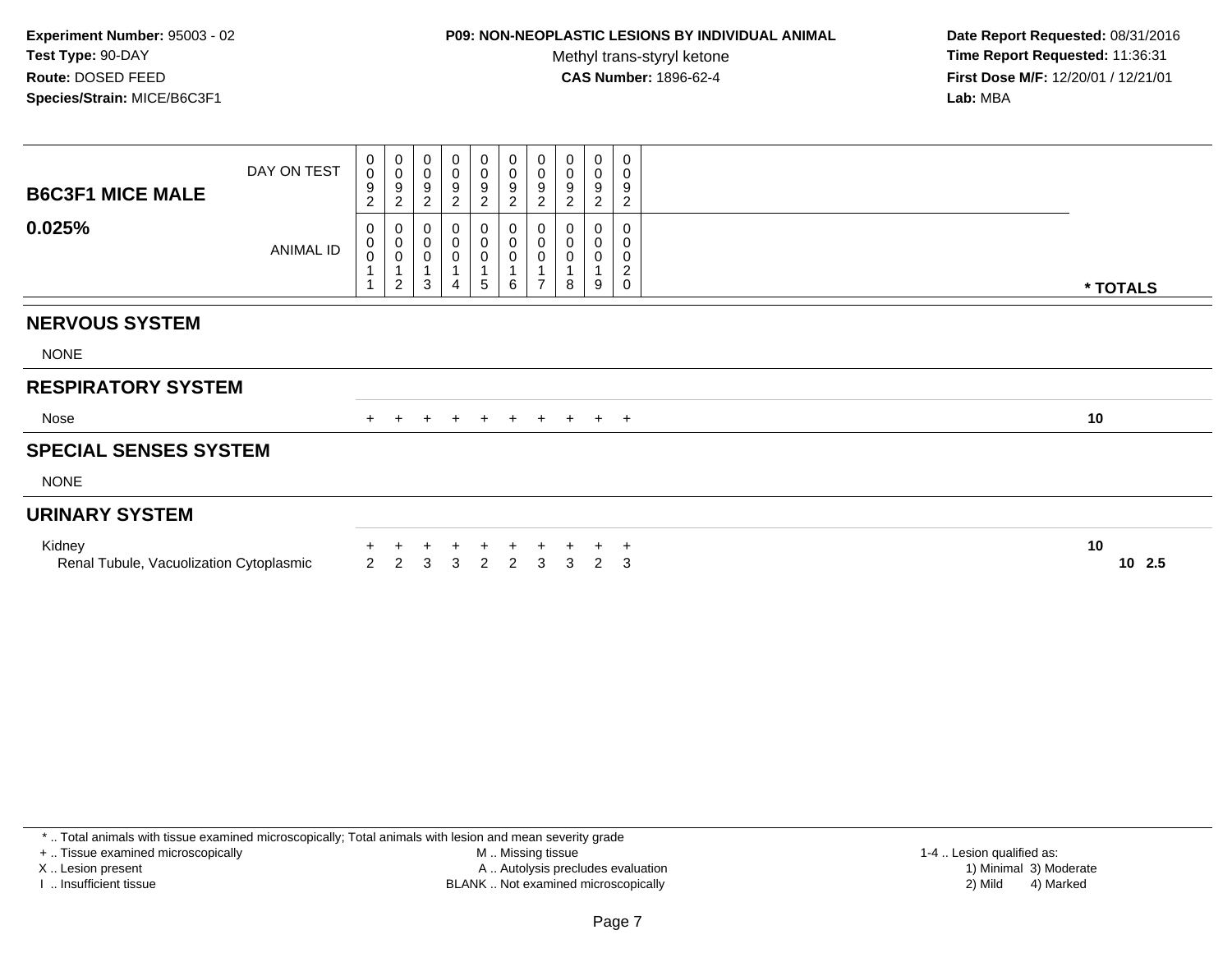## **P09: NON-NEOPLASTIC LESIONS BY INDIVIDUAL ANIMAL**

Methyl trans-styryl ketone<br>CAS Number: 1896-62-4

 **Date Report Requested:** 08/31/2016 **Time Report Requested:** 11:36:31 **First Dose M/F:** 12/20/01 / 12/21/01<br>**Lab:** MBA **Lab:** MBA

| <b>B6C3F1 MICE MALE</b>                           | DAY ON TEST | 0<br>$\mathbf{O}$<br>9<br>$\overline{c}$ | $\begin{array}{c} 0 \\ 0 \\ 9 \\ 2 \end{array}$                  | 0<br>$\pmb{0}$<br>$\frac{9}{2}$             | $_{\rm 0}^{\rm 0}$<br>$\frac{9}{2}$                                 | $\begin{smallmatrix}0\\0\end{smallmatrix}$<br>$\frac{9}{2}$ | $_0^0$<br>9<br>$\overline{a}$ | $\begin{smallmatrix}0\\0\end{smallmatrix}$<br>$\boldsymbol{9}$<br>$\boldsymbol{2}$ | 0<br>$\mathsf 0$<br>9<br>$\overline{c}$ | 0<br>$\pmb{0}$<br>9<br>$\overline{\mathbf{c}}$ | $\pmb{0}$<br>$\,0\,$<br>$\boldsymbol{9}$<br>$\overline{c}$ |                 |
|---------------------------------------------------|-------------|------------------------------------------|------------------------------------------------------------------|---------------------------------------------|---------------------------------------------------------------------|-------------------------------------------------------------|-------------------------------|------------------------------------------------------------------------------------|-----------------------------------------|------------------------------------------------|------------------------------------------------------------|-----------------|
| 0.025%                                            | ANIMAL ID   | 0<br>0<br>$\mathbf 0$                    | $\begin{matrix} 0 \\ 0 \\ 0 \\ 1 \end{matrix}$<br>$\overline{c}$ | 0<br>$\pmb{0}$<br>$\pmb{0}$<br>$\mathbf{3}$ | $_{\rm 0}^{\rm 0}$<br>$\pmb{0}$<br>$\overline{1}$<br>$\overline{4}$ | $\begin{matrix} 0 \\ 0 \\ 0 \\ 1 \end{matrix}$<br>5         | 0<br>$\mathbf 0$<br>0<br>6    | 0<br>$\pmb{0}$<br>$\pmb{0}$<br>$\mathbf{1}$<br>$\overline{ }$                      | $\mathbf 0$<br>$\mathbf 0$<br>0<br>8    | 0<br>0<br>9                                    | 0<br>$\pmb{0}$<br>$\pmb{0}$<br>$\sqrt{2}$<br>$\mathbf 0$   | * TOTALS        |
| <b>NERVOUS SYSTEM</b>                             |             |                                          |                                                                  |                                             |                                                                     |                                                             |                               |                                                                                    |                                         |                                                |                                                            |                 |
|                                                   |             |                                          |                                                                  |                                             |                                                                     |                                                             |                               |                                                                                    |                                         |                                                |                                                            |                 |
| <b>NONE</b>                                       |             |                                          |                                                                  |                                             |                                                                     |                                                             |                               |                                                                                    |                                         |                                                |                                                            |                 |
| <b>RESPIRATORY SYSTEM</b>                         |             |                                          |                                                                  |                                             |                                                                     |                                                             |                               |                                                                                    |                                         |                                                |                                                            |                 |
| Nose                                              |             | $+$                                      | $+$                                                              | $+$                                         | $+$                                                                 | $+$                                                         | $+$                           |                                                                                    | $+ + + +$                               |                                                |                                                            | 10              |
| <b>SPECIAL SENSES SYSTEM</b>                      |             |                                          |                                                                  |                                             |                                                                     |                                                             |                               |                                                                                    |                                         |                                                |                                                            |                 |
| <b>NONE</b>                                       |             |                                          |                                                                  |                                             |                                                                     |                                                             |                               |                                                                                    |                                         |                                                |                                                            |                 |
| <b>URINARY SYSTEM</b>                             |             |                                          |                                                                  |                                             |                                                                     |                                                             |                               |                                                                                    |                                         |                                                |                                                            |                 |
| Kidney<br>Renal Tubule, Vacuolization Cytoplasmic |             | $\overline{2}$                           | 2                                                                | 3                                           | 3                                                                   | 2                                                           | 2                             | 3                                                                                  | 3                                       | $\mathcal{P}$                                  | $\overline{ }$<br>3                                        | 10<br>2.5<br>10 |

\* .. Total animals with tissue examined microscopically; Total animals with lesion and mean severity grade

+ .. Tissue examined microscopically

X .. Lesion present

I .. Insufficient tissue

 M .. Missing tissueA .. Autolysis precludes evaluation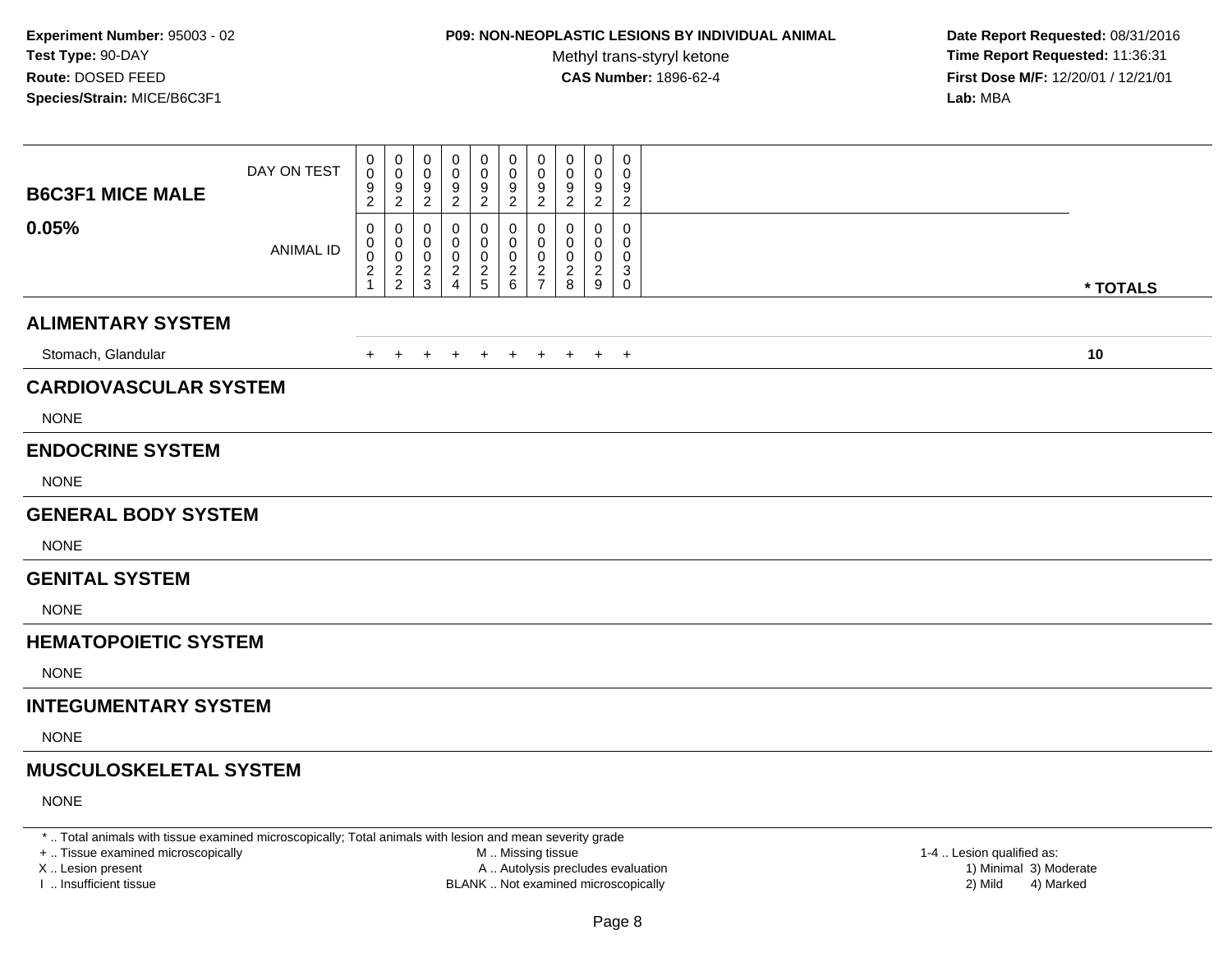# **P09: NON-NEOPLASTIC LESIONS BY INDIVIDUAL ANIMAL**

Methyl trans-styryl ketone<br>CAS Number: 1896-62-4

 **Date Report Requested:** 08/31/2016 **Time Report Requested:** 11:36:31 **First Dose M/F:** 12/20/01 / 12/21/01<br>**Lab:** MBA **Lab:** MBA

| <b>B6C3F1 MICE MALE</b>       | DAY ON TEST      | 0<br>$\mathbf 0$<br>$\frac{9}{2}$      | 0<br>0<br>$\frac{9}{2}$                        | 0<br>0<br>9<br>$\sqrt{2}$              | 0<br>0<br>9<br>$\overline{2}$ | 0<br>0<br>$\frac{9}{2}$    | 0<br>0<br>$\frac{9}{2}$                   | 0<br>0<br>$\frac{9}{2}$      | 0<br>0<br>$\frac{9}{2}$      | 0<br>0<br>9<br>$\overline{2}$                     | 0<br>0<br>9<br>$\overline{c}$    |          |
|-------------------------------|------------------|----------------------------------------|------------------------------------------------|----------------------------------------|-------------------------------|----------------------------|-------------------------------------------|------------------------------|------------------------------|---------------------------------------------------|----------------------------------|----------|
| 0.05%                         | <b>ANIMAL ID</b> | 0<br>0<br>$\mathbf 0$<br>$\frac{2}{1}$ | 0<br>$\mathbf 0$<br>$\pmb{0}$<br>$\frac{2}{2}$ | 0<br>0<br>$\mathbf 0$<br>$\frac{2}{3}$ | 0<br>0<br>0<br>$\frac{2}{4}$  | 0<br>0<br>0<br>$rac{2}{5}$ | 0<br>0<br>$\mathbf 0$<br>$^2\phantom{1}6$ | 0<br>0<br>0<br>$\frac{2}{7}$ | 0<br>0<br>0<br>$\frac{2}{8}$ | 0<br>0<br>0<br>$\overline{c}$<br>$\boldsymbol{9}$ | 0<br>0<br>0<br>3<br>$\mathsf{O}$ | * TOTALS |
| <b>ALIMENTARY SYSTEM</b>      |                  |                                        |                                                |                                        |                               |                            |                                           |                              |                              |                                                   |                                  |          |
| Stomach, Glandular            |                  | $+$                                    | $\ddot{}$                                      | +                                      | $\ddot{}$                     | $\overline{+}$             | $+$                                       | $+$                          | $+$                          |                                                   | $+$ $+$                          | 10       |
| <b>CARDIOVASCULAR SYSTEM</b>  |                  |                                        |                                                |                                        |                               |                            |                                           |                              |                              |                                                   |                                  |          |
| <b>NONE</b>                   |                  |                                        |                                                |                                        |                               |                            |                                           |                              |                              |                                                   |                                  |          |
| <b>ENDOCRINE SYSTEM</b>       |                  |                                        |                                                |                                        |                               |                            |                                           |                              |                              |                                                   |                                  |          |
| <b>NONE</b>                   |                  |                                        |                                                |                                        |                               |                            |                                           |                              |                              |                                                   |                                  |          |
| <b>GENERAL BODY SYSTEM</b>    |                  |                                        |                                                |                                        |                               |                            |                                           |                              |                              |                                                   |                                  |          |
| <b>NONE</b>                   |                  |                                        |                                                |                                        |                               |                            |                                           |                              |                              |                                                   |                                  |          |
| <b>GENITAL SYSTEM</b>         |                  |                                        |                                                |                                        |                               |                            |                                           |                              |                              |                                                   |                                  |          |
| <b>NONE</b>                   |                  |                                        |                                                |                                        |                               |                            |                                           |                              |                              |                                                   |                                  |          |
| <b>HEMATOPOIETIC SYSTEM</b>   |                  |                                        |                                                |                                        |                               |                            |                                           |                              |                              |                                                   |                                  |          |
| <b>NONE</b>                   |                  |                                        |                                                |                                        |                               |                            |                                           |                              |                              |                                                   |                                  |          |
| <b>INTEGUMENTARY SYSTEM</b>   |                  |                                        |                                                |                                        |                               |                            |                                           |                              |                              |                                                   |                                  |          |
| <b>NONE</b>                   |                  |                                        |                                                |                                        |                               |                            |                                           |                              |                              |                                                   |                                  |          |
| <b>MUSCULOSKELETAL SYSTEM</b> |                  |                                        |                                                |                                        |                               |                            |                                           |                              |                              |                                                   |                                  |          |
| <b>NONE</b>                   |                  |                                        |                                                |                                        |                               |                            |                                           |                              |                              |                                                   |                                  |          |

\* .. Total animals with tissue examined microscopically; Total animals with lesion and mean severity grade

+ .. Tissue examined microscopically

X .. Lesion present

I .. Insufficient tissue

 M .. Missing tissueA .. Autolysis precludes evaluation

BLANK .. Not examined microscopically 2) Mild 4) Marked

1-4 .. Lesion qualified as:<br>1) Minimal 3) Moderate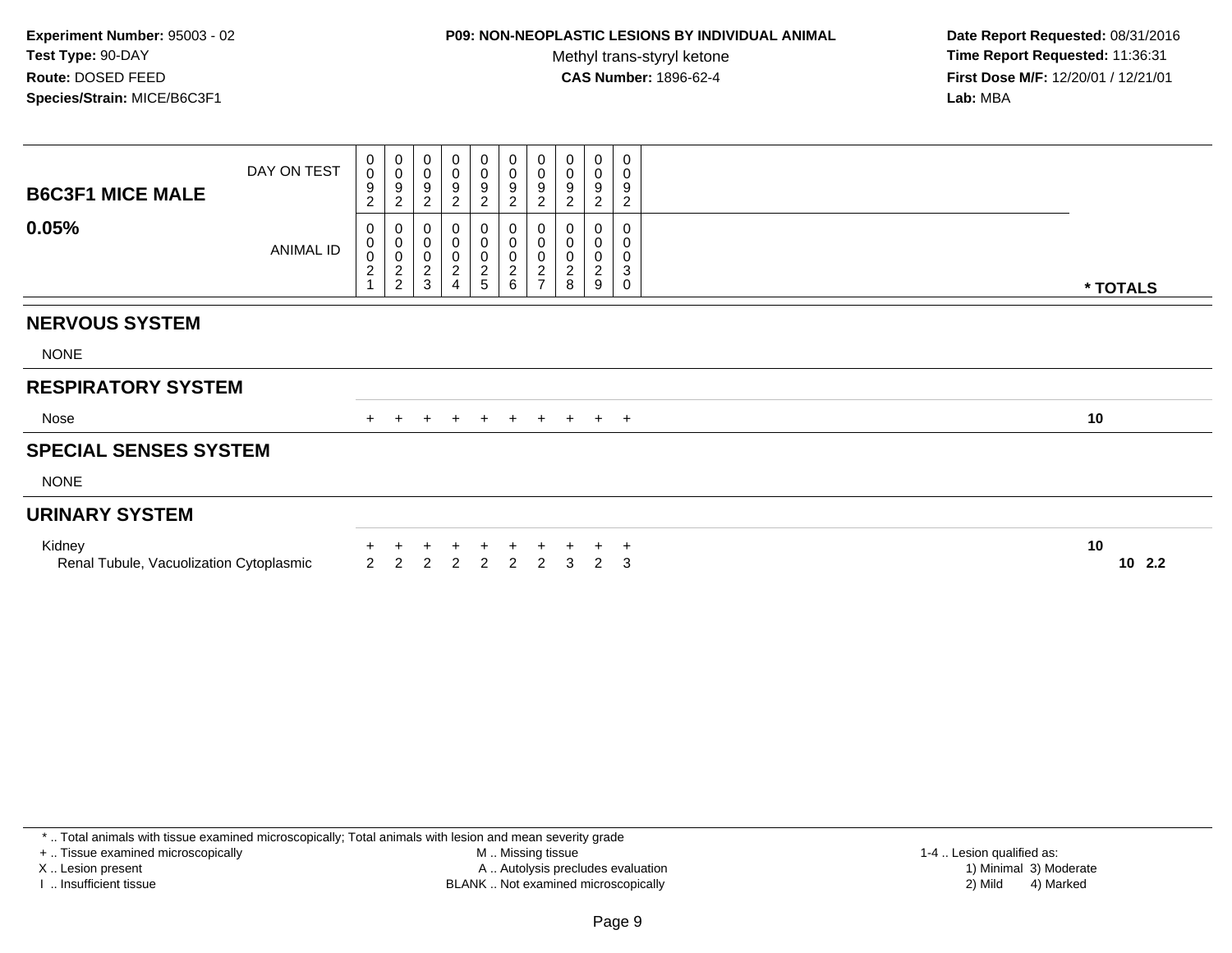## **P09: NON-NEOPLASTIC LESIONS BY INDIVIDUAL ANIMAL**

Methyl trans-styryl ketone<br>CAS Number: 1896-62-4

 **Date Report Requested:** 08/31/2016 **Time Report Requested:** 11:36:31 **First Dose M/F:** 12/20/01 / 12/21/01<br>**Lab:** MBA **Lab:** MBA

| <b>B6C3F1 MICE MALE</b>                           | DAY ON TEST | 0<br>0<br>9<br>$\overline{\mathbf{c}}$ | $\begin{smallmatrix}0\0\0\9\end{smallmatrix}$<br>$\overline{c}$ | 0<br>$\pmb{0}$<br>$\boldsymbol{9}$<br>$\overline{2}$ | $\mathbf 0$<br>$\pmb{0}$<br>$\boldsymbol{9}$<br>$\overline{2}$ | $\pmb{0}$<br>$\pmb{0}$<br>$\boldsymbol{9}$<br>$\overline{c}$ | $\mathbf 0$<br>$\pmb{0}$<br>9<br>$\overline{c}$                        | 0<br>$\mathbf 0$<br>$\boldsymbol{9}$<br>$\overline{c}$    | 0<br>$\pmb{0}$<br>9<br>2                       | $\pmb{0}$<br>0<br>9<br>$\overline{c}$ | $\pmb{0}$<br>$\pmb{0}$<br>$\boldsymbol{9}$<br>$\overline{c}$ |             |
|---------------------------------------------------|-------------|----------------------------------------|-----------------------------------------------------------------|------------------------------------------------------|----------------------------------------------------------------|--------------------------------------------------------------|------------------------------------------------------------------------|-----------------------------------------------------------|------------------------------------------------|---------------------------------------|--------------------------------------------------------------|-------------|
| 0.05%                                             | ANIMAL ID   | 0<br>$_0^0$<br>$\overline{c}$          | $\begin{smallmatrix}0\0\0\0\end{smallmatrix}$<br>$\frac{2}{2}$  | 0<br>0<br>$\pmb{0}$<br>$\frac{2}{3}$                 | 0<br>$\pmb{0}$<br>$\frac{0}{2}$<br>$\overline{4}$              | $\,0\,$<br>0<br>$\sqrt{2}$<br>5                              | 0<br>$\pmb{0}$<br>$\mathsf 0$<br>$\begin{array}{c} 2 \\ 6 \end{array}$ | 0<br>0<br>$\pmb{0}$<br>$\boldsymbol{2}$<br>$\overline{7}$ | 0<br>$\pmb{0}$<br>$\overline{\mathbf{c}}$<br>8 | 0<br>0<br>2<br>9                      | 0<br>0<br>0<br>$\sqrt{3}$<br>$\mathbf 0$                     | * TOTALS    |
| <b>NERVOUS SYSTEM</b>                             |             |                                        |                                                                 |                                                      |                                                                |                                                              |                                                                        |                                                           |                                                |                                       |                                                              |             |
| <b>NONE</b>                                       |             |                                        |                                                                 |                                                      |                                                                |                                                              |                                                                        |                                                           |                                                |                                       |                                                              |             |
| <b>RESPIRATORY SYSTEM</b>                         |             |                                        |                                                                 |                                                      |                                                                |                                                              |                                                                        |                                                           |                                                |                                       |                                                              |             |
| Nose                                              |             | $+$                                    | $\ddot{}$                                                       | $+$                                                  | $+$                                                            | $+$                                                          | $+$                                                                    | $+$                                                       | $+$                                            |                                       | $+$ $+$                                                      | 10          |
| <b>SPECIAL SENSES SYSTEM</b>                      |             |                                        |                                                                 |                                                      |                                                                |                                                              |                                                                        |                                                           |                                                |                                       |                                                              |             |
| <b>NONE</b>                                       |             |                                        |                                                                 |                                                      |                                                                |                                                              |                                                                        |                                                           |                                                |                                       |                                                              |             |
| <b>URINARY SYSTEM</b>                             |             |                                        |                                                                 |                                                      |                                                                |                                                              |                                                                        |                                                           |                                                |                                       |                                                              |             |
| Kidney<br>Renal Tubule, Vacuolization Cytoplasmic |             | 2                                      | 2                                                               | $\overline{2}$                                       | 2                                                              | $\mathcal{P}$                                                | 2                                                                      | $\overline{2}$                                            | 3                                              | $\mathcal{P}$                         | $\ddot{}$<br>3                                               | 10<br>102.2 |

\* .. Total animals with tissue examined microscopically; Total animals with lesion and mean severity grade

+ .. Tissue examined microscopically

X .. Lesion present

I .. Insufficient tissue

 M .. Missing tissueLesion present A .. Autolysis precludes evaluation 1) Minimal 3) Moderate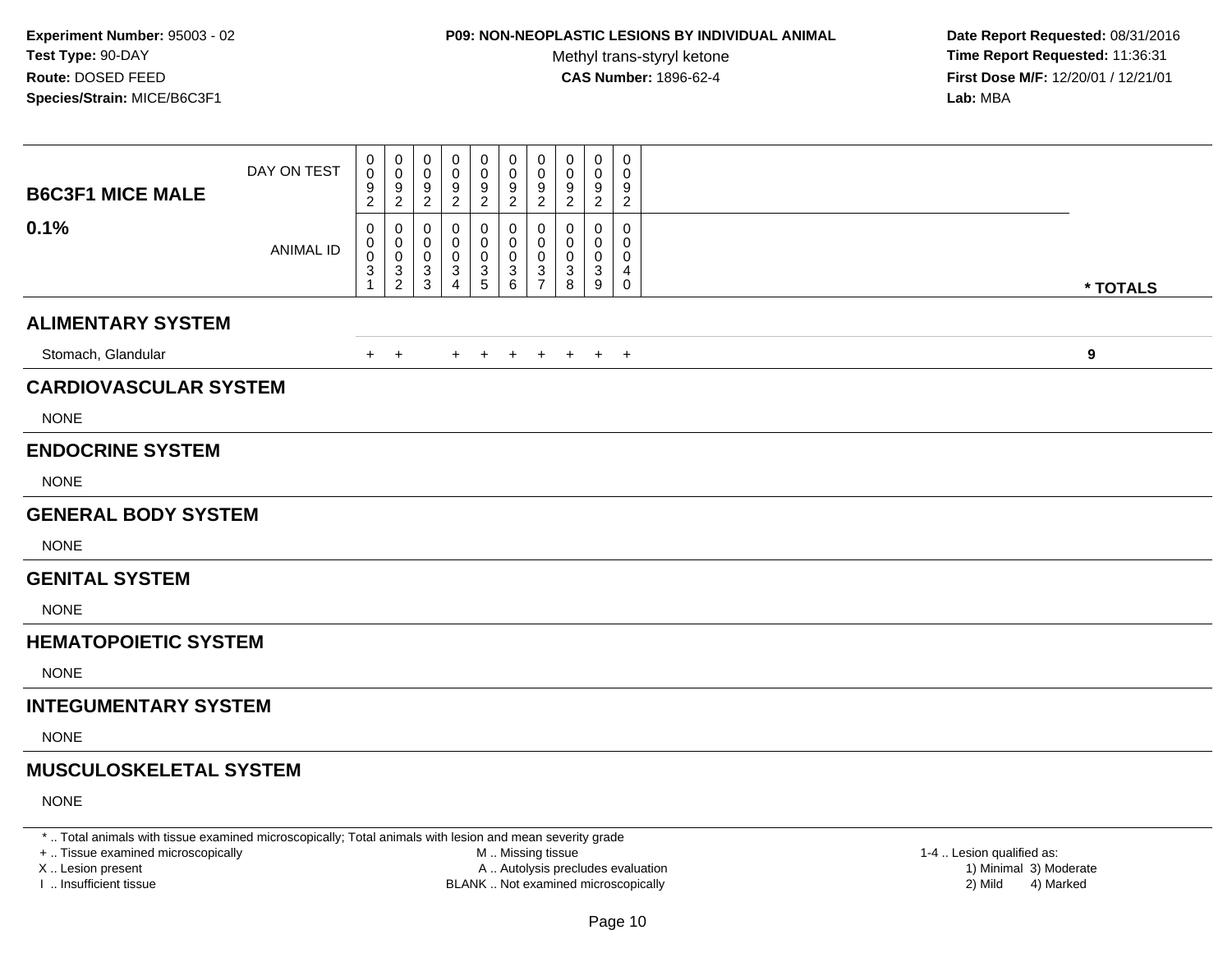# **P09: NON-NEOPLASTIC LESIONS BY INDIVIDUAL ANIMAL**

Methyl trans-styryl ketone<br>CAS Number: 1896-62-4

 **Date Report Requested:** 08/31/2016 **Time Report Requested:** 11:36:31 **First Dose M/F:** 12/20/01 / 12/21/01<br>**Lab:** MBA **Lab:** MBA

| <b>B6C3F1 MICE MALE</b>       | DAY ON TEST      | 0<br>$\pmb{0}$<br>$\frac{9}{2}$            | 0<br>0<br>$\frac{9}{2}$            | 0<br>0<br>$\frac{9}{2}$                 | 0<br>0<br>$\frac{9}{2}$            | 0<br>$\pmb{0}$<br>$\frac{9}{2}$ | 0<br>$\mathbf 0$<br>$\frac{9}{2}$ | 0<br>0<br>$\frac{9}{2}$                                              | 0<br>0<br>9<br>$\overline{\mathbf{c}}$ | 0<br>0<br>9<br>$\overline{a}$ | 0<br>0<br>$\frac{9}{2}$         |                  |  |
|-------------------------------|------------------|--------------------------------------------|------------------------------------|-----------------------------------------|------------------------------------|---------------------------------|-----------------------------------|----------------------------------------------------------------------|----------------------------------------|-------------------------------|---------------------------------|------------------|--|
| 0.1%                          | <b>ANIMAL ID</b> | 0<br>0<br>$\mathbf 0$<br>3<br>$\mathbf{1}$ | 0<br>0<br>0<br>3<br>$\overline{a}$ | 0<br>0<br>0<br>$\sqrt{3}$<br>$\sqrt{3}$ | 0<br>0<br>0<br>3<br>$\overline{4}$ | 0<br>0<br>0<br>$\frac{3}{5}$    | 0<br>0<br>$\mathbf 0$<br>$^3$ 6   | 0<br>0<br>$\mathbf 0$<br>$\ensuremath{\mathsf{3}}$<br>$\overline{7}$ | 0<br>0<br>0<br>3<br>$\bf8$             | 0<br>0<br>0<br>3<br>$9\,$     | 0<br>0<br>0<br>4<br>$\mathsf 0$ |                  |  |
| <b>ALIMENTARY SYSTEM</b>      |                  |                                            |                                    |                                         |                                    |                                 |                                   |                                                                      |                                        |                               |                                 | * TOTALS         |  |
|                               |                  |                                            |                                    |                                         |                                    |                                 |                                   |                                                                      |                                        |                               |                                 |                  |  |
| Stomach, Glandular            |                  | $+$                                        | $+$                                |                                         | $+$                                | $+$                             | $+$                               | $+$                                                                  | $+$                                    |                               | $+$ $+$                         | $\boldsymbol{9}$ |  |
| <b>CARDIOVASCULAR SYSTEM</b>  |                  |                                            |                                    |                                         |                                    |                                 |                                   |                                                                      |                                        |                               |                                 |                  |  |
| <b>NONE</b>                   |                  |                                            |                                    |                                         |                                    |                                 |                                   |                                                                      |                                        |                               |                                 |                  |  |
| <b>ENDOCRINE SYSTEM</b>       |                  |                                            |                                    |                                         |                                    |                                 |                                   |                                                                      |                                        |                               |                                 |                  |  |
| <b>NONE</b>                   |                  |                                            |                                    |                                         |                                    |                                 |                                   |                                                                      |                                        |                               |                                 |                  |  |
| <b>GENERAL BODY SYSTEM</b>    |                  |                                            |                                    |                                         |                                    |                                 |                                   |                                                                      |                                        |                               |                                 |                  |  |
| <b>NONE</b>                   |                  |                                            |                                    |                                         |                                    |                                 |                                   |                                                                      |                                        |                               |                                 |                  |  |
| <b>GENITAL SYSTEM</b>         |                  |                                            |                                    |                                         |                                    |                                 |                                   |                                                                      |                                        |                               |                                 |                  |  |
| <b>NONE</b>                   |                  |                                            |                                    |                                         |                                    |                                 |                                   |                                                                      |                                        |                               |                                 |                  |  |
| <b>HEMATOPOIETIC SYSTEM</b>   |                  |                                            |                                    |                                         |                                    |                                 |                                   |                                                                      |                                        |                               |                                 |                  |  |
| <b>NONE</b>                   |                  |                                            |                                    |                                         |                                    |                                 |                                   |                                                                      |                                        |                               |                                 |                  |  |
| <b>INTEGUMENTARY SYSTEM</b>   |                  |                                            |                                    |                                         |                                    |                                 |                                   |                                                                      |                                        |                               |                                 |                  |  |
| <b>NONE</b>                   |                  |                                            |                                    |                                         |                                    |                                 |                                   |                                                                      |                                        |                               |                                 |                  |  |
| <b>MUSCULOSKELETAL SYSTEM</b> |                  |                                            |                                    |                                         |                                    |                                 |                                   |                                                                      |                                        |                               |                                 |                  |  |
| <b>NONE</b>                   |                  |                                            |                                    |                                         |                                    |                                 |                                   |                                                                      |                                        |                               |                                 |                  |  |

\* .. Total animals with tissue examined microscopically; Total animals with lesion and mean severity grade

+ .. Tissue examined microscopically

X .. Lesion present

I .. Insufficient tissue

 M .. Missing tissueA .. Autolysis precludes evaluation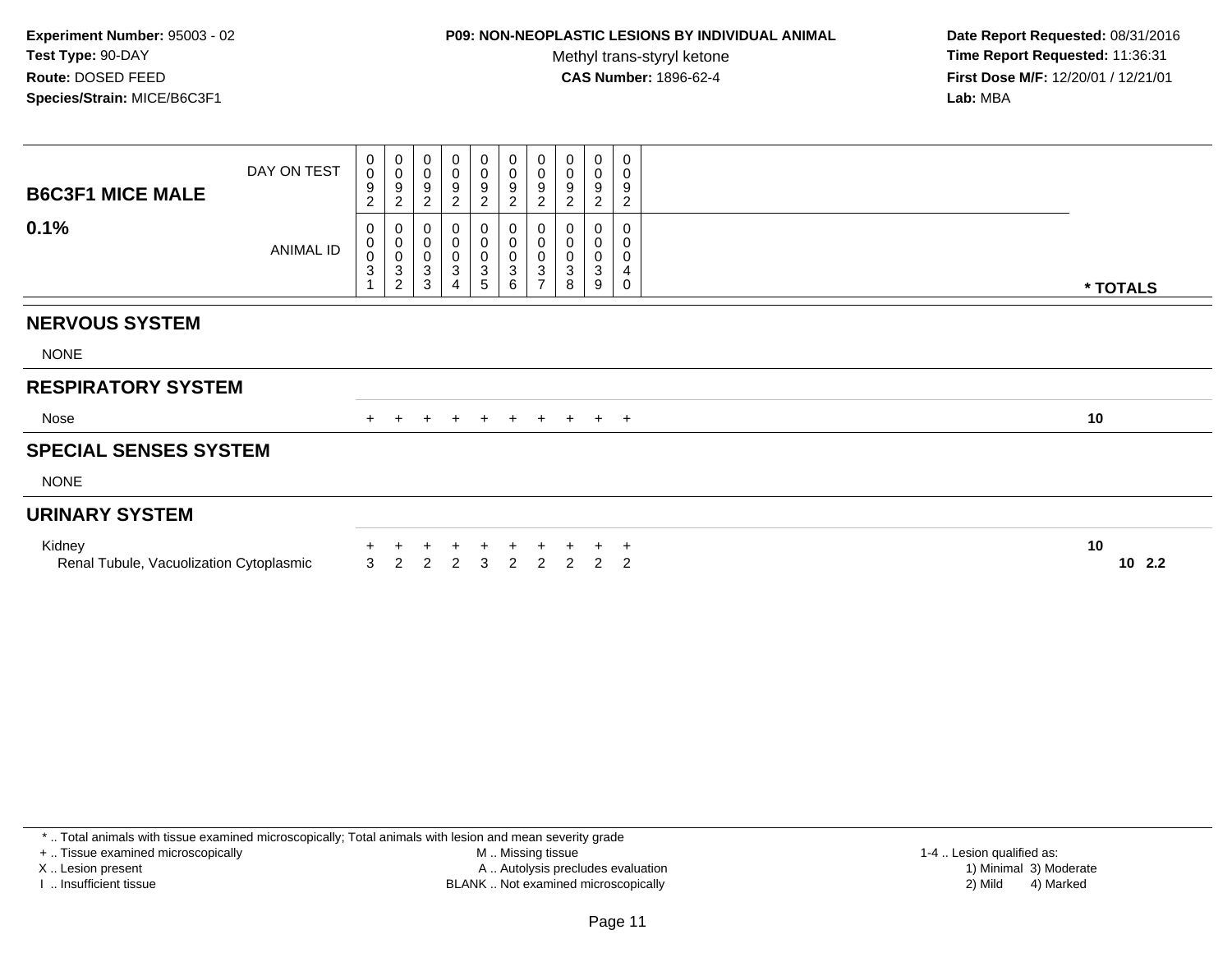## **P09: NON-NEOPLASTIC LESIONS BY INDIVIDUAL ANIMAL**

Methyl trans-styryl ketone<br>CAS Number: 1896-62-4

 **Date Report Requested:** 08/31/2016 **Time Report Requested:** 11:36:31 **First Dose M/F:** 12/20/01 / 12/21/01<br>**Lab:** MBA **Lab:** MBA

| <b>B6C3F1 MICE MALE</b>                           | DAY ON TEST      | 0<br>$\mathbf{O}$<br>9<br>$\overline{c}$ | $_{\rm 0}^{\rm 0}$<br>$\frac{9}{2}$                 | 0<br>$\pmb{0}$<br>9<br>$\sqrt{2}$     | $\mathbf 0$<br>$\pmb{0}$<br>9<br>$\overline{2}$             | $\mathbf 0$<br>$\mathbf 0$<br>9<br>$\overline{c}$                                              | $\begin{smallmatrix} 0\\0 \end{smallmatrix}$<br>9<br>$\overline{c}$ | 0<br>$\pmb{0}$<br>9<br>2                                      | 0<br>$\mathbf 0$<br>9<br>$\overline{c}$ | 0<br>$\mathsf 0$<br>9<br>$\overline{c}$ | 0<br>$\mathsf 0$<br>9<br>$\overline{c}$ |                 |
|---------------------------------------------------|------------------|------------------------------------------|-----------------------------------------------------|---------------------------------------|-------------------------------------------------------------|------------------------------------------------------------------------------------------------|---------------------------------------------------------------------|---------------------------------------------------------------|-----------------------------------------|-----------------------------------------|-----------------------------------------|-----------------|
| 0.1%                                              | <b>ANIMAL ID</b> | 0<br>0<br>$\boldsymbol{0}$<br>3          | 0<br>$\begin{matrix} 0 \\ 0 \\ 3 \\ 2 \end{matrix}$ | 0<br>$\pmb{0}$<br>$\pmb{0}$<br>$_3^3$ | 0<br>$\pmb{0}$<br>$\pmb{0}$<br>$\sqrt{3}$<br>$\overline{4}$ | 0<br>$\begin{smallmatrix}0\\0\end{smallmatrix}$<br>$\ensuremath{\mathsf{3}}$<br>$\overline{5}$ | 0<br>$\pmb{0}$<br>0<br>$\mathbf 3$<br>6                             | 0<br>$\pmb{0}$<br>$\ensuremath{\mathsf{3}}$<br>$\overline{7}$ | $\pmb{0}$<br>$\boldsymbol{0}$<br>3<br>8 | 0<br>0<br>3<br>9                        | 0<br>0<br>0<br>4<br>$\mathsf{O}\xspace$ |                 |
|                                                   |                  |                                          |                                                     |                                       |                                                             |                                                                                                |                                                                     |                                                               |                                         |                                         |                                         | * TOTALS        |
| <b>NERVOUS SYSTEM</b>                             |                  |                                          |                                                     |                                       |                                                             |                                                                                                |                                                                     |                                                               |                                         |                                         |                                         |                 |
| <b>NONE</b>                                       |                  |                                          |                                                     |                                       |                                                             |                                                                                                |                                                                     |                                                               |                                         |                                         |                                         |                 |
| <b>RESPIRATORY SYSTEM</b>                         |                  |                                          |                                                     |                                       |                                                             |                                                                                                |                                                                     |                                                               |                                         |                                         |                                         |                 |
| Nose                                              |                  |                                          | $\pm$                                               | $+$                                   | $+$                                                         | $+$                                                                                            | $+$                                                                 | $+$                                                           | $+$                                     |                                         | $+$ $+$                                 | 10              |
| <b>SPECIAL SENSES SYSTEM</b>                      |                  |                                          |                                                     |                                       |                                                             |                                                                                                |                                                                     |                                                               |                                         |                                         |                                         |                 |
| <b>NONE</b>                                       |                  |                                          |                                                     |                                       |                                                             |                                                                                                |                                                                     |                                                               |                                         |                                         |                                         |                 |
| <b>URINARY SYSTEM</b>                             |                  |                                          |                                                     |                                       |                                                             |                                                                                                |                                                                     |                                                               |                                         |                                         |                                         |                 |
| Kidney<br>Renal Tubule, Vacuolization Cytoplasmic |                  | 3                                        | $\overline{2}$                                      | $\overline{2}$                        | 2                                                           | 3                                                                                              | 2                                                                   | $\mathcal{P}$                                                 | $\mathcal{P}$                           | $\mathcal{P}$                           | $\ddot{}$<br>$\overline{2}$             | 10<br>10<br>2.2 |

\* .. Total animals with tissue examined microscopically; Total animals with lesion and mean severity grade

+ .. Tissue examined microscopically

X .. Lesion present

I .. Insufficient tissue

 M .. Missing tissueA .. Autolysis precludes evaluation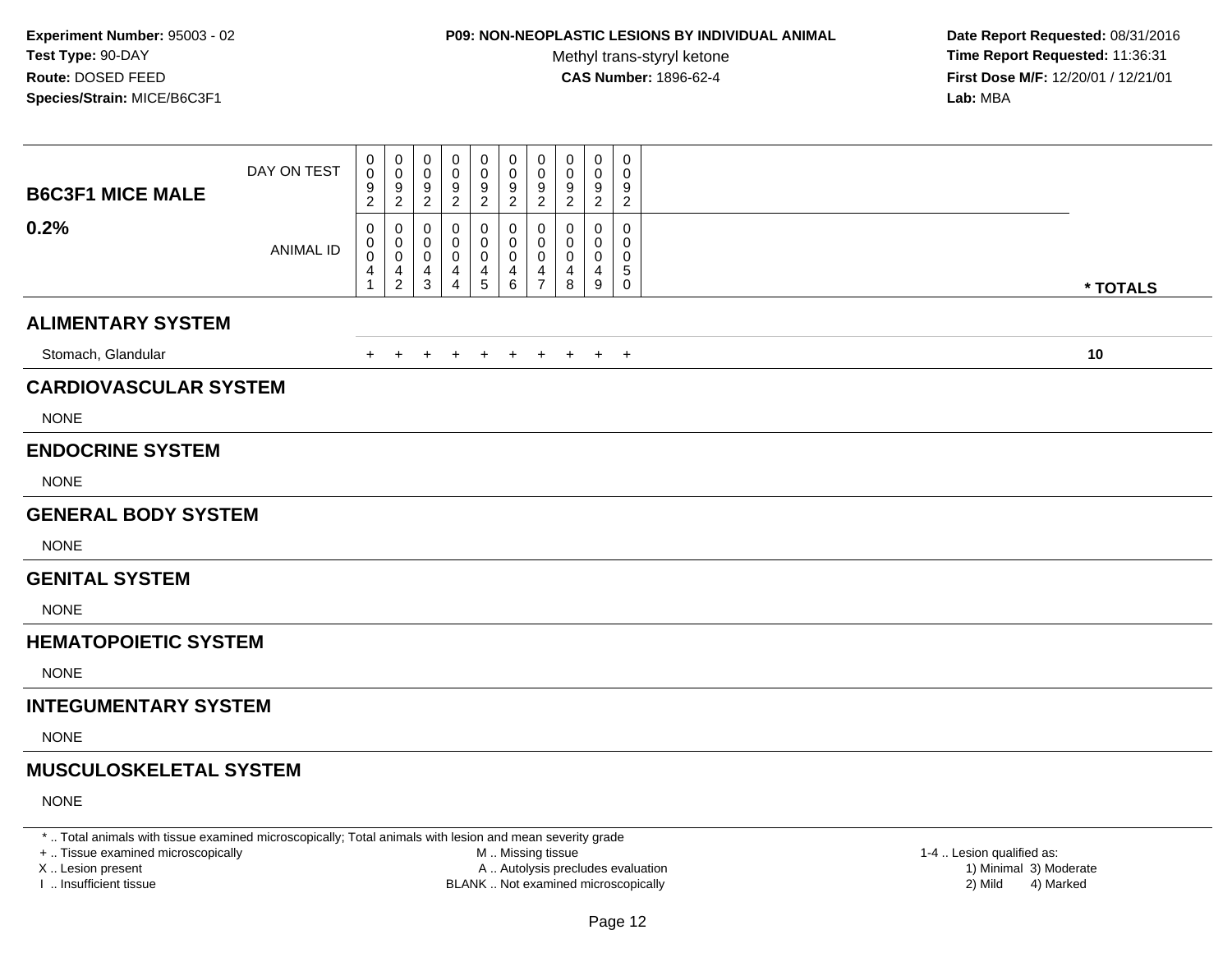# **P09: NON-NEOPLASTIC LESIONS BY INDIVIDUAL ANIMAL**

Methyl trans-styryl ketone<br>CAS Number: 1896-62-4

 **Date Report Requested:** 08/31/2016 **Time Report Requested:** 11:36:31 **First Dose M/F:** 12/20/01 / 12/21/01<br>**Lab:** MBA **Lab:** MBA

| <b>B6C3F1 MICE MALE</b>       | DAY ON TEST      | 0<br>0<br>$\frac{9}{2}$         | 0<br>$\mathbf 0$<br>$\frac{9}{2}$      | 0<br>0<br>$\frac{9}{2}$                               | 0<br>0<br>9<br>$\sqrt{2}$          | 0<br>$\mathbf 0$<br>9<br>$\overline{2}$ | 0<br>$\mathbf 0$<br>9<br>$\overline{2}$              | 0<br>$\mathbf 0$<br>9<br>$\overline{c}$ | 0<br>0<br>9<br>$\boldsymbol{2}$ | 0<br>0<br>9<br>$\mathbf{2}$ | $\mathbf 0$<br>0<br>9<br>$\overline{2}$ |          |
|-------------------------------|------------------|---------------------------------|----------------------------------------|-------------------------------------------------------|------------------------------------|-----------------------------------------|------------------------------------------------------|-----------------------------------------|---------------------------------|-----------------------------|-----------------------------------------|----------|
| 0.2%                          | <b>ANIMAL ID</b> | 0<br>0<br>0<br>4<br>$\mathbf 1$ | 0<br>0<br>$\mathbf 0$<br>$\frac{4}{2}$ | 0<br>0<br>$\mathbf 0$<br>$\overline{4}$<br>$\sqrt{3}$ | 0<br>0<br>0<br>4<br>$\overline{4}$ | 0<br>0<br>0<br>4<br>$\,$ 5 $\,$         | 0<br>0<br>0<br>$\begin{array}{c} 4 \\ 6 \end{array}$ | 0<br>0<br>0<br>4<br>$\overline{7}$      | 0<br>0<br>0<br>4<br>8           | 0<br>0<br>0<br>4<br>9       | 0<br>0<br>0<br>5<br>0                   | * TOTALS |
| <b>ALIMENTARY SYSTEM</b>      |                  |                                 |                                        |                                                       |                                    |                                         |                                                      |                                         |                                 |                             |                                         |          |
| Stomach, Glandular            |                  | $\ddot{}$                       | $\overline{+}$                         | $\ddot{}$                                             | $\pm$                              | $\overline{+}$                          | $+$                                                  | $+$                                     | $+$                             |                             | $+$ $+$                                 | 10       |
| <b>CARDIOVASCULAR SYSTEM</b>  |                  |                                 |                                        |                                                       |                                    |                                         |                                                      |                                         |                                 |                             |                                         |          |
| <b>NONE</b>                   |                  |                                 |                                        |                                                       |                                    |                                         |                                                      |                                         |                                 |                             |                                         |          |
| <b>ENDOCRINE SYSTEM</b>       |                  |                                 |                                        |                                                       |                                    |                                         |                                                      |                                         |                                 |                             |                                         |          |
| <b>NONE</b>                   |                  |                                 |                                        |                                                       |                                    |                                         |                                                      |                                         |                                 |                             |                                         |          |
| <b>GENERAL BODY SYSTEM</b>    |                  |                                 |                                        |                                                       |                                    |                                         |                                                      |                                         |                                 |                             |                                         |          |
| <b>NONE</b>                   |                  |                                 |                                        |                                                       |                                    |                                         |                                                      |                                         |                                 |                             |                                         |          |
| <b>GENITAL SYSTEM</b>         |                  |                                 |                                        |                                                       |                                    |                                         |                                                      |                                         |                                 |                             |                                         |          |
| <b>NONE</b>                   |                  |                                 |                                        |                                                       |                                    |                                         |                                                      |                                         |                                 |                             |                                         |          |
| <b>HEMATOPOIETIC SYSTEM</b>   |                  |                                 |                                        |                                                       |                                    |                                         |                                                      |                                         |                                 |                             |                                         |          |
| <b>NONE</b>                   |                  |                                 |                                        |                                                       |                                    |                                         |                                                      |                                         |                                 |                             |                                         |          |
| <b>INTEGUMENTARY SYSTEM</b>   |                  |                                 |                                        |                                                       |                                    |                                         |                                                      |                                         |                                 |                             |                                         |          |
| <b>NONE</b>                   |                  |                                 |                                        |                                                       |                                    |                                         |                                                      |                                         |                                 |                             |                                         |          |
| <b>MUSCULOSKELETAL SYSTEM</b> |                  |                                 |                                        |                                                       |                                    |                                         |                                                      |                                         |                                 |                             |                                         |          |
| <b>NONE</b>                   |                  |                                 |                                        |                                                       |                                    |                                         |                                                      |                                         |                                 |                             |                                         |          |

\* .. Total animals with tissue examined microscopically; Total animals with lesion and mean severity grade

+ .. Tissue examined microscopically

X .. Lesion present

I .. Insufficient tissue

 M .. Missing tissueA .. Autolysis precludes evaluation

BLANK .. Not examined microscopically 2) Mild 4) Marked

1-4 .. Lesion qualified as:<br>1) Minimal 3) Moderate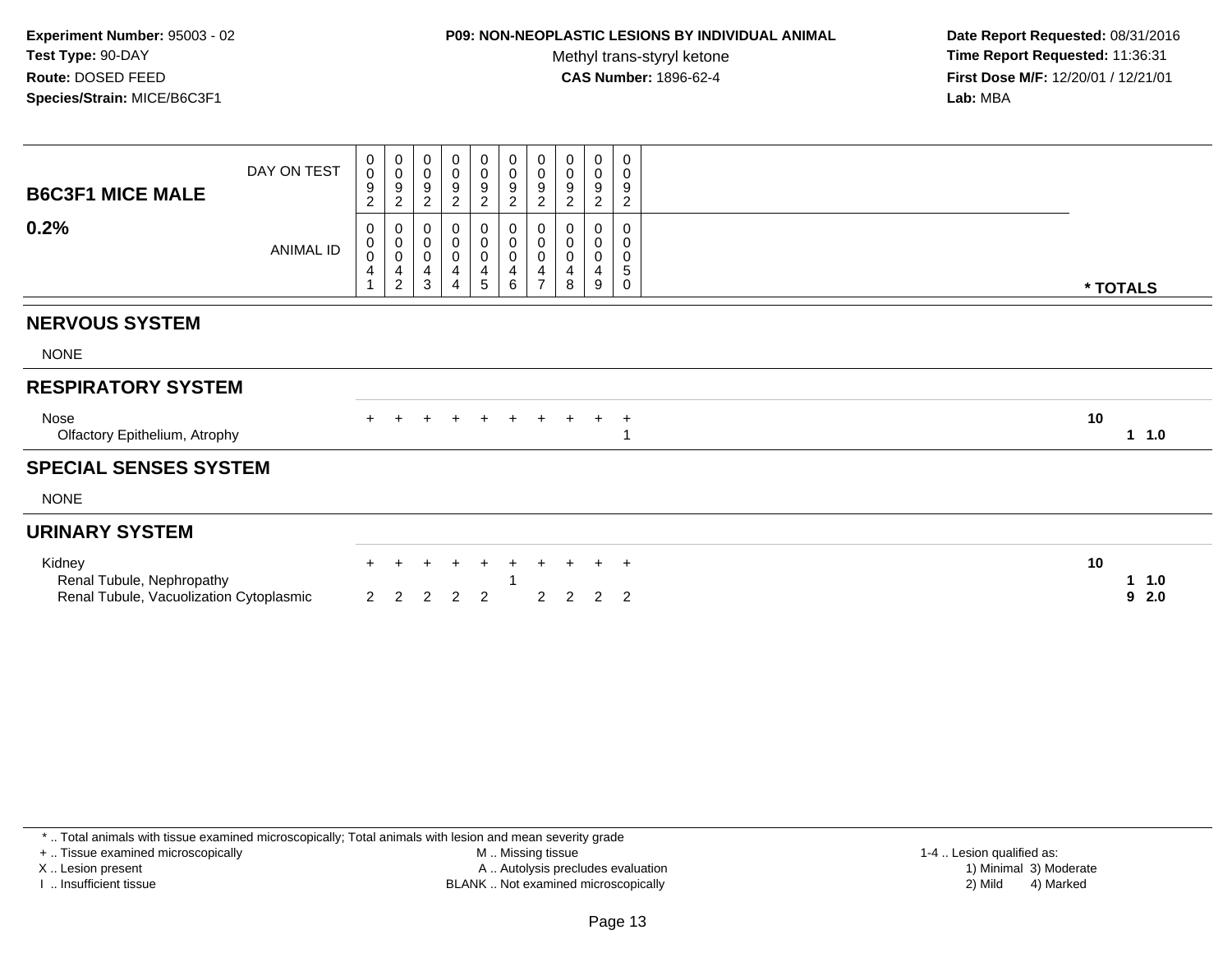### **P09: NON-NEOPLASTIC LESIONS BY INDIVIDUAL ANIMAL**

Methyl trans-styryl ketone<br>CAS Number: 1896-62-4

 **Date Report Requested:** 08/31/2016 **Time Report Requested:** 11:36:31 **First Dose M/F:** 12/20/01 / 12/21/01<br>**Lab:** MBA **Lab:** MBA

| <b>B6C3F1 MICE MALE</b>                 | DAY ON TEST | 0<br>$\mathbf 0$<br>9<br>$\boldsymbol{2}$ | $_{\rm 0}^{\rm 0}$<br>$\boldsymbol{9}$<br>$\overline{c}$ | 0<br>$\pmb{0}$<br>$\boldsymbol{9}$<br>$\overline{c}$ | 0<br>$\mathbf 0$<br>9<br>$\sqrt{2}$                                                    | 0<br>$\pmb{0}$<br>9<br>$\overline{2}$                                      | 0<br>$\pmb{0}$<br>$\boldsymbol{9}$<br>$\overline{c}$      | 0<br>$\mathbf 0$<br>$\boldsymbol{9}$<br>$\overline{c}$    | 0<br>0<br>9<br>2      | 0<br>0<br>9<br>$\overline{c}$   | 0<br>0<br>$\boldsymbol{9}$<br>$\overline{2}$ |    |           |
|-----------------------------------------|-------------|-------------------------------------------|----------------------------------------------------------|------------------------------------------------------|----------------------------------------------------------------------------------------|----------------------------------------------------------------------------|-----------------------------------------------------------|-----------------------------------------------------------|-----------------------|---------------------------------|----------------------------------------------|----|-----------|
| 0.2%                                    | ANIMAL ID   | 0<br>0<br>$\bar{0}$<br>4                  | 00004                                                    | 0<br>$\pmb{0}$<br>$\pmb{0}$<br>4<br>$\sqrt{3}$       | $\mathbf 0$<br>$\mathbf 0$<br>$\mathbf 0$<br>$\overline{\mathbf{4}}$<br>$\overline{4}$ | 0<br>$\pmb{0}$<br>$\begin{smallmatrix}0\\4\end{smallmatrix}$<br>$\sqrt{5}$ | 0<br>$\pmb{0}$<br>0<br>$\overline{\mathbf{4}}$<br>$\,6\,$ | 0<br>$\boldsymbol{0}$<br>$\pmb{0}$<br>4<br>$\overline{7}$ | 0<br>0<br>0<br>4<br>8 | 0<br>$\mathbf 0$<br>0<br>4<br>9 | $\mathbf 0$<br>0<br>0<br>$\sqrt{5}$<br>0     |    | * TOTALS  |
| <b>NERVOUS SYSTEM</b>                   |             |                                           |                                                          |                                                      |                                                                                        |                                                                            |                                                           |                                                           |                       |                                 |                                              |    |           |
|                                         |             |                                           |                                                          |                                                      |                                                                                        |                                                                            |                                                           |                                                           |                       |                                 |                                              |    |           |
| <b>NONE</b>                             |             |                                           |                                                          |                                                      |                                                                                        |                                                                            |                                                           |                                                           |                       |                                 |                                              |    |           |
| <b>RESPIRATORY SYSTEM</b>               |             |                                           |                                                          |                                                      |                                                                                        |                                                                            |                                                           |                                                           |                       |                                 |                                              |    |           |
| Nose<br>Olfactory Epithelium, Atrophy   |             |                                           |                                                          |                                                      |                                                                                        |                                                                            | $\div$                                                    | $\ddot{}$                                                 |                       | $+$                             | $\overline{+}$                               | 10 | $1 \t1.0$ |
| <b>SPECIAL SENSES SYSTEM</b>            |             |                                           |                                                          |                                                      |                                                                                        |                                                                            |                                                           |                                                           |                       |                                 |                                              |    |           |
| <b>NONE</b>                             |             |                                           |                                                          |                                                      |                                                                                        |                                                                            |                                                           |                                                           |                       |                                 |                                              |    |           |
| <b>URINARY SYSTEM</b>                   |             |                                           |                                                          |                                                      |                                                                                        |                                                                            |                                                           |                                                           |                       |                                 |                                              |    |           |
| Kidney<br>Renal Tubule, Nephropathy     |             |                                           | $+$                                                      | $\ddot{}$                                            | $\ddot{}$                                                                              | $+$                                                                        | $+$                                                       | $\pm$                                                     | $+$                   | $+$                             | $+$                                          | 10 | 1.0       |
| Renal Tubule, Vacuolization Cytoplasmic |             | $\overline{2}$                            | $\overline{2}$                                           | $\overline{2}$                                       | 2                                                                                      | $\overline{2}$                                                             |                                                           | 2                                                         | $\overline{2}$        | $\overline{2}$                  | $\overline{2}$                               |    | 2.0<br>9  |
|                                         |             |                                           |                                                          |                                                      |                                                                                        |                                                                            |                                                           |                                                           |                       |                                 |                                              |    |           |

\* .. Total animals with tissue examined microscopically; Total animals with lesion and mean severity grade

+ .. Tissue examined microscopically

X .. Lesion present

I .. Insufficient tissue

 M .. Missing tissueA .. Autolysis precludes evaluation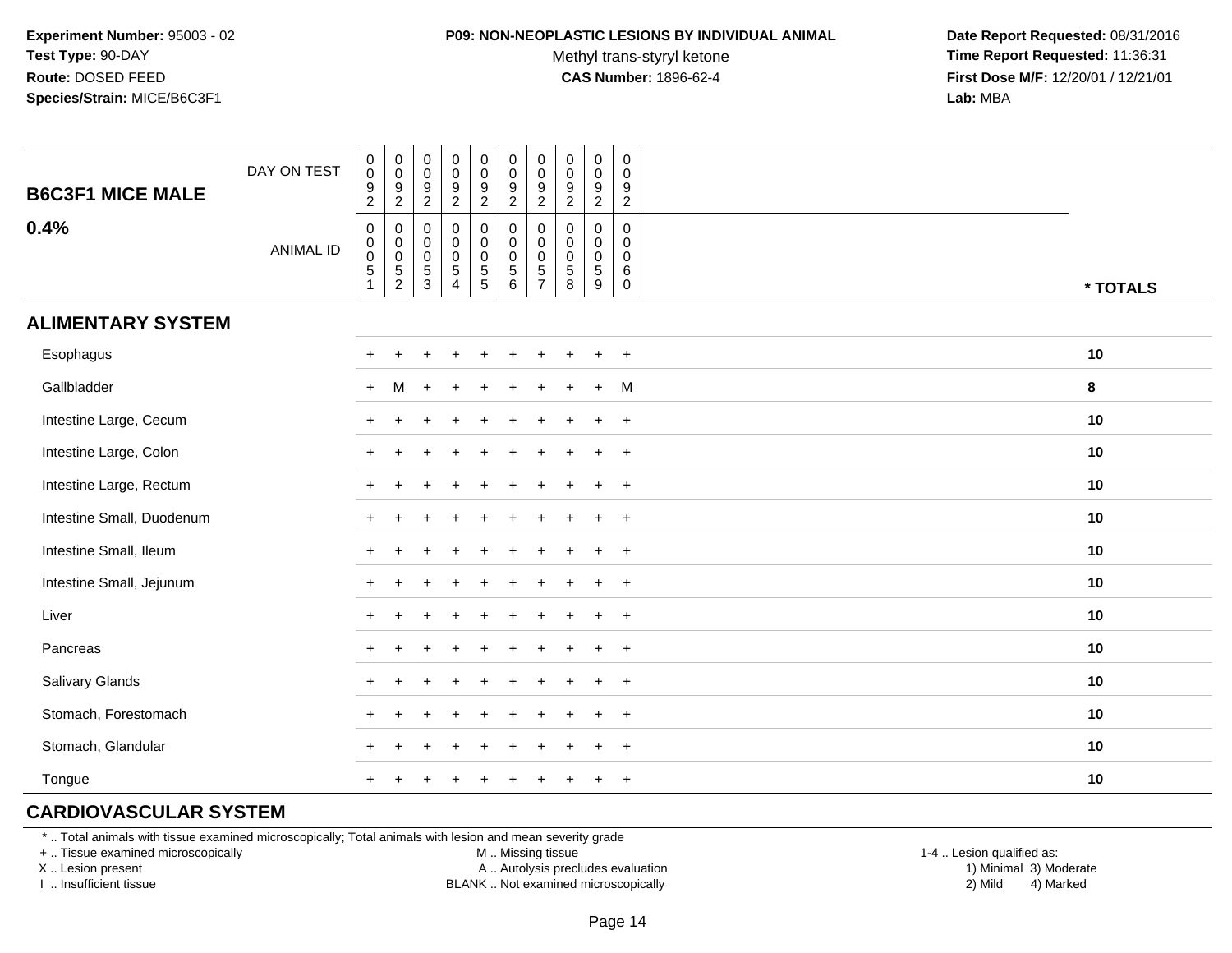#### **P09: NON-NEOPLASTIC LESIONS BY INDIVIDUAL ANIMAL**

Methyl trans-styryl ketone<br>CAS Number: 1896-62-4

 **Date Report Requested:** 08/31/2016 **Time Report Requested:** 11:36:31 **First Dose M/F:** 12/20/01 / 12/21/01<br>**Lab:** MBA **Lab:** MBA

| <b>B6C3F1 MICE MALE</b>   | DAY ON TEST      | $\pmb{0}$<br>$\pmb{0}$<br>$\frac{9}{2}$           | $_{\rm 0}^{\rm 0}$<br>$\frac{9}{2}$                               | $\pmb{0}$<br>$\boldsymbol{0}$<br>$\frac{9}{2}$ | $_{\rm 0}^{\rm 0}$<br>$\frac{9}{2}$                                      | $\begin{smallmatrix} 0\\0 \end{smallmatrix}$<br>$\frac{9}{2}$ | $\pmb{0}$<br>$\overline{0}$<br>$\frac{9}{2}$                           | $\mathbf 0$<br>$\boldsymbol{0}$<br>9<br>$\overline{2}$                     | $\mathbf 0$<br>$\mathbf 0$<br>$\frac{9}{2}$        | $\pmb{0}$<br>$\pmb{0}$<br>$\frac{9}{2}$              | $\mathbf 0$<br>$\mathbf 0$<br>$\boldsymbol{9}$<br>$\overline{2}$ |          |
|---------------------------|------------------|---------------------------------------------------|-------------------------------------------------------------------|------------------------------------------------|--------------------------------------------------------------------------|---------------------------------------------------------------|------------------------------------------------------------------------|----------------------------------------------------------------------------|----------------------------------------------------|------------------------------------------------------|------------------------------------------------------------------|----------|
| 0.4%                      | <b>ANIMAL ID</b> | $\mathbf 0$<br>0<br>$\mathsf{O}\xspace$<br>5<br>1 | $\mathsf{O}$<br>$\pmb{0}$<br>$\ddot{\mathbf{0}}$<br>$\frac{5}{2}$ | 0<br>$\pmb{0}$<br>$\pmb{0}$<br>$\frac{5}{3}$   | $\pmb{0}$<br>$\begin{matrix} 0 \\ 0 \\ 5 \end{matrix}$<br>$\overline{4}$ | 0<br>$\mathbf 0$<br>$\frac{0}{5}$                             | $\pmb{0}$<br>$\pmb{0}$<br>$\mathbf 0$<br>$\sqrt{5}$<br>$6\phantom{1}6$ | $\mathbf 0$<br>$\mathbf 0$<br>$\mathbf 0$<br>$\,$ 5 $\,$<br>$\overline{7}$ | $\mathbf 0$<br>$\mathbf 0$<br>0<br>$\sqrt{5}$<br>8 | $\mathbf 0$<br>0<br>$\pmb{0}$<br>$\sqrt{5}$<br>$9\,$ | 0<br>$\mathbf{0}$<br>0<br>$\,6\,$<br>$\mathbf 0$                 | * TOTALS |
| <b>ALIMENTARY SYSTEM</b>  |                  |                                                   |                                                                   |                                                |                                                                          |                                                               |                                                                        |                                                                            |                                                    |                                                      |                                                                  |          |
| Esophagus                 |                  |                                                   |                                                                   |                                                |                                                                          | ÷                                                             |                                                                        |                                                                            |                                                    | $\div$                                               | $+$                                                              | 10       |
| Gallbladder               |                  | $+$                                               | M                                                                 |                                                |                                                                          |                                                               |                                                                        |                                                                            |                                                    | $\ddot{}$                                            | M                                                                | 8        |
| Intestine Large, Cecum    |                  |                                                   |                                                                   |                                                |                                                                          |                                                               |                                                                        |                                                                            |                                                    |                                                      | $\ddot{}$                                                        | 10       |
| Intestine Large, Colon    |                  |                                                   |                                                                   |                                                |                                                                          |                                                               |                                                                        |                                                                            |                                                    |                                                      | $\overline{ }$                                                   | 10       |
| Intestine Large, Rectum   |                  |                                                   |                                                                   |                                                |                                                                          |                                                               |                                                                        |                                                                            |                                                    |                                                      | $\ddot{}$                                                        | 10       |
| Intestine Small, Duodenum |                  |                                                   |                                                                   |                                                |                                                                          |                                                               |                                                                        |                                                                            |                                                    | $\ddot{}$                                            | $+$                                                              | 10       |
| Intestine Small, Ileum    |                  |                                                   |                                                                   |                                                |                                                                          |                                                               |                                                                        |                                                                            |                                                    | $\div$                                               | $+$                                                              | 10       |
| Intestine Small, Jejunum  |                  |                                                   |                                                                   |                                                |                                                                          |                                                               |                                                                        |                                                                            |                                                    | $\ddot{}$                                            | $+$                                                              | 10       |
| Liver                     |                  |                                                   |                                                                   |                                                |                                                                          |                                                               |                                                                        |                                                                            |                                                    | $\ddot{}$                                            | $+$                                                              | 10       |
| Pancreas                  |                  | ÷                                                 |                                                                   |                                                |                                                                          |                                                               |                                                                        |                                                                            |                                                    | $\ddot{}$                                            | $+$                                                              | 10       |
| Salivary Glands           |                  |                                                   |                                                                   |                                                |                                                                          |                                                               |                                                                        |                                                                            |                                                    | $\ddot{}$                                            | $+$                                                              | 10       |
| Stomach, Forestomach      |                  |                                                   |                                                                   |                                                |                                                                          |                                                               |                                                                        |                                                                            |                                                    |                                                      | $\overline{1}$                                                   | 10       |
| Stomach, Glandular        |                  |                                                   |                                                                   |                                                |                                                                          |                                                               |                                                                        |                                                                            |                                                    |                                                      | $\ddot{}$                                                        | 10       |
| Tongue                    |                  |                                                   |                                                                   |                                                |                                                                          |                                                               |                                                                        |                                                                            |                                                    |                                                      | $\overline{+}$                                                   | 10       |

# **CARDIOVASCULAR SYSTEM**

\* .. Total animals with tissue examined microscopically; Total animals with lesion and mean severity grade

+ .. Tissue examined microscopically

X .. Lesion present

I .. Insufficient tissue

M .. Missing tissue

A .. Autolysis precludes evaluation

BLANK .. Not examined microscopically 2) Mild 4) Marked

1-4 .. Lesion qualified as: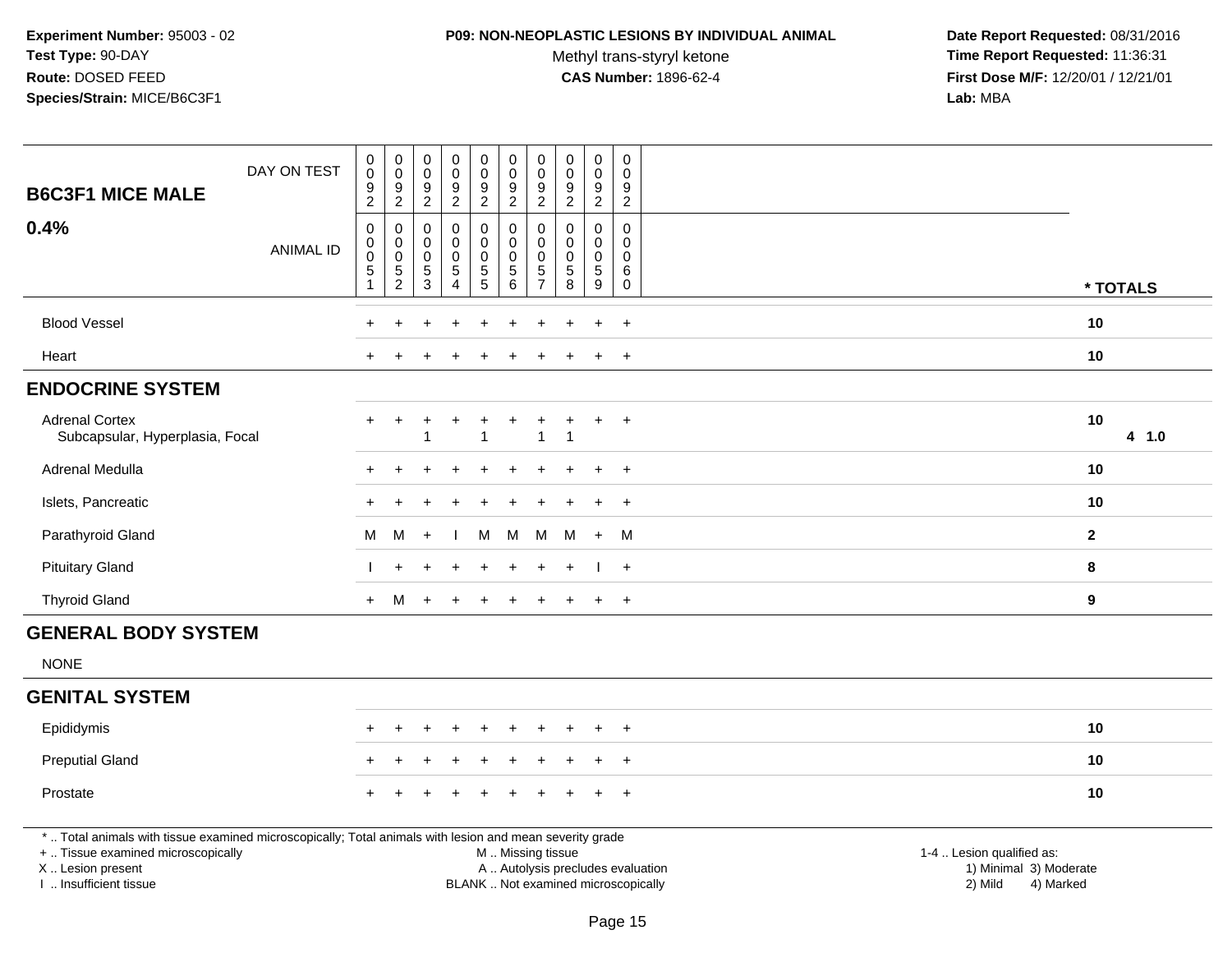#### **P09: NON-NEOPLASTIC LESIONS BY INDIVIDUAL ANIMAL**

Methyl trans-styryl ketone<br>CAS Number: 1896-62-4

|                                                                                                                                                | DAY ON TEST      | $\pmb{0}$<br>$\overline{0}$<br>$\boldsymbol{9}$                                 | $\pmb{0}$<br>$\pmb{0}$<br>$\boldsymbol{9}$   | $\mathbf 0$<br>$\mathbf 0$<br>$\boldsymbol{9}$      | $\pmb{0}$<br>$\ddot{\mathbf{0}}$<br>$\boldsymbol{9}$ | $\pmb{0}$<br>$\mathbf 0$<br>$9\,$                        | $\pmb{0}$<br>$\mathbf 0$<br>$\boldsymbol{9}$             | $\pmb{0}$<br>$\mathbf 0$<br>$\boldsymbol{9}$                              | $\pmb{0}$<br>$\mathbf 0$<br>9                                | $\pmb{0}$<br>$\mathbf 0$                                 | $\boldsymbol{0}$<br>$\Omega$<br>9                |                           |          |
|------------------------------------------------------------------------------------------------------------------------------------------------|------------------|---------------------------------------------------------------------------------|----------------------------------------------|-----------------------------------------------------|------------------------------------------------------|----------------------------------------------------------|----------------------------------------------------------|---------------------------------------------------------------------------|--------------------------------------------------------------|----------------------------------------------------------|--------------------------------------------------|---------------------------|----------|
| <b>B6C3F1 MICE MALE</b>                                                                                                                        |                  | $\overline{2}$                                                                  | $\sqrt{2}$                                   | $\overline{2}$                                      | $\overline{2}$                                       | $\overline{2}$                                           | $\overline{2}$                                           | $\overline{2}$                                                            | 2                                                            | $\frac{9}{2}$                                            | $\overline{2}$                                   |                           |          |
| 0.4%                                                                                                                                           | <b>ANIMAL ID</b> | $\boldsymbol{0}$<br>$\mathbf 0$<br>$\overline{0}$<br>$\sqrt{5}$<br>$\mathbf{1}$ | 0<br>$\pmb{0}$<br>$\pmb{0}$<br>$\frac{5}{2}$ | $\mathbf 0$<br>$\mathbf 0$<br>$\mathbf 0$<br>5<br>3 | 0<br>$\mathsf 0$<br>$\mathsf 0$<br>$\frac{5}{4}$     | $\mathbf 0$<br>$\pmb{0}$<br>$\mathbf 0$<br>$\frac{5}{5}$ | $\mathbf 0$<br>$\pmb{0}$<br>$\mathsf 0$<br>$\frac{5}{6}$ | $\mathbf 0$<br>$\mathbf 0$<br>$\mathbf 0$<br>$\sqrt{5}$<br>$\overline{7}$ | $\mathbf 0$<br>$\mathbf 0$<br>$\mathbf 0$<br>$\sqrt{5}$<br>8 | $\mathbf 0$<br>$\mathbf 0$<br>$\pmb{0}$<br>$\frac{5}{9}$ | 0<br>$\mathbf 0$<br>$\Omega$<br>6<br>$\mathbf 0$ |                           |          |
|                                                                                                                                                |                  |                                                                                 |                                              |                                                     |                                                      |                                                          |                                                          |                                                                           |                                                              |                                                          |                                                  |                           | * TOTALS |
| <b>Blood Vessel</b>                                                                                                                            |                  |                                                                                 |                                              |                                                     |                                                      |                                                          |                                                          |                                                                           |                                                              |                                                          | $\ddot{}$                                        | 10                        |          |
| Heart                                                                                                                                          |                  |                                                                                 |                                              |                                                     |                                                      |                                                          |                                                          |                                                                           |                                                              |                                                          | $\overline{+}$                                   | 10                        |          |
| <b>ENDOCRINE SYSTEM</b>                                                                                                                        |                  |                                                                                 |                                              |                                                     |                                                      |                                                          |                                                          |                                                                           |                                                              |                                                          |                                                  |                           |          |
| <b>Adrenal Cortex</b><br>Subcapsular, Hyperplasia, Focal                                                                                       |                  | $\ddot{}$                                                                       | $\ddot{}$                                    | ٠                                                   | $\ddot{}$                                            | $\ddot{}$                                                | $\ddot{}$                                                | +<br>1                                                                    | $\ddot{}$<br>$\overline{1}$                                  | $\ddot{}$                                                | $+$                                              | 10                        | 4 1.0    |
| Adrenal Medulla                                                                                                                                |                  |                                                                                 |                                              |                                                     |                                                      |                                                          |                                                          |                                                                           |                                                              | $\ddot{}$                                                | $+$                                              | 10                        |          |
| Islets, Pancreatic                                                                                                                             |                  |                                                                                 |                                              |                                                     |                                                      |                                                          |                                                          |                                                                           |                                                              |                                                          | $\ddot{}$                                        | 10                        |          |
| Parathyroid Gland                                                                                                                              |                  | M                                                                               | M                                            | $+$                                                 |                                                      | M                                                        | M                                                        | M                                                                         | M                                                            | $+$                                                      | M                                                | $\mathbf{2}$              |          |
| <b>Pituitary Gland</b>                                                                                                                         |                  |                                                                                 | $\ddot{}$                                    |                                                     |                                                      |                                                          |                                                          |                                                                           |                                                              |                                                          | $+$                                              | 8                         |          |
| <b>Thyroid Gland</b>                                                                                                                           |                  | $+$                                                                             | M                                            | $+$                                                 | $+$                                                  | $+$                                                      | $+$                                                      | $\ddot{}$                                                                 | $+$                                                          | $+$                                                      | $+$                                              | 9                         |          |
| <b>GENERAL BODY SYSTEM</b>                                                                                                                     |                  |                                                                                 |                                              |                                                     |                                                      |                                                          |                                                          |                                                                           |                                                              |                                                          |                                                  |                           |          |
| <b>NONE</b>                                                                                                                                    |                  |                                                                                 |                                              |                                                     |                                                      |                                                          |                                                          |                                                                           |                                                              |                                                          |                                                  |                           |          |
| <b>GENITAL SYSTEM</b>                                                                                                                          |                  |                                                                                 |                                              |                                                     |                                                      |                                                          |                                                          |                                                                           |                                                              |                                                          |                                                  |                           |          |
| Epididymis                                                                                                                                     |                  |                                                                                 |                                              |                                                     | $\div$                                               | $\ddot{}$                                                |                                                          |                                                                           |                                                              | $\ddot{+}$                                               | $\overline{+}$                                   | 10                        |          |
| <b>Preputial Gland</b>                                                                                                                         |                  |                                                                                 |                                              |                                                     |                                                      |                                                          |                                                          |                                                                           |                                                              |                                                          | $\overline{+}$                                   | 10                        |          |
| Prostate                                                                                                                                       |                  |                                                                                 |                                              |                                                     |                                                      |                                                          |                                                          |                                                                           |                                                              |                                                          | $+$                                              | 10                        |          |
| *  Total animals with tissue examined microscopically; Total animals with lesion and mean severity grade<br>+  Tissue examined microscopically |                  |                                                                                 |                                              |                                                     |                                                      |                                                          |                                                          |                                                                           |                                                              |                                                          |                                                  | 1-4  Lesion qualified as: |          |
| X  Lesion present                                                                                                                              |                  |                                                                                 |                                              |                                                     |                                                      |                                                          | M  Missing tissue<br>A  Autolysis precludes evaluation   |                                                                           |                                                              |                                                          |                                                  | 1) Minimal 3) Moderate    |          |
| I. Insufficient tissue                                                                                                                         |                  |                                                                                 |                                              |                                                     |                                                      |                                                          | BLANK  Not examined microscopically                      |                                                                           |                                                              |                                                          |                                                  | 2) Mild<br>4) Marked      |          |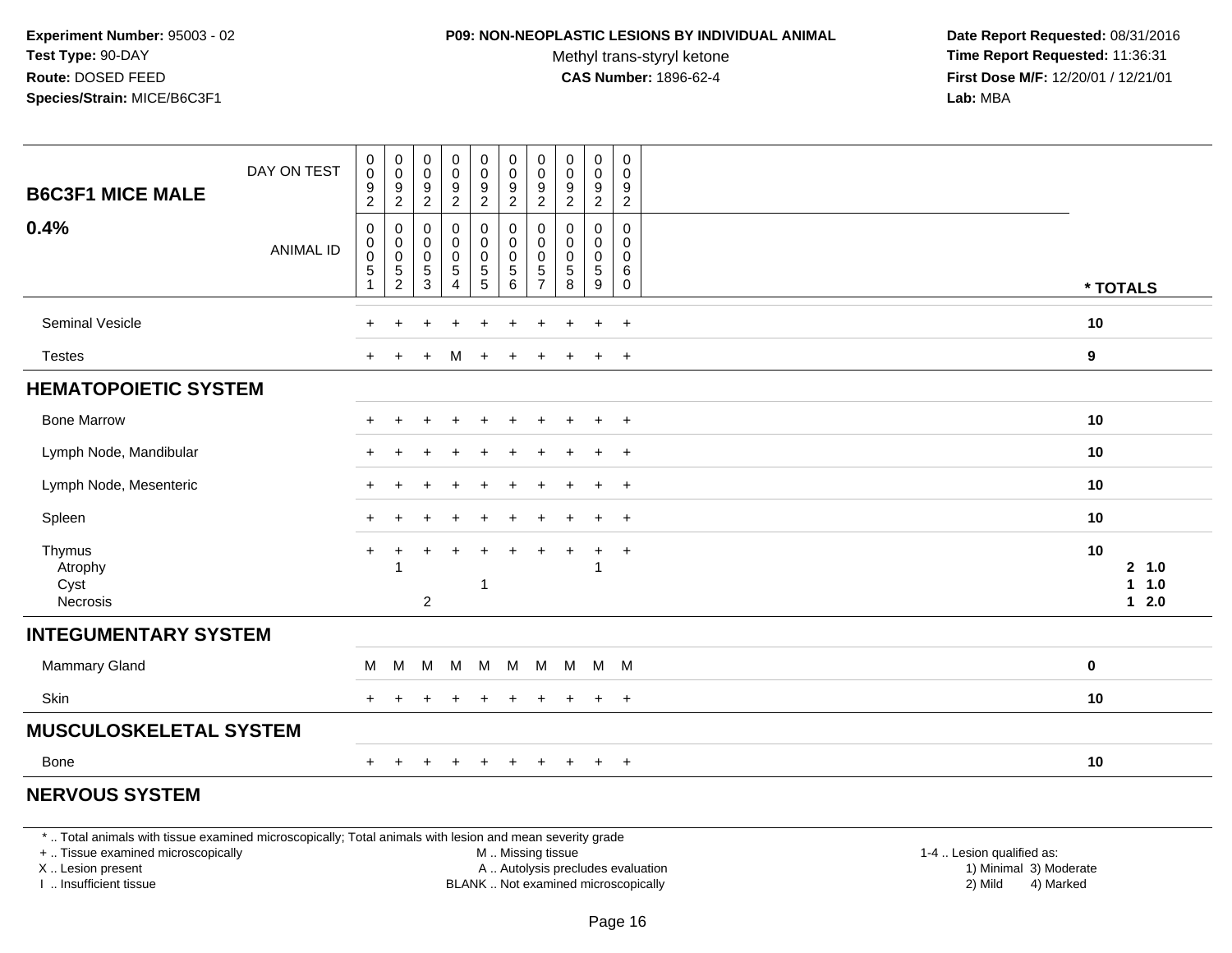#### **P09: NON-NEOPLASTIC LESIONS BY INDIVIDUAL ANIMAL**

Methyl trans-styryl ketone<br>CAS Number: 1896-62-4

 **Date Report Requested:** 08/31/2016 **Time Report Requested:** 11:36:31 **First Dose M/F:** 12/20/01 / 12/21/01<br>**Lab:** MBA **Lab:** MBA

| <b>B6C3F1 MICE MALE</b>               | DAY ON TEST      | $\begin{smallmatrix}0\0\0\end{smallmatrix}$<br>$\frac{9}{2}$                | $_{\rm 0}^{\rm 0}$<br>$\frac{9}{2}$                               | $\mathbf 0$<br>$\boldsymbol{0}$<br>$\frac{9}{2}$                  | $_0^0$<br>$\frac{9}{2}$                                                   | $\mathbf 0$<br>$\mathbf 0$<br>$\frac{9}{2}$             | $\pmb{0}$<br>$\pmb{0}$<br>$\frac{9}{2}$                          | $\mathbf 0$<br>$\pmb{0}$<br>$\frac{9}{2}$                                    | $\pmb{0}$<br>$\mathbf 0$<br>$\boldsymbol{9}$<br>$\overline{2}$ | 0<br>$\mathbf 0$<br>$\frac{9}{2}$                      | 0<br>$\mathsf 0$<br>$\frac{9}{2}$         |                                                           |
|---------------------------------------|------------------|-----------------------------------------------------------------------------|-------------------------------------------------------------------|-------------------------------------------------------------------|---------------------------------------------------------------------------|---------------------------------------------------------|------------------------------------------------------------------|------------------------------------------------------------------------------|----------------------------------------------------------------|--------------------------------------------------------|-------------------------------------------|-----------------------------------------------------------|
| 0.4%                                  | <b>ANIMAL ID</b> | $\mathbf 0$<br>$\mathbf 0$<br>$\mathbf 0$<br>$\overline{5}$<br>$\mathbf{1}$ | $\mathbf 0$<br>$_{\rm 0}^{\rm 0}$<br>$\overline{5}$<br>$\sqrt{2}$ | $\pmb{0}$<br>$\pmb{0}$<br>$\boldsymbol{0}$<br>$\overline{5}$<br>3 | $\pmb{0}$<br>$\pmb{0}$<br>$\mathbf 0$<br>$\overline{5}$<br>$\overline{4}$ | 0<br>$\pmb{0}$<br>$\mathsf{O}\xspace$<br>$\overline{5}$ | $\pmb{0}$<br>$\pmb{0}$<br>$\pmb{0}$<br>$\overline{5}$<br>$\,6\,$ | $\mathbf 0$<br>$\boldsymbol{0}$<br>$\pmb{0}$<br>$\sqrt{5}$<br>$\overline{7}$ | $\mathbf 0$<br>$\mathbf 0$<br>$\pmb{0}$<br>$\sqrt{5}$<br>8     | 0<br>$\mathbf 0$<br>$\mathbf 0$<br>$\sqrt{5}$<br>$9\,$ | 0<br>0<br>$\mathsf 0$<br>6<br>$\mathbf 0$ | * TOTALS                                                  |
| Seminal Vesicle                       |                  | ÷                                                                           | ╇                                                                 |                                                                   | ÷                                                                         |                                                         | $\ddot{}$                                                        | ٠                                                                            | $\ddot{}$                                                      | +                                                      | $^{+}$                                    | 10                                                        |
| <b>Testes</b>                         |                  | $\ddot{}$                                                                   |                                                                   | ÷                                                                 | M                                                                         | $\div$                                                  | $\div$                                                           | ÷                                                                            |                                                                | $\ddot{}$                                              | $^{+}$                                    | 9                                                         |
| <b>HEMATOPOIETIC SYSTEM</b>           |                  |                                                                             |                                                                   |                                                                   |                                                                           |                                                         |                                                                  |                                                                              |                                                                |                                                        |                                           |                                                           |
| <b>Bone Marrow</b>                    |                  |                                                                             |                                                                   |                                                                   |                                                                           |                                                         |                                                                  |                                                                              |                                                                | $\ddot{}$                                              | $+$                                       | 10                                                        |
| Lymph Node, Mandibular                |                  |                                                                             |                                                                   |                                                                   |                                                                           |                                                         |                                                                  |                                                                              |                                                                | $\ddot{}$                                              | $\ddot{}$                                 | 10                                                        |
| Lymph Node, Mesenteric                |                  | $\div$                                                                      |                                                                   |                                                                   |                                                                           |                                                         |                                                                  |                                                                              |                                                                | $\ddot{}$                                              | $^{+}$                                    | 10                                                        |
| Spleen                                |                  |                                                                             |                                                                   |                                                                   |                                                                           |                                                         |                                                                  |                                                                              |                                                                | $\ddot{}$                                              | $^{+}$                                    | 10                                                        |
| Thymus<br>Atrophy<br>Cyst<br>Necrosis |                  | $+$                                                                         | $\ddot{}$                                                         | ÷<br>$\overline{\mathbf{c}}$                                      | $\ddot{}$                                                                 | $\ddot{}$<br>-1                                         | $\ddot{}$                                                        | $\div$                                                                       | $\div$                                                         | $\ddot{}$<br>1                                         | $+$                                       | 10<br>2 1.0<br>1.0<br>$\mathbf{1}$<br>2.0<br>$\mathbf{1}$ |
| <b>INTEGUMENTARY SYSTEM</b>           |                  |                                                                             |                                                                   |                                                                   |                                                                           |                                                         |                                                                  |                                                                              |                                                                |                                                        |                                           |                                                           |
| Mammary Gland                         |                  | м                                                                           | M                                                                 | M                                                                 | M                                                                         | M                                                       | M                                                                | M                                                                            | M                                                              |                                                        | $M$ $M$                                   | 0                                                         |
| Skin                                  |                  | $\ddot{}$                                                                   |                                                                   |                                                                   |                                                                           | $\div$                                                  | $\ddot{}$                                                        | ÷                                                                            |                                                                | $\ddot{}$                                              | $^{+}$                                    | 10                                                        |
| <b>MUSCULOSKELETAL SYSTEM</b>         |                  |                                                                             |                                                                   |                                                                   |                                                                           |                                                         |                                                                  |                                                                              |                                                                |                                                        |                                           |                                                           |
| <b>Bone</b>                           |                  | $+$                                                                         | $\ddot{}$                                                         | +                                                                 | $\ddot{}$                                                                 | $+$                                                     | $+$                                                              | $+$                                                                          | $+$                                                            | $+$                                                    | $+$                                       | 10                                                        |
| <b>NERVOUS SYSTEM</b>                 |                  |                                                                             |                                                                   |                                                                   |                                                                           |                                                         |                                                                  |                                                                              |                                                                |                                                        |                                           |                                                           |

\* .. Total animals with tissue examined microscopically; Total animals with lesion and mean severity grade

+ .. Tissue examined microscopically

X .. Lesion present

I .. Insufficient tissue

 M .. Missing tissueA .. Autolysis precludes evaluation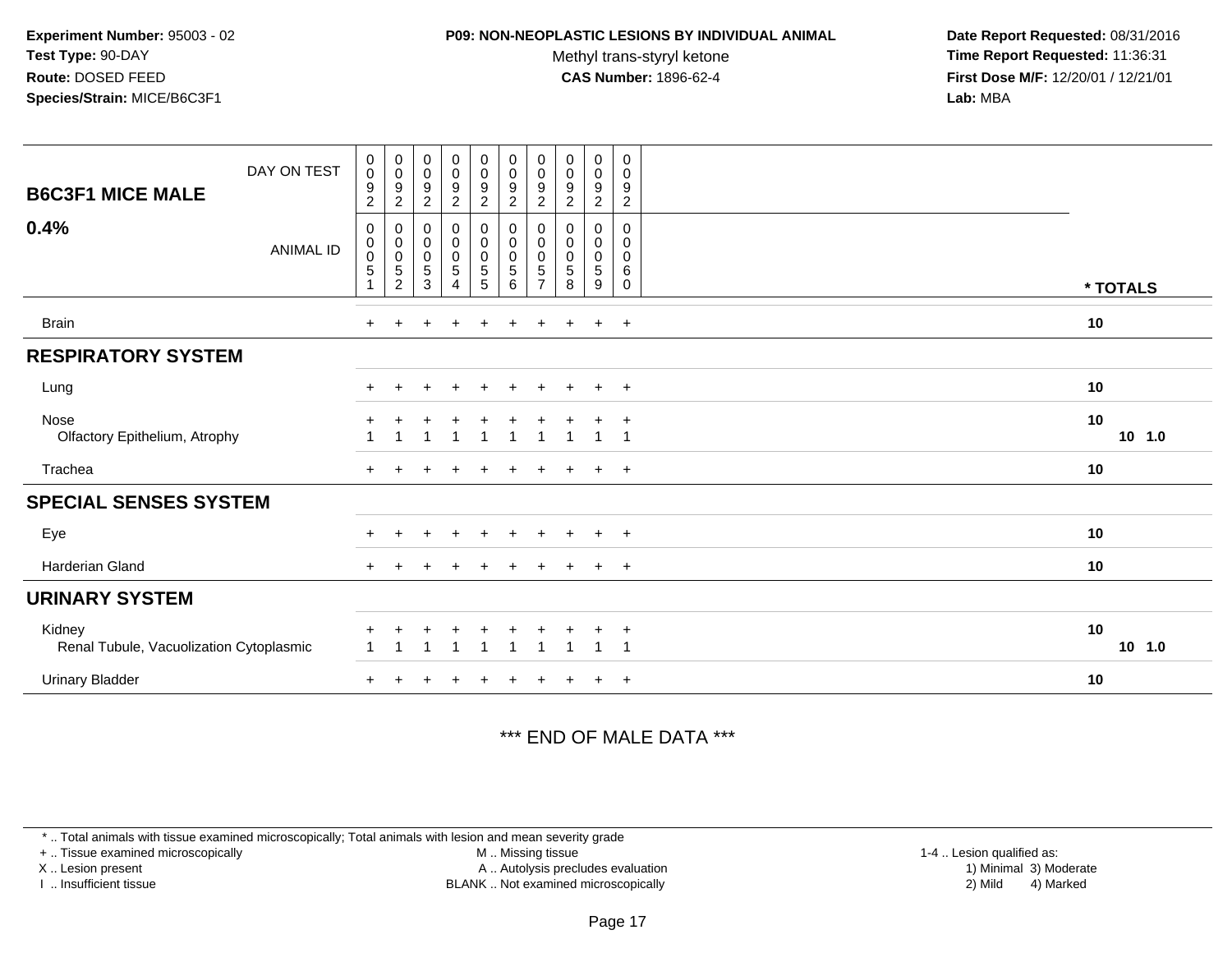#### **P09: NON-NEOPLASTIC LESIONS BY INDIVIDUAL ANIMAL**

Methyl trans-styryl ketone<br>CAS Number: 1896-62-4

 **Date Report Requested:** 08/31/2016 **Time Report Requested:** 11:36:31 **First Dose M/F:** 12/20/01 / 12/21/01<br>**Lab:** MBA **Lab:** MBA

| DAY ON TEST<br><b>B6C3F1 MICE MALE</b>            | $_{\rm 0}^{\rm 0}$<br>$\boldsymbol{9}$<br>$\overline{c}$ | $\begin{array}{c} 0 \\ 0 \\ 9 \\ 2 \end{array}$                  | $_{\rm 0}^{\rm 0}$<br>$\boldsymbol{9}$<br>$\sqrt{2}$                  | $\begin{smallmatrix}0\0\0\end{smallmatrix}$<br>9<br>$\overline{c}$ | $\begin{smallmatrix} 0\\0 \end{smallmatrix}$<br>$\boldsymbol{9}$<br>$\overline{2}$ | $_{\rm 0}^{\rm 0}$<br>$\boldsymbol{9}$<br>$\sqrt{2}$          | $\begin{smallmatrix} 0\\0 \end{smallmatrix}$<br>9<br>$\overline{2}$ | $\begin{smallmatrix}0\\0\end{smallmatrix}$<br>$\boldsymbol{9}$<br>$\overline{2}$ | 0<br>$\mathbf 0$<br>$\boldsymbol{9}$<br>$\overline{c}$ | $\boldsymbol{0}$<br>$\mathbf 0$<br>$\boldsymbol{9}$<br>$\sqrt{2}$ |                |
|---------------------------------------------------|----------------------------------------------------------|------------------------------------------------------------------|-----------------------------------------------------------------------|--------------------------------------------------------------------|------------------------------------------------------------------------------------|---------------------------------------------------------------|---------------------------------------------------------------------|----------------------------------------------------------------------------------|--------------------------------------------------------|-------------------------------------------------------------------|----------------|
| 0.4%<br><b>ANIMAL ID</b>                          | 0<br>$\,0\,$<br>$\pmb{0}$<br>$\overline{5}$              | 0<br>$\begin{matrix} 0 \\ 0 \\ 5 \end{matrix}$<br>$\overline{2}$ | $\pmb{0}$<br>$\pmb{0}$<br>$\pmb{0}$<br>$\overline{5}$<br>$\mathbf{3}$ | 0<br>$\pmb{0}$<br>$\pmb{0}$<br>$\overline{5}$<br>4                 | 0<br>$\pmb{0}$<br>$\pmb{0}$<br>$\overline{5}$<br>$5\phantom{.0}$                   | $\pmb{0}$<br>$\pmb{0}$<br>$\pmb{0}$<br>$\,$ 5 $\,$<br>$\,6\,$ | 0<br>0<br>$\mathbf 0$<br>$\sqrt{5}$<br>$\overline{7}$               | 0<br>0<br>0<br>$\sqrt{5}$<br>8                                                   | 0<br>$\mathbf 0$<br>$\mathbf 0$<br>5<br>9              | 0<br>$\mathbf 0$<br>$\mathbf 0$<br>6<br>0                         | * TOTALS       |
| <b>Brain</b>                                      | $\pm$                                                    |                                                                  |                                                                       |                                                                    |                                                                                    |                                                               |                                                                     |                                                                                  | $\pm$                                                  | $+$                                                               | 10             |
| <b>RESPIRATORY SYSTEM</b>                         |                                                          |                                                                  |                                                                       |                                                                    |                                                                                    |                                                               |                                                                     |                                                                                  |                                                        |                                                                   |                |
| Lung                                              | $+$                                                      |                                                                  |                                                                       |                                                                    |                                                                                    | $\div$                                                        |                                                                     |                                                                                  | $\pm$                                                  | $^{+}$                                                            | 10             |
| Nose<br>Olfactory Epithelium, Atrophy             |                                                          |                                                                  |                                                                       |                                                                    |                                                                                    |                                                               |                                                                     |                                                                                  |                                                        |                                                                   | 10<br>$10$ 1.0 |
| Trachea                                           |                                                          |                                                                  |                                                                       |                                                                    |                                                                                    |                                                               |                                                                     |                                                                                  | $\div$                                                 | $+$                                                               | 10             |
| <b>SPECIAL SENSES SYSTEM</b>                      |                                                          |                                                                  |                                                                       |                                                                    |                                                                                    |                                                               |                                                                     |                                                                                  |                                                        |                                                                   |                |
| Eye                                               |                                                          |                                                                  |                                                                       |                                                                    |                                                                                    |                                                               |                                                                     |                                                                                  | $\ddot{}$                                              | $\overline{+}$                                                    | 10             |
| Harderian Gland                                   | $\ddot{}$                                                |                                                                  |                                                                       | $\ddot{}$                                                          | $\ddot{}$                                                                          | $\ddot{}$                                                     | $\ddot{}$                                                           | $\overline{+}$                                                                   | $+$                                                    | $+$                                                               | 10             |
| <b>URINARY SYSTEM</b>                             |                                                          |                                                                  |                                                                       |                                                                    |                                                                                    |                                                               |                                                                     |                                                                                  |                                                        |                                                                   |                |
| Kidney<br>Renal Tubule, Vacuolization Cytoplasmic |                                                          |                                                                  |                                                                       |                                                                    |                                                                                    |                                                               |                                                                     |                                                                                  |                                                        | $\div$                                                            | 10<br>10, 1.0  |
| <b>Urinary Bladder</b>                            |                                                          |                                                                  |                                                                       |                                                                    |                                                                                    |                                                               |                                                                     |                                                                                  |                                                        | $^{+}$                                                            | 10             |

### \*\*\* END OF MALE DATA \*\*\*

\* .. Total animals with tissue examined microscopically; Total animals with lesion and mean severity grade

+ .. Tissue examined microscopically

X .. Lesion present

I .. Insufficient tissue

 M .. Missing tissueA .. Autolysis precludes evaluation

BLANK .. Not examined microscopically 2) Mild 4) Marked

1-4 .. Lesion qualified as:<br>1) Minimal 3) Moderate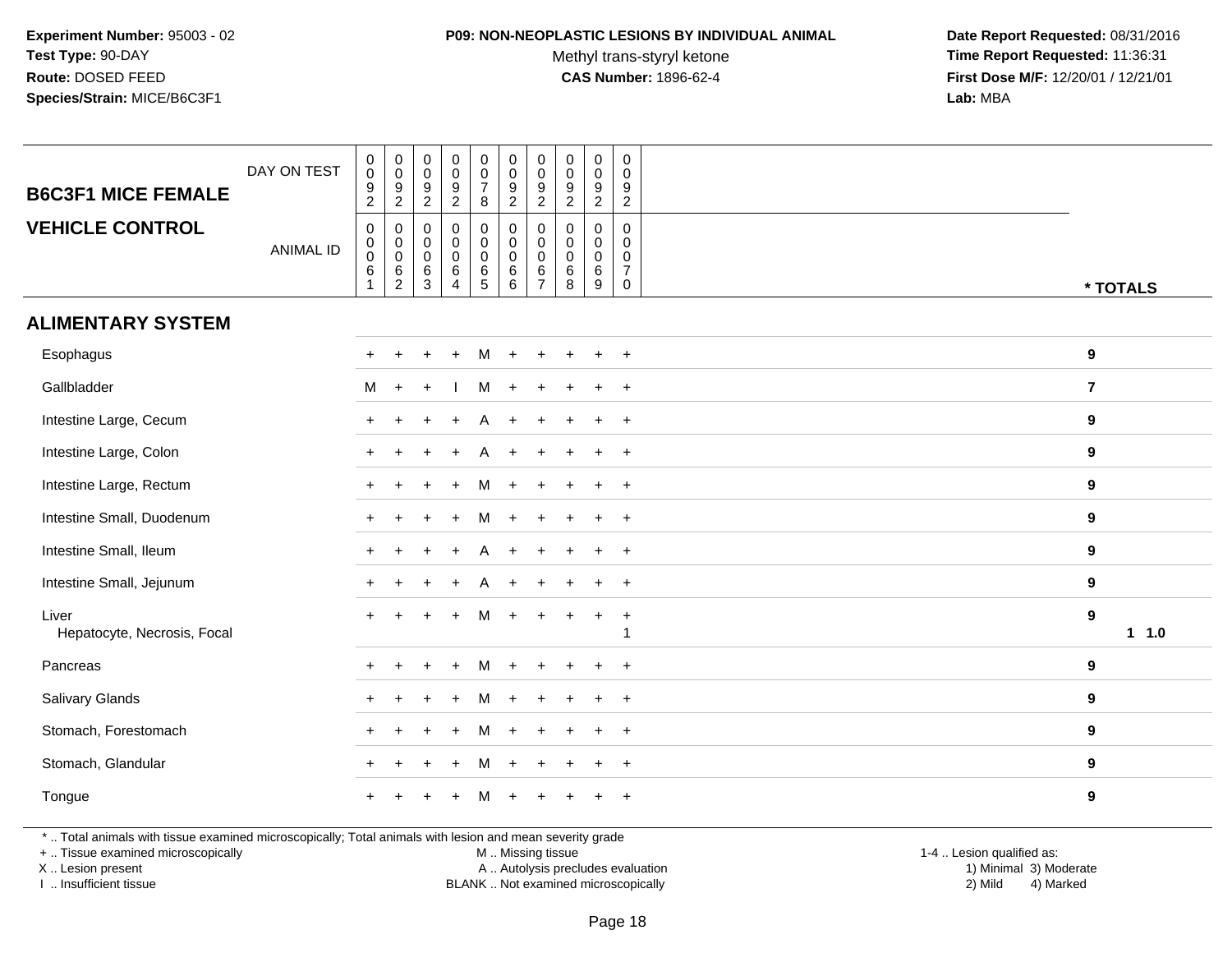#### **P09: NON-NEOPLASTIC LESIONS BY INDIVIDUAL ANIMAL**

Methyl trans-styryl ketone<br>CAS Number: 1896-62-4

 **Date Report Requested:** 08/31/2016 **Time Report Requested:** 11:36:31 **First Dose M/F:** 12/20/01 / 12/21/01<br>**Lab:** MBA **Lab:** MBA

| <b>B6C3F1 MICE FEMALE</b><br><b>VEHICLE CONTROL</b> | DAY ON TEST<br><b>ANIMAL ID</b> | $\begin{smallmatrix}0\\0\end{smallmatrix}$<br>$\frac{9}{2}$<br>$\mathbf 0$<br>$\mathbf 0$<br>$\bar{0}$<br>6<br>1 | $\begin{array}{c} 0 \\ 0 \\ 9 \\ 2 \end{array}$<br>0<br>$\mathsf{O}\xspace$<br>$\overline{0}$ 6<br>$\overline{2}$ | $\begin{smallmatrix} 0\\0 \end{smallmatrix}$<br>$\frac{9}{2}$<br>$\boldsymbol{0}$<br>$\mathbf 0$<br>$\ddot{\mathbf{0}}$<br>$^6_3$ | $\begin{array}{c} 0 \\ 0 \\ 9 \\ 2 \end{array}$<br>$\mathsf{O}\xspace$<br>$\overline{0}$<br>0<br>$\,6$<br>$\overline{4}$ | $\begin{matrix} 0 \\ 0 \\ 7 \end{matrix}$<br>8<br>$\mathbf 0$<br>$\overline{0}$<br>0<br>$\overline{6}$<br>5 | $\begin{smallmatrix} 0\\0 \end{smallmatrix}$<br>$\frac{9}{2}$<br>$\mathbf 0$<br>$\overline{0}$<br>$\,6\,$<br>6 | $\mathbf 0$<br>$\mathbf 0$<br>9<br>$\overline{c}$<br>$\mathbf 0$<br>0<br>$\Omega$<br>6<br>$\overline{7}$ | $\begin{smallmatrix}0\0\0\end{smallmatrix}$<br>$\frac{9}{2}$<br>$\mathbf 0$<br>$\pmb{0}$<br>$\mathbf 0$<br>$\,6$<br>8 | $\begin{smallmatrix}0\0\0\end{smallmatrix}$<br>$\frac{9}{2}$<br>$\mathsf{O}$<br>$\mathbf 0$<br>$\mathsf{O}\xspace$<br>$\overline{6}$<br>9 | $\mathsf{O}$<br>0<br>9<br>$\overline{2}$<br>$\mathbf 0$<br>$\mathbf{0}$<br>0<br>$\overline{7}$<br>0 |                |
|-----------------------------------------------------|---------------------------------|------------------------------------------------------------------------------------------------------------------|-------------------------------------------------------------------------------------------------------------------|-----------------------------------------------------------------------------------------------------------------------------------|--------------------------------------------------------------------------------------------------------------------------|-------------------------------------------------------------------------------------------------------------|----------------------------------------------------------------------------------------------------------------|----------------------------------------------------------------------------------------------------------|-----------------------------------------------------------------------------------------------------------------------|-------------------------------------------------------------------------------------------------------------------------------------------|-----------------------------------------------------------------------------------------------------|----------------|
| <b>ALIMENTARY SYSTEM</b>                            |                                 |                                                                                                                  |                                                                                                                   |                                                                                                                                   |                                                                                                                          |                                                                                                             |                                                                                                                |                                                                                                          |                                                                                                                       |                                                                                                                                           |                                                                                                     | * TOTALS       |
|                                                     |                                 |                                                                                                                  |                                                                                                                   |                                                                                                                                   |                                                                                                                          |                                                                                                             |                                                                                                                |                                                                                                          |                                                                                                                       |                                                                                                                                           |                                                                                                     |                |
| Esophagus                                           |                                 |                                                                                                                  |                                                                                                                   |                                                                                                                                   |                                                                                                                          | м                                                                                                           |                                                                                                                |                                                                                                          |                                                                                                                       | $\ddot{}$                                                                                                                                 | $+$                                                                                                 | 9              |
| Gallbladder                                         |                                 | M                                                                                                                | $+$                                                                                                               | $\ddot{}$                                                                                                                         |                                                                                                                          | М                                                                                                           | $\ddot{}$                                                                                                      | $\div$                                                                                                   |                                                                                                                       | $+$                                                                                                                                       | $+$                                                                                                 | $\overline{7}$ |
| Intestine Large, Cecum                              |                                 |                                                                                                                  |                                                                                                                   |                                                                                                                                   |                                                                                                                          |                                                                                                             |                                                                                                                |                                                                                                          |                                                                                                                       | $\ddot{}$                                                                                                                                 | $\overline{+}$                                                                                      | 9              |
| Intestine Large, Colon                              |                                 |                                                                                                                  | $\ddot{}$                                                                                                         |                                                                                                                                   |                                                                                                                          | A                                                                                                           |                                                                                                                |                                                                                                          |                                                                                                                       | $\ddot{}$                                                                                                                                 | $+$                                                                                                 | 9              |
| Intestine Large, Rectum                             |                                 |                                                                                                                  |                                                                                                                   |                                                                                                                                   |                                                                                                                          |                                                                                                             |                                                                                                                |                                                                                                          |                                                                                                                       | $\ddot{}$                                                                                                                                 | $+$                                                                                                 | 9              |
| Intestine Small, Duodenum                           |                                 |                                                                                                                  |                                                                                                                   |                                                                                                                                   |                                                                                                                          | м                                                                                                           |                                                                                                                | ÷                                                                                                        |                                                                                                                       | $\ddot{}$                                                                                                                                 | $+$                                                                                                 | $\bf{9}$       |
| Intestine Small, Ileum                              |                                 |                                                                                                                  |                                                                                                                   |                                                                                                                                   |                                                                                                                          | A                                                                                                           | ÷.                                                                                                             |                                                                                                          |                                                                                                                       | $\overline{+}$                                                                                                                            | $+$                                                                                                 | 9              |
| Intestine Small, Jejunum                            |                                 |                                                                                                                  |                                                                                                                   |                                                                                                                                   |                                                                                                                          | А                                                                                                           |                                                                                                                |                                                                                                          |                                                                                                                       | $\ddot{}$                                                                                                                                 | $\overline{+}$                                                                                      | 9              |
| Liver<br>Hepatocyte, Necrosis, Focal                |                                 |                                                                                                                  |                                                                                                                   |                                                                                                                                   |                                                                                                                          | М                                                                                                           |                                                                                                                |                                                                                                          |                                                                                                                       | $+$                                                                                                                                       | $\ddot{}$                                                                                           | 9<br>1 1.0     |
| Pancreas                                            |                                 |                                                                                                                  |                                                                                                                   |                                                                                                                                   |                                                                                                                          |                                                                                                             |                                                                                                                |                                                                                                          |                                                                                                                       | ÷.                                                                                                                                        | $\ddot{}$                                                                                           | 9              |
| Salivary Glands                                     |                                 |                                                                                                                  |                                                                                                                   |                                                                                                                                   |                                                                                                                          | м                                                                                                           |                                                                                                                |                                                                                                          |                                                                                                                       | $\ddot{}$                                                                                                                                 | $+$                                                                                                 | 9              |
| Stomach, Forestomach                                |                                 |                                                                                                                  |                                                                                                                   |                                                                                                                                   |                                                                                                                          | м                                                                                                           |                                                                                                                |                                                                                                          |                                                                                                                       | $\ddot{}$                                                                                                                                 | $+$                                                                                                 | 9              |
| Stomach, Glandular                                  |                                 |                                                                                                                  | $\ddot{}$                                                                                                         |                                                                                                                                   | $\ddot{}$                                                                                                                | M                                                                                                           | $\ddot{}$                                                                                                      | $\ddot{}$                                                                                                |                                                                                                                       | $\ddot{}$                                                                                                                                 | $+$                                                                                                 | 9              |
| Tongue                                              |                                 |                                                                                                                  |                                                                                                                   |                                                                                                                                   |                                                                                                                          |                                                                                                             |                                                                                                                |                                                                                                          |                                                                                                                       |                                                                                                                                           | $+$                                                                                                 | 9              |

\* .. Total animals with tissue examined microscopically; Total animals with lesion and mean severity grade

+ .. Tissue examined microscopically

X .. Lesion present

I .. Insufficient tissue

M .. Missing tissue

 Lesion present A .. Autolysis precludes evaluation 1) Minimal 3) ModerateBLANK .. Not examined microscopically 2) Mild 4) Marked

1-4 .. Lesion qualified as:<br>1) Minimal 3) Moderate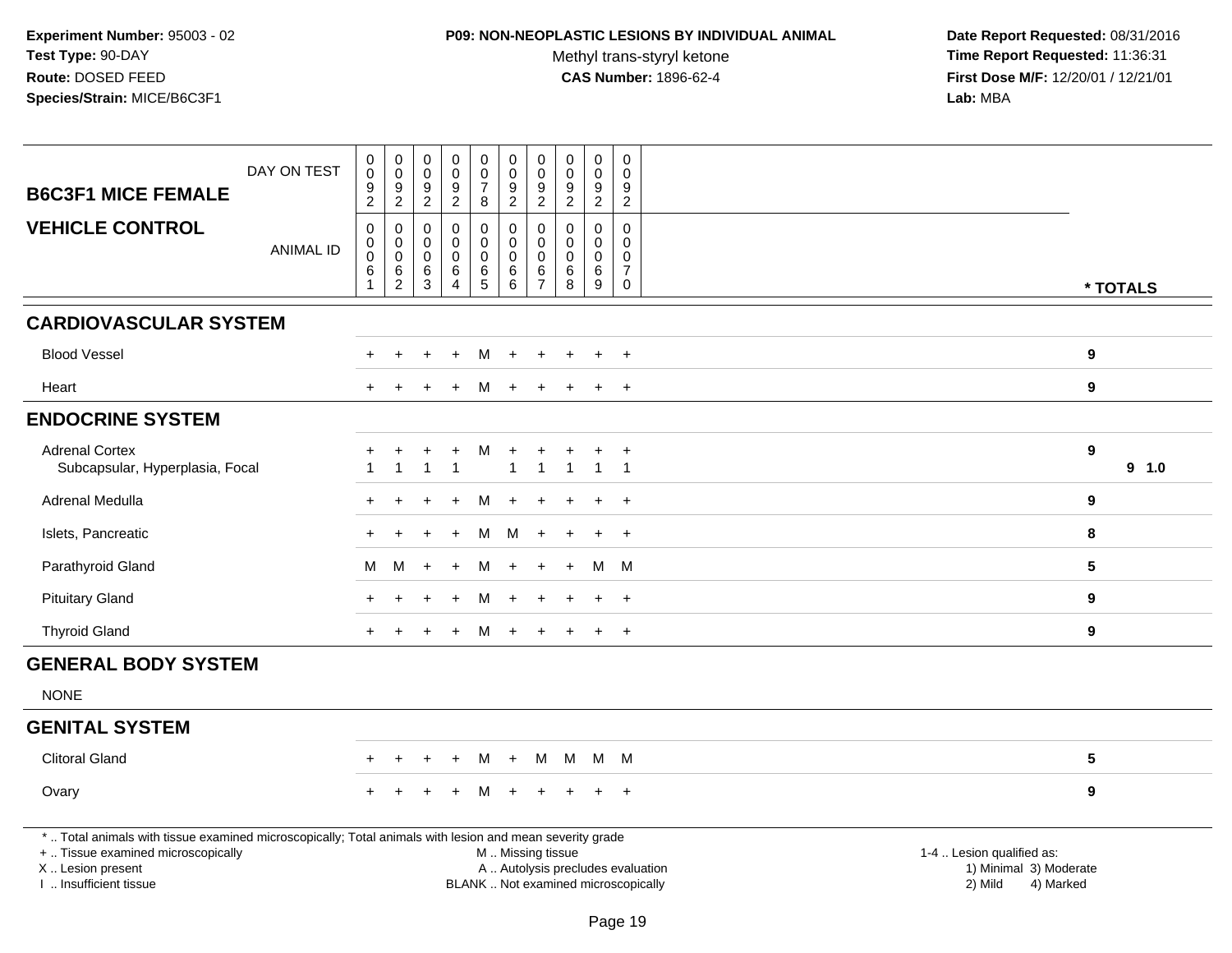### **P09: NON-NEOPLASTIC LESIONS BY INDIVIDUAL ANIMAL**

Methyl trans-styryl ketone<br>CAS Number: 1896-62-4

| <b>B6C3F1 MICE FEMALE</b>                                                                                                                                                                    | DAY ON TEST      | $\pmb{0}$<br>$\mathsf 0$<br>9            | $\pmb{0}$<br>$\mathbf 0$<br>$\boldsymbol{9}$        | $\begin{smallmatrix} 0\\0 \end{smallmatrix}$<br>$\boldsymbol{9}$ | 0<br>$\mathsf{O}\xspace$<br>$\overline{9}$ | $_{\rm 0}^{\rm 0}$<br>$\overline{7}$ | $\pmb{0}$<br>$\pmb{0}$<br>$\boldsymbol{9}$           | $\pmb{0}$<br>$\boldsymbol{0}$<br>9          | $\pmb{0}$<br>$\mathbf 0$<br>$\boldsymbol{9}$   | $\pmb{0}$<br>$\mathbf 0$<br>9        | $\pmb{0}$<br>$\mathbf 0$<br>$\boldsymbol{9}$      |                                                                                                                  |          |
|----------------------------------------------------------------------------------------------------------------------------------------------------------------------------------------------|------------------|------------------------------------------|-----------------------------------------------------|------------------------------------------------------------------|--------------------------------------------|--------------------------------------|------------------------------------------------------|---------------------------------------------|------------------------------------------------|--------------------------------------|---------------------------------------------------|------------------------------------------------------------------------------------------------------------------|----------|
|                                                                                                                                                                                              |                  | $\overline{2}$                           | $\boldsymbol{2}$                                    | $\overline{a}$                                                   | $\overline{a}$                             | 8                                    | $\overline{2}$                                       | $\overline{2}$                              | $\overline{2}$                                 | $\overline{a}$                       | $\overline{2}$                                    |                                                                                                                  |          |
| <b>VEHICLE CONTROL</b>                                                                                                                                                                       | <b>ANIMAL ID</b> | $\mathbf 0$<br>0<br>$\mathbf 0$<br>$\,6$ | $\mathbf 0$<br>$\boldsymbol{0}$<br>$\mathbf 0$<br>6 | $\mathbf 0$<br>$\mathbf 0$<br>$\mathbf 0$<br>6                   | 0<br>$\mathbf 0$<br>$\mathbf 0$<br>6       | 0<br>$\mathbf 0$<br>0<br>$^6$ 5      | $\mathbf 0$<br>$\mathbf 0$<br>$\mathbf 0$<br>$\,6\,$ | $\mathbf 0$<br>$\mathbf 0$<br>$\Omega$<br>6 | $\mathbf 0$<br>$\mathbf 0$<br>$\mathbf 0$<br>6 | 0<br>$\mathbf 0$<br>$\mathbf 0$<br>6 | $\mathbf 0$<br>$\mathbf 0$<br>0<br>$\overline{7}$ |                                                                                                                  |          |
|                                                                                                                                                                                              |                  | $\overline{1}$                           | $\sqrt{2}$                                          | $\mathbf{3}$                                                     | $\overline{4}$                             |                                      | $\,6\,$                                              | $\overline{7}$                              | 8                                              | $\boldsymbol{9}$                     | $\mathsf{O}$                                      |                                                                                                                  | * TOTALS |
| <b>CARDIOVASCULAR SYSTEM</b>                                                                                                                                                                 |                  |                                          |                                                     |                                                                  |                                            |                                      |                                                      |                                             |                                                |                                      |                                                   |                                                                                                                  |          |
| <b>Blood Vessel</b>                                                                                                                                                                          |                  |                                          |                                                     |                                                                  |                                            | м                                    |                                                      |                                             |                                                |                                      |                                                   | $\boldsymbol{9}$                                                                                                 |          |
| Heart                                                                                                                                                                                        |                  |                                          |                                                     |                                                                  | $\ddot{}$                                  | М                                    | $\div$                                               |                                             |                                                | $\ddot{}$                            | $\ddot{}$                                         | $\boldsymbol{9}$                                                                                                 |          |
| <b>ENDOCRINE SYSTEM</b>                                                                                                                                                                      |                  |                                          |                                                     |                                                                  |                                            |                                      |                                                      |                                             |                                                |                                      |                                                   |                                                                                                                  |          |
| <b>Adrenal Cortex</b><br>Subcapsular, Hyperplasia, Focal                                                                                                                                     |                  | $\overline{1}$                           | $\mathbf{1}$                                        | $\mathbf 1$                                                      | $\ddot{}$<br>$\overline{1}$                | м                                    | $\ddot{}$<br>$\overline{1}$                          | $\overline{1}$                              | $\overline{1}$                                 | $\mathbf{1}$                         | $\ddot{}$<br>$\overline{1}$                       | 9                                                                                                                | 9 1.0    |
| Adrenal Medulla                                                                                                                                                                              |                  |                                          |                                                     |                                                                  |                                            | M                                    |                                                      |                                             |                                                |                                      | $+$                                               | 9                                                                                                                |          |
| Islets, Pancreatic                                                                                                                                                                           |                  |                                          |                                                     |                                                                  |                                            | M                                    | M                                                    |                                             |                                                | $\ddot{}$                            | $+$                                               | 8                                                                                                                |          |
| Parathyroid Gland                                                                                                                                                                            |                  | M                                        | М                                                   |                                                                  | $\ddot{}$                                  | м                                    |                                                      |                                             |                                                | м                                    | M                                                 | 5                                                                                                                |          |
| <b>Pituitary Gland</b>                                                                                                                                                                       |                  |                                          |                                                     |                                                                  |                                            | M                                    |                                                      |                                             |                                                | $\ddot{}$                            | $+$                                               | 9                                                                                                                |          |
| <b>Thyroid Gland</b>                                                                                                                                                                         |                  | $+$                                      |                                                     |                                                                  | $\ddot{}$                                  | M                                    | $+$                                                  | $+$                                         | $\ddot{}$                                      | $+$                                  | $+$                                               | 9                                                                                                                |          |
| <b>GENERAL BODY SYSTEM</b>                                                                                                                                                                   |                  |                                          |                                                     |                                                                  |                                            |                                      |                                                      |                                             |                                                |                                      |                                                   |                                                                                                                  |          |
| <b>NONE</b>                                                                                                                                                                                  |                  |                                          |                                                     |                                                                  |                                            |                                      |                                                      |                                             |                                                |                                      |                                                   |                                                                                                                  |          |
| <b>GENITAL SYSTEM</b>                                                                                                                                                                        |                  |                                          |                                                     |                                                                  |                                            |                                      |                                                      |                                             |                                                |                                      |                                                   |                                                                                                                  |          |
| <b>Clitoral Gland</b>                                                                                                                                                                        |                  |                                          |                                                     |                                                                  |                                            | M                                    | $+$                                                  | M                                           |                                                | M M M                                |                                                   | 5                                                                                                                |          |
| Ovary                                                                                                                                                                                        |                  |                                          |                                                     |                                                                  |                                            | M                                    |                                                      |                                             |                                                | $\ddot{}$                            | $+$                                               | 9                                                                                                                |          |
| *  Total animals with tissue examined microscopically; Total animals with lesion and mean severity grade<br>+  Tissue examined microscopically<br>X Lesion present<br>I. Insufficient tissue |                  |                                          |                                                     |                                                                  |                                            |                                      | M  Missing tissue                                    |                                             | BLANK  Not examined microscopically            |                                      |                                                   | 1-4  Lesion qualified as:<br>A  Autolysis precludes evaluation<br>1) Minimal 3) Moderate<br>2) Mild<br>4) Marked |          |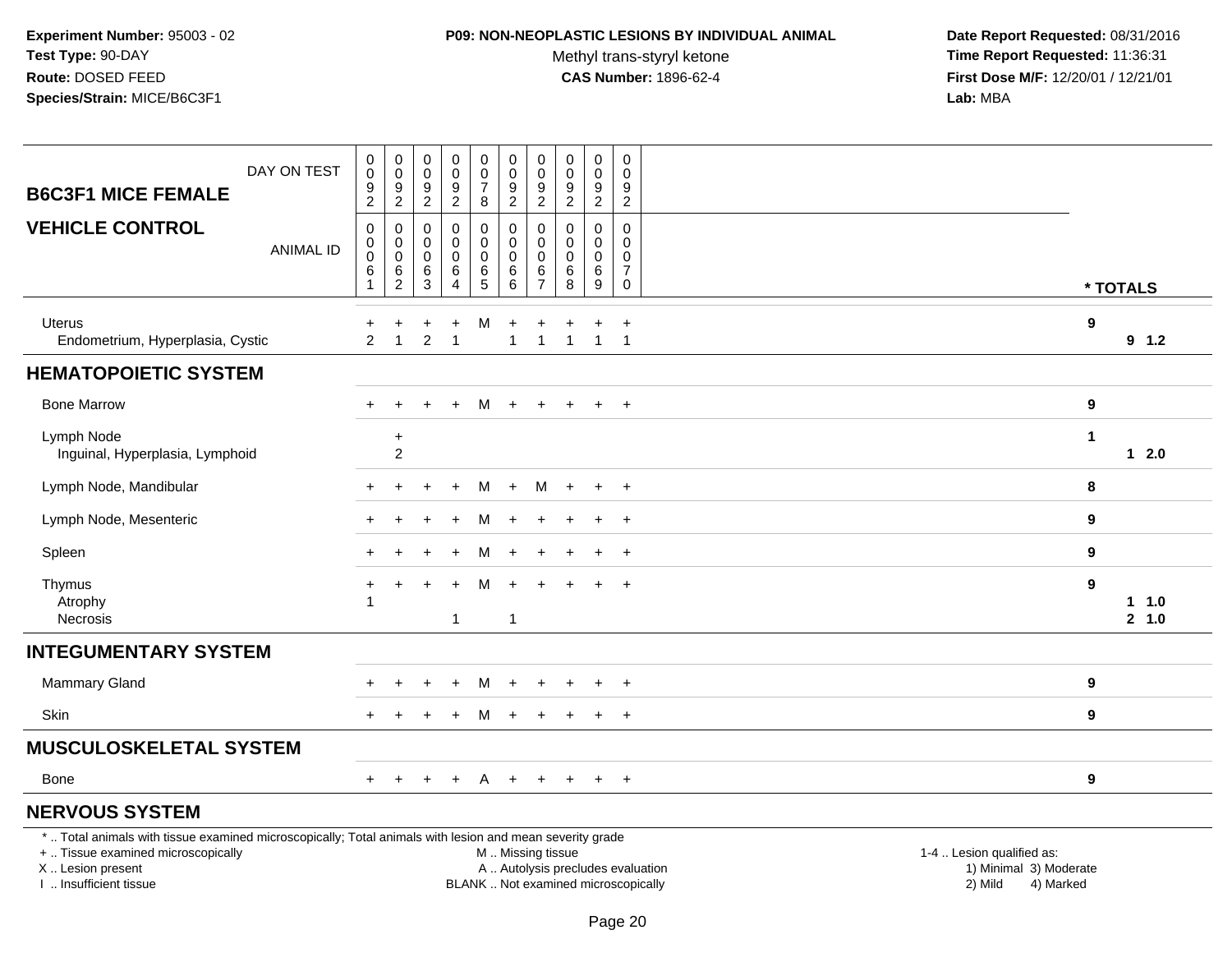### **P09: NON-NEOPLASTIC LESIONS BY INDIVIDUAL ANIMAL**

Methyl trans-styryl ketone<br>CAS Number: 1896-62-4

| DAY ON TEST<br><b>B6C3F1 MICE FEMALE</b>                                                                                                                                                      | $\pmb{0}$<br>$\pmb{0}$<br>9<br>$\sqrt{2}$                         | $\pmb{0}$<br>$\mathsf 0$<br>9<br>$\overline{c}$ | 0<br>0<br>9<br>$\overline{2}$ | $\pmb{0}$<br>$\mathsf 0$<br>$\boldsymbol{9}$<br>$\overline{c}$ | $\pmb{0}$<br>0<br>$\overline{7}$<br>8                          | $\pmb{0}$<br>$\mathbf 0$<br>9<br>$\overline{2}$                | $\pmb{0}$<br>$\mathbf 0$<br>$9\,$<br>$\sqrt{2}$                  | 0<br>$\mathbf 0$<br>9<br>$\boldsymbol{2}$      | $\pmb{0}$<br>$\mathbf 0$<br>$\boldsymbol{9}$<br>$\overline{2}$ | 0<br>$\mathbf 0$<br>9<br>$\overline{2}$                          |                                                                                                                  |                |
|-----------------------------------------------------------------------------------------------------------------------------------------------------------------------------------------------|-------------------------------------------------------------------|-------------------------------------------------|-------------------------------|----------------------------------------------------------------|----------------------------------------------------------------|----------------------------------------------------------------|------------------------------------------------------------------|------------------------------------------------|----------------------------------------------------------------|------------------------------------------------------------------|------------------------------------------------------------------------------------------------------------------|----------------|
| <b>VEHICLE CONTROL</b><br><b>ANIMAL ID</b>                                                                                                                                                    | $\boldsymbol{0}$<br>$\pmb{0}$<br>$\mathbf 0$<br>6<br>$\mathbf{1}$ | 0<br>0<br>$\pmb{0}$<br>6<br>$\overline{c}$      | 0<br>0<br>$\pmb{0}$<br>6<br>3 | $\mathbf 0$<br>$\mathbf 0$<br>$\pmb{0}$<br>6<br>$\overline{4}$ | 0<br>$\mathbf 0$<br>$\mathsf{O}\xspace$<br>6<br>$\overline{5}$ | $\mathbf 0$<br>$\mathbf 0$<br>$\boldsymbol{0}$<br>6<br>$\,6\,$ | $\mathbf 0$<br>$\mathbf 0$<br>$\mathbf 0$<br>6<br>$\overline{7}$ | $\mathbf 0$<br>$\Omega$<br>$\pmb{0}$<br>6<br>8 | 0<br>0<br>$\mathbf 0$<br>6<br>$\boldsymbol{9}$                 | 0<br>$\Omega$<br>$\mathbf 0$<br>$\overline{7}$<br>$\overline{0}$ | * TOTALS                                                                                                         |                |
| Uterus<br>Endometrium, Hyperplasia, Cystic                                                                                                                                                    | $\overline{2}$                                                    | $\mathbf{1}$                                    | $\overline{2}$                | $\ddot{}$<br>$\overline{1}$                                    | M                                                              | $\ddot{}$<br>$\overline{1}$                                    | $\ddot{}$<br>$\mathbf{1}$                                        | $\mathbf{1}$                                   | $\ddot{}$<br>$\mathbf{1}$                                      | $\ddot{}$<br>$\overline{1}$                                      | $\boldsymbol{9}$                                                                                                 | 9 1.2          |
| <b>HEMATOPOIETIC SYSTEM</b>                                                                                                                                                                   |                                                                   |                                                 |                               |                                                                |                                                                |                                                                |                                                                  |                                                |                                                                |                                                                  |                                                                                                                  |                |
| <b>Bone Marrow</b>                                                                                                                                                                            |                                                                   |                                                 |                               | $\ddot{}$                                                      | м                                                              | $+$                                                            | $\ddot{}$                                                        |                                                | $\ddot{}$                                                      | $+$                                                              | 9                                                                                                                |                |
| Lymph Node<br>Inguinal, Hyperplasia, Lymphoid                                                                                                                                                 |                                                                   | $\ddot{}$<br>$\overline{c}$                     |                               |                                                                |                                                                |                                                                |                                                                  |                                                |                                                                |                                                                  | $\blacktriangleleft$                                                                                             | $12.0$         |
| Lymph Node, Mandibular                                                                                                                                                                        |                                                                   | ÷                                               |                               | $\ddot{}$                                                      | м                                                              | $+$                                                            | M                                                                | $\ddot{}$                                      | $\ddot{}$                                                      | $+$                                                              | 8                                                                                                                |                |
| Lymph Node, Mesenteric                                                                                                                                                                        |                                                                   |                                                 |                               |                                                                | м                                                              |                                                                |                                                                  |                                                |                                                                | $\ddot{}$                                                        | 9                                                                                                                |                |
| Spleen                                                                                                                                                                                        |                                                                   |                                                 |                               |                                                                | м                                                              |                                                                |                                                                  |                                                | $\div$                                                         | $+$                                                              | $\boldsymbol{9}$                                                                                                 |                |
| Thymus<br>Atrophy<br>Necrosis                                                                                                                                                                 | $\ddot{}$<br>1                                                    |                                                 |                               | $\mathbf{1}$                                                   | м                                                              | $\overline{1}$                                                 |                                                                  |                                                |                                                                | $+$                                                              | 9                                                                                                                | 1 1.0<br>2 1.0 |
| <b>INTEGUMENTARY SYSTEM</b>                                                                                                                                                                   |                                                                   |                                                 |                               |                                                                |                                                                |                                                                |                                                                  |                                                |                                                                |                                                                  |                                                                                                                  |                |
| <b>Mammary Gland</b>                                                                                                                                                                          |                                                                   |                                                 |                               |                                                                | м                                                              |                                                                |                                                                  |                                                |                                                                | $\ddot{}$                                                        | 9                                                                                                                |                |
| <b>Skin</b>                                                                                                                                                                                   |                                                                   |                                                 |                               |                                                                | м                                                              |                                                                |                                                                  |                                                | $\ddot{}$                                                      | $\ddot{}$                                                        | 9                                                                                                                |                |
| <b>MUSCULOSKELETAL SYSTEM</b>                                                                                                                                                                 |                                                                   |                                                 |                               |                                                                |                                                                |                                                                |                                                                  |                                                |                                                                |                                                                  |                                                                                                                  |                |
| Bone                                                                                                                                                                                          | $+$                                                               | $\ddot{}$                                       | $\ddot{}$                     | $+$                                                            | A                                                              | $+$                                                            | $+$                                                              | $\ddot{}$                                      | $+$                                                            | $+$                                                              | 9                                                                                                                |                |
| <b>NERVOUS SYSTEM</b>                                                                                                                                                                         |                                                                   |                                                 |                               |                                                                |                                                                |                                                                |                                                                  |                                                |                                                                |                                                                  |                                                                                                                  |                |
| *  Total animals with tissue examined microscopically; Total animals with lesion and mean severity grade<br>+  Tissue examined microscopically<br>X  Lesion present<br>I  Insufficient tissue |                                                                   |                                                 |                               |                                                                |                                                                | M  Missing tissue<br>BLANK  Not examined microscopically       |                                                                  |                                                |                                                                |                                                                  | 1-4  Lesion qualified as:<br>A  Autolysis precludes evaluation<br>1) Minimal 3) Moderate<br>2) Mild<br>4) Marked |                |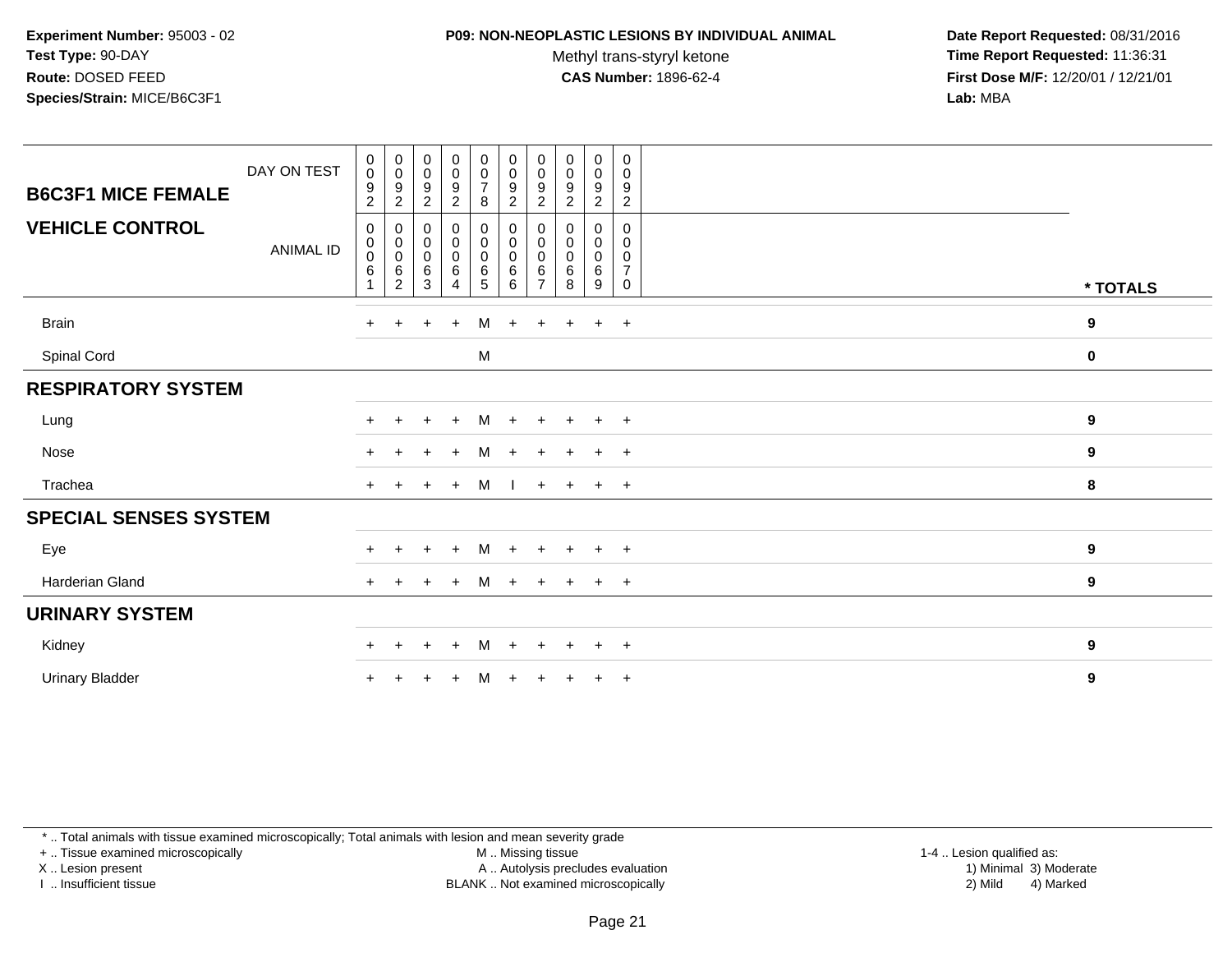#### **P09: NON-NEOPLASTIC LESIONS BY INDIVIDUAL ANIMAL**

Methyl trans-styryl ketone<br>CAS Number: 1896-62-4

 **Date Report Requested:** 08/31/2016 **Time Report Requested:** 11:36:31 **First Dose M/F:** 12/20/01 / 12/21/01<br>**Lab:** MBA **Lab:** MBA

| DAY ON TEST<br><b>B6C3F1 MICE FEMALE</b>   | $_{\rm 0}^{\rm 0}$<br>$\boldsymbol{9}$<br>$\boldsymbol{2}$ | $\begin{smallmatrix}0\\0\\9\end{smallmatrix}$<br>$\overline{c}$ | $\begin{smallmatrix}0\0\0\9\end{smallmatrix}$<br>$\overline{c}$ | $\begin{array}{c} 0 \\ 0 \\ 9 \\ 2 \end{array}$ | $\begin{matrix} 0 \\ 0 \\ 7 \end{matrix}$<br>8    | $\begin{smallmatrix} 0\\0 \end{smallmatrix}$<br>$\boldsymbol{9}$<br>$\overline{c}$ | $_{\rm 0}^{\rm 0}$<br>$\boldsymbol{9}$<br>$\sqrt{2}$     | $\begin{smallmatrix}0\0\0\9\end{smallmatrix}$<br>$\overline{c}$ | $\pmb{0}$<br>$\mathbf 0$<br>$\boldsymbol{9}$<br>$\overline{2}$ | 0<br>$\boldsymbol{0}$<br>$\boldsymbol{9}$<br>$\overline{2}$ |             |
|--------------------------------------------|------------------------------------------------------------|-----------------------------------------------------------------|-----------------------------------------------------------------|-------------------------------------------------|---------------------------------------------------|------------------------------------------------------------------------------------|----------------------------------------------------------|-----------------------------------------------------------------|----------------------------------------------------------------|-------------------------------------------------------------|-------------|
| <b>VEHICLE CONTROL</b><br><b>ANIMAL ID</b> | 0<br>$\pmb{0}$<br>$\pmb{0}$<br>6                           | $\pmb{0}$                                                       | $\pmb{0}$<br>$\begin{matrix} 0 \\ 0 \\ 6 \\ 3 \end{matrix}$     | $_0^0$<br>$_{6}^{\rm 0}$<br>$\overline{4}$      | $\pmb{0}$<br>$\pmb{0}$<br>$\pmb{0}$<br>$6\over 5$ | 0<br>$\mathbf 0$<br>$\mathbf 0$<br>6<br>6                                          | 0<br>$\pmb{0}$<br>$\mathbf 0$<br>$\,6$<br>$\overline{7}$ | 0<br>$\pmb{0}$<br>$\pmb{0}$<br>6<br>$\overline{8}$              | 0<br>$\mathbf 0$<br>$\mathbf 0$<br>6<br>9                      | 0<br>$\mathbf 0$<br>0<br>$\overline{7}$<br>$\mathbf 0$      | * TOTALS    |
| <b>Brain</b>                               | $+$                                                        | $+$                                                             | $+$                                                             | $+$                                             | M                                                 | $+$                                                                                | $+$                                                      | $+$                                                             | $+$                                                            | $+$                                                         | 9           |
| <b>Spinal Cord</b>                         |                                                            |                                                                 |                                                                 |                                                 | M                                                 |                                                                                    |                                                          |                                                                 |                                                                |                                                             | $\mathbf 0$ |
| <b>RESPIRATORY SYSTEM</b>                  |                                                            |                                                                 |                                                                 |                                                 |                                                   |                                                                                    |                                                          |                                                                 |                                                                |                                                             |             |
| Lung                                       | $\ddot{}$                                                  |                                                                 | $\ddot{}$                                                       | $+$                                             | М                                                 | $\ddot{}$                                                                          |                                                          | $+$                                                             | $+$                                                            | $+$                                                         | 9           |
| <b>Nose</b>                                | $+$                                                        |                                                                 | $+$                                                             | $+$                                             | M                                                 | $+$                                                                                |                                                          | $+$                                                             | $+$                                                            | $+$                                                         | 9           |
| Trachea                                    | $+$                                                        |                                                                 | $+$                                                             | $+$                                             | M                                                 | $\mathbf{I}$                                                                       |                                                          | $+ + + + +$                                                     |                                                                |                                                             | 8           |
| <b>SPECIAL SENSES SYSTEM</b>               |                                                            |                                                                 |                                                                 |                                                 |                                                   |                                                                                    |                                                          |                                                                 |                                                                |                                                             |             |
| Eye                                        | $\pm$                                                      | $\pm$                                                           | $\overline{+}$                                                  | $\ddot{}$                                       | M                                                 | $+$                                                                                |                                                          | $+$                                                             | $+$                                                            | $+$                                                         | 9           |
| Harderian Gland                            | $\ddot{}$                                                  | $+$                                                             | $\overline{+}$                                                  | $\ddot{}$                                       | M                                                 | $+$                                                                                | $+$                                                      | $+$                                                             | $+$                                                            | $+$                                                         | 9           |
| <b>URINARY SYSTEM</b>                      |                                                            |                                                                 |                                                                 |                                                 |                                                   |                                                                                    |                                                          |                                                                 |                                                                |                                                             |             |
| Kidney                                     | $+$                                                        | $+$                                                             | $+$                                                             | $+$                                             | M                                                 | $+$                                                                                | $+$                                                      | $+$                                                             | $+$ $+$                                                        |                                                             | 9           |
| <b>Urinary Bladder</b>                     | $\ddot{}$                                                  |                                                                 |                                                                 | $\pm$                                           | м                                                 | $\ddot{}$                                                                          |                                                          | $\pm$                                                           | $\pm$                                                          | $+$                                                         | 9           |

\* .. Total animals with tissue examined microscopically; Total animals with lesion and mean severity grade

+ .. Tissue examined microscopically

X .. Lesion present

I .. Insufficient tissue

M .. Missing tissue

Lesion present A .. Autolysis precludes evaluation 1) Minimal 3) Moderate

 1-4 .. Lesion qualified as: BLANK .. Not examined microscopically 2) Mild 4) Marked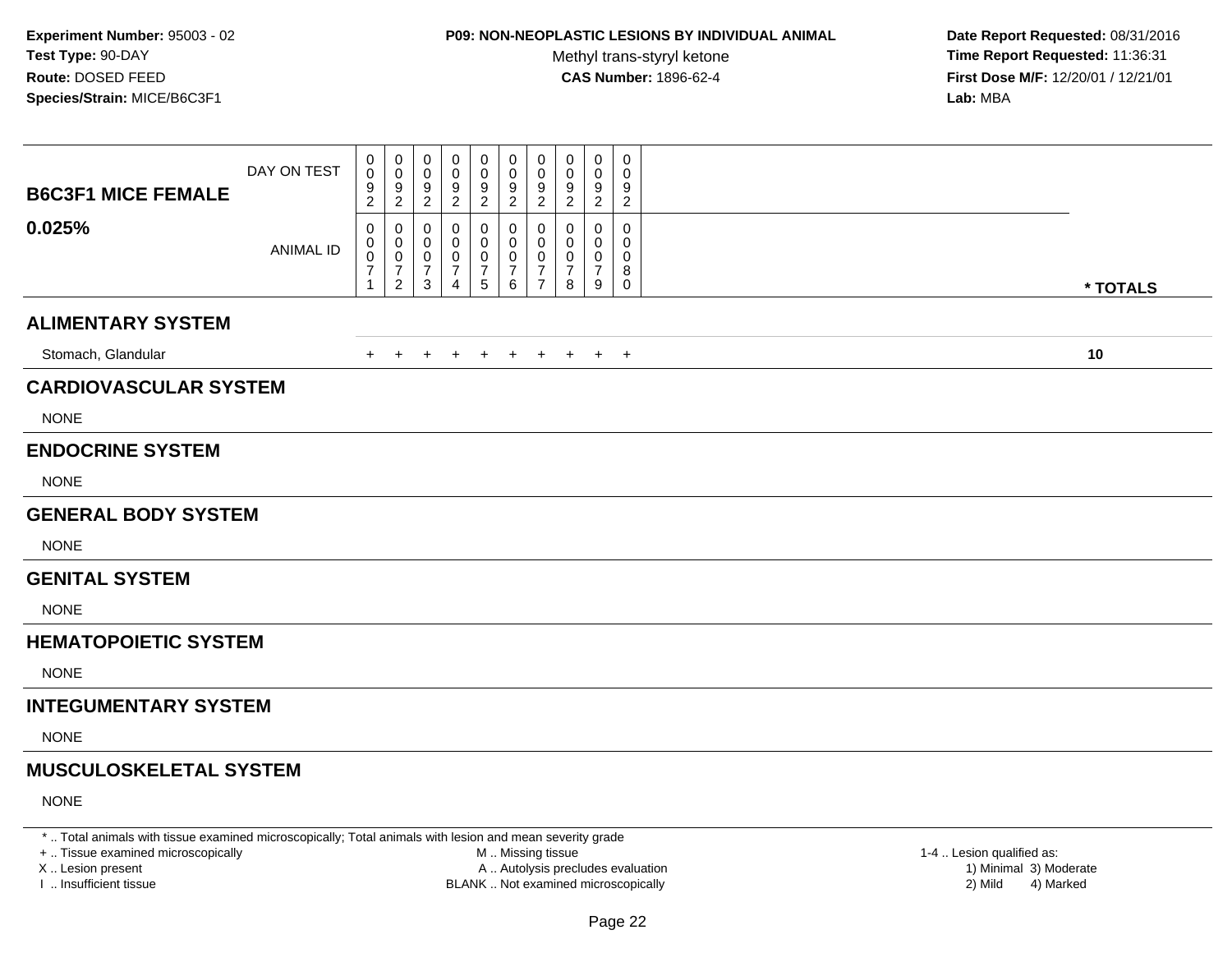# **P09: NON-NEOPLASTIC LESIONS BY INDIVIDUAL ANIMAL**

Methyl trans-styryl ketone<br>CAS Number: 1896-62-4

 **Date Report Requested:** 08/31/2016 **Time Report Requested:** 11:36:31 **First Dose M/F:** 12/20/01 / 12/21/01<br>**Lab:** MBA **Lab:** MBA

| <b>B6C3F1 MICE FEMALE</b>     | DAY ON TEST      | 0<br>$\pmb{0}$<br>$\frac{9}{2}$                    | 0<br>0<br>$\frac{9}{2}$                                     | 0<br>$\pmb{0}$<br>$\frac{9}{2}$                           | 0<br>0<br>$\frac{9}{2}$ | $\boldsymbol{0}$<br>$\pmb{0}$<br>$\frac{9}{2}$             | 0<br>$\pmb{0}$<br>$\frac{9}{2}$    | 0<br>$\mathbf 0$<br>$9\,$<br>$\sqrt{2}$         | 0<br>0<br>9<br>$\overline{\mathbf{c}}$ | 0<br>0<br>9<br>$\overline{c}$      | $\mathbf 0$<br>0<br>9<br>$\overline{c}$ |          |  |
|-------------------------------|------------------|----------------------------------------------------|-------------------------------------------------------------|-----------------------------------------------------------|-------------------------|------------------------------------------------------------|------------------------------------|-------------------------------------------------|----------------------------------------|------------------------------------|-----------------------------------------|----------|--|
| 0.025%                        | <b>ANIMAL ID</b> | 0<br>0<br>$\,0\,$<br>$\overline{7}$<br>$\mathbf 1$ | 0<br>0<br>$\mathbf 0$<br>$\boldsymbol{7}$<br>$\overline{2}$ | 0<br>0<br>$\mathbf 0$<br>$\boldsymbol{7}$<br>$\mathbf{3}$ | 0<br>0<br>0<br>7<br>4   | 0<br>0<br>$\boldsymbol{0}$<br>$\overline{7}$<br>$\sqrt{5}$ | 0<br>0<br>0<br>$\overline{7}$<br>6 | 0<br>0<br>0<br>$\overline{7}$<br>$\overline{7}$ | 0<br>0<br>0<br>7<br>8                  | 0<br>0<br>0<br>$\overline{7}$<br>9 | 0<br>0<br>0<br>8<br>$\mathbf 0$         | * TOTALS |  |
| <b>ALIMENTARY SYSTEM</b>      |                  |                                                    |                                                             |                                                           |                         |                                                            |                                    |                                                 |                                        |                                    |                                         |          |  |
| Stomach, Glandular            |                  | $+$                                                | $+$                                                         | $+$                                                       | $\ddot{}$               | $\ddot{}$                                                  | $+$                                | $+$                                             | $+$                                    |                                    | $+$ $+$                                 | 10       |  |
| <b>CARDIOVASCULAR SYSTEM</b>  |                  |                                                    |                                                             |                                                           |                         |                                                            |                                    |                                                 |                                        |                                    |                                         |          |  |
| <b>NONE</b>                   |                  |                                                    |                                                             |                                                           |                         |                                                            |                                    |                                                 |                                        |                                    |                                         |          |  |
| <b>ENDOCRINE SYSTEM</b>       |                  |                                                    |                                                             |                                                           |                         |                                                            |                                    |                                                 |                                        |                                    |                                         |          |  |
| <b>NONE</b>                   |                  |                                                    |                                                             |                                                           |                         |                                                            |                                    |                                                 |                                        |                                    |                                         |          |  |
| <b>GENERAL BODY SYSTEM</b>    |                  |                                                    |                                                             |                                                           |                         |                                                            |                                    |                                                 |                                        |                                    |                                         |          |  |
| <b>NONE</b>                   |                  |                                                    |                                                             |                                                           |                         |                                                            |                                    |                                                 |                                        |                                    |                                         |          |  |
| <b>GENITAL SYSTEM</b>         |                  |                                                    |                                                             |                                                           |                         |                                                            |                                    |                                                 |                                        |                                    |                                         |          |  |
| <b>NONE</b>                   |                  |                                                    |                                                             |                                                           |                         |                                                            |                                    |                                                 |                                        |                                    |                                         |          |  |
| <b>HEMATOPOIETIC SYSTEM</b>   |                  |                                                    |                                                             |                                                           |                         |                                                            |                                    |                                                 |                                        |                                    |                                         |          |  |
| <b>NONE</b>                   |                  |                                                    |                                                             |                                                           |                         |                                                            |                                    |                                                 |                                        |                                    |                                         |          |  |
| <b>INTEGUMENTARY SYSTEM</b>   |                  |                                                    |                                                             |                                                           |                         |                                                            |                                    |                                                 |                                        |                                    |                                         |          |  |
| <b>NONE</b>                   |                  |                                                    |                                                             |                                                           |                         |                                                            |                                    |                                                 |                                        |                                    |                                         |          |  |
| <b>MUSCULOSKELETAL SYSTEM</b> |                  |                                                    |                                                             |                                                           |                         |                                                            |                                    |                                                 |                                        |                                    |                                         |          |  |
| <b>NONE</b>                   |                  |                                                    |                                                             |                                                           |                         |                                                            |                                    |                                                 |                                        |                                    |                                         |          |  |

\* .. Total animals with tissue examined microscopically; Total animals with lesion and mean severity grade

+ .. Tissue examined microscopically

X .. Lesion present

I .. Insufficient tissue

 M .. Missing tissueA .. Autolysis precludes evaluation

BLANK .. Not examined microscopically 2) Mild 4) Marked

1-4 .. Lesion qualified as: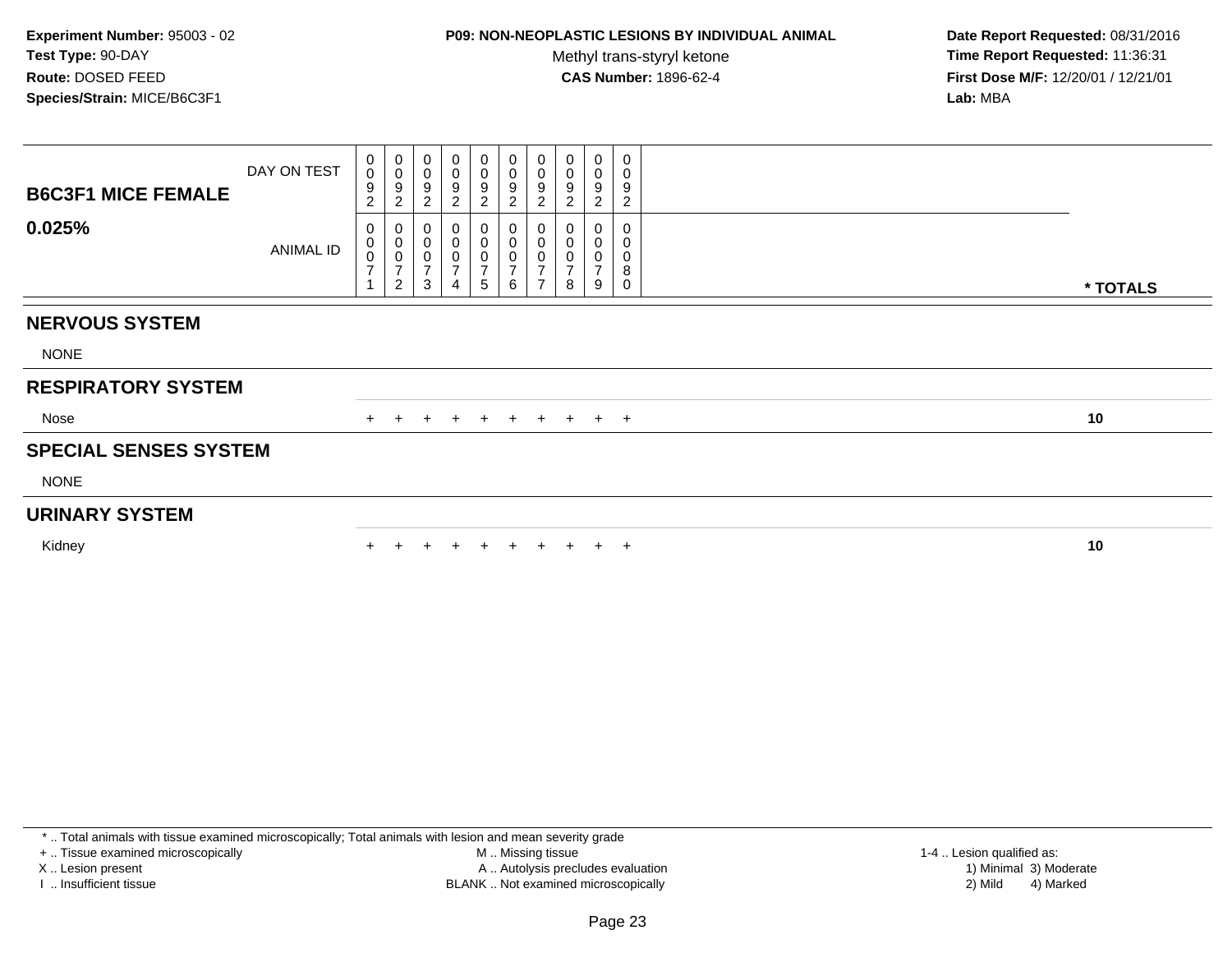## **P09: NON-NEOPLASTIC LESIONS BY INDIVIDUAL ANIMAL**

Methyl trans-styryl ketone<br>CAS Number: 1896-62-4

 **Date Report Requested:** 08/31/2016 **Time Report Requested:** 11:36:31 **First Dose M/F:** 12/20/01 / 12/21/01<br>**Lab:** MBA **Lab:** MBA

| <b>B6C3F1 MICE FEMALE</b>    | DAY ON TEST      | 0<br>$\bar{0}$<br>9<br>$\overline{c}$           | $_{\rm 0}^{\rm 0}$<br>9<br>$\overline{2}$                         | 0<br>$\pmb{0}$<br>$\boldsymbol{9}$<br>$\sqrt{2}$                      | $\mathbf 0$<br>$\pmb{0}$<br>9<br>$\boldsymbol{2}$ | 0<br>0<br>$\boldsymbol{9}$<br>$\sqrt{2}$                               | 0<br>0<br>9<br>$\overline{2}$                        | 0<br>$\overline{0}$<br>$\boldsymbol{9}$<br>$\overline{2}$    | 0<br>$\pmb{0}$<br>$\boldsymbol{9}$<br>$\overline{c}$ | 0<br>0<br>9<br>$\boldsymbol{2}$ | $\mathbf 0$<br>$\mathbf 0$<br>$\boldsymbol{9}$<br>$\overline{2}$ |          |
|------------------------------|------------------|-------------------------------------------------|-------------------------------------------------------------------|-----------------------------------------------------------------------|---------------------------------------------------|------------------------------------------------------------------------|------------------------------------------------------|--------------------------------------------------------------|------------------------------------------------------|---------------------------------|------------------------------------------------------------------|----------|
| 0.025%                       | <b>ANIMAL ID</b> | 0<br>$_0^0$<br>$\overline{7}$<br>$\overline{A}$ | $\mathbf 0$<br>$\pmb{0}$<br>0<br>$\overline{7}$<br>$\overline{c}$ | $\pmb{0}$<br>$\pmb{0}$<br>$\pmb{0}$<br>$\overline{7}$<br>$\mathbf{3}$ | 0<br>$\pmb{0}$<br>0<br>$\overline{7}$<br>4        | 0<br>$\begin{smallmatrix}0\\0\end{smallmatrix}$<br>$\overline{7}$<br>5 | 0<br>$\pmb{0}$<br>$\mathbf 0$<br>$\overline{7}$<br>6 | $\pmb{0}$<br>$\mathbf 0$<br>$\overline{7}$<br>$\overline{ }$ | 0<br>$\pmb{0}$<br>$\mathbf 0$<br>$\overline{ }$<br>8 | 0<br>0<br>7<br>9                | $\mathbf 0$<br>0<br>0<br>8<br>$\mathsf 0$                        | * TOTALS |
| <b>NERVOUS SYSTEM</b>        |                  |                                                 |                                                                   |                                                                       |                                                   |                                                                        |                                                      |                                                              |                                                      |                                 |                                                                  |          |
| <b>NONE</b>                  |                  |                                                 |                                                                   |                                                                       |                                                   |                                                                        |                                                      |                                                              |                                                      |                                 |                                                                  |          |
| <b>RESPIRATORY SYSTEM</b>    |                  |                                                 |                                                                   |                                                                       |                                                   |                                                                        |                                                      |                                                              |                                                      |                                 |                                                                  |          |
| Nose                         |                  | $+$                                             | $+$                                                               | $+$                                                                   | $+$                                               | $+$                                                                    | $+$                                                  |                                                              | $+$ $+$                                              | $+$ $+$                         |                                                                  | 10       |
| <b>SPECIAL SENSES SYSTEM</b> |                  |                                                 |                                                                   |                                                                       |                                                   |                                                                        |                                                      |                                                              |                                                      |                                 |                                                                  |          |
| <b>NONE</b>                  |                  |                                                 |                                                                   |                                                                       |                                                   |                                                                        |                                                      |                                                              |                                                      |                                 |                                                                  |          |
| <b>URINARY SYSTEM</b>        |                  |                                                 |                                                                   |                                                                       |                                                   |                                                                        |                                                      |                                                              |                                                      |                                 |                                                                  |          |
| Kidney                       |                  |                                                 |                                                                   |                                                                       | $\div$                                            | $+$                                                                    | $+$                                                  | $+$                                                          | $+$                                                  | $+$ $+$                         |                                                                  | 10       |

\* .. Total animals with tissue examined microscopically; Total animals with lesion and mean severity grade

+ .. Tissue examined microscopically

X .. Lesion present

I .. Insufficient tissue

 M .. Missing tissueA .. Autolysis precludes evaluation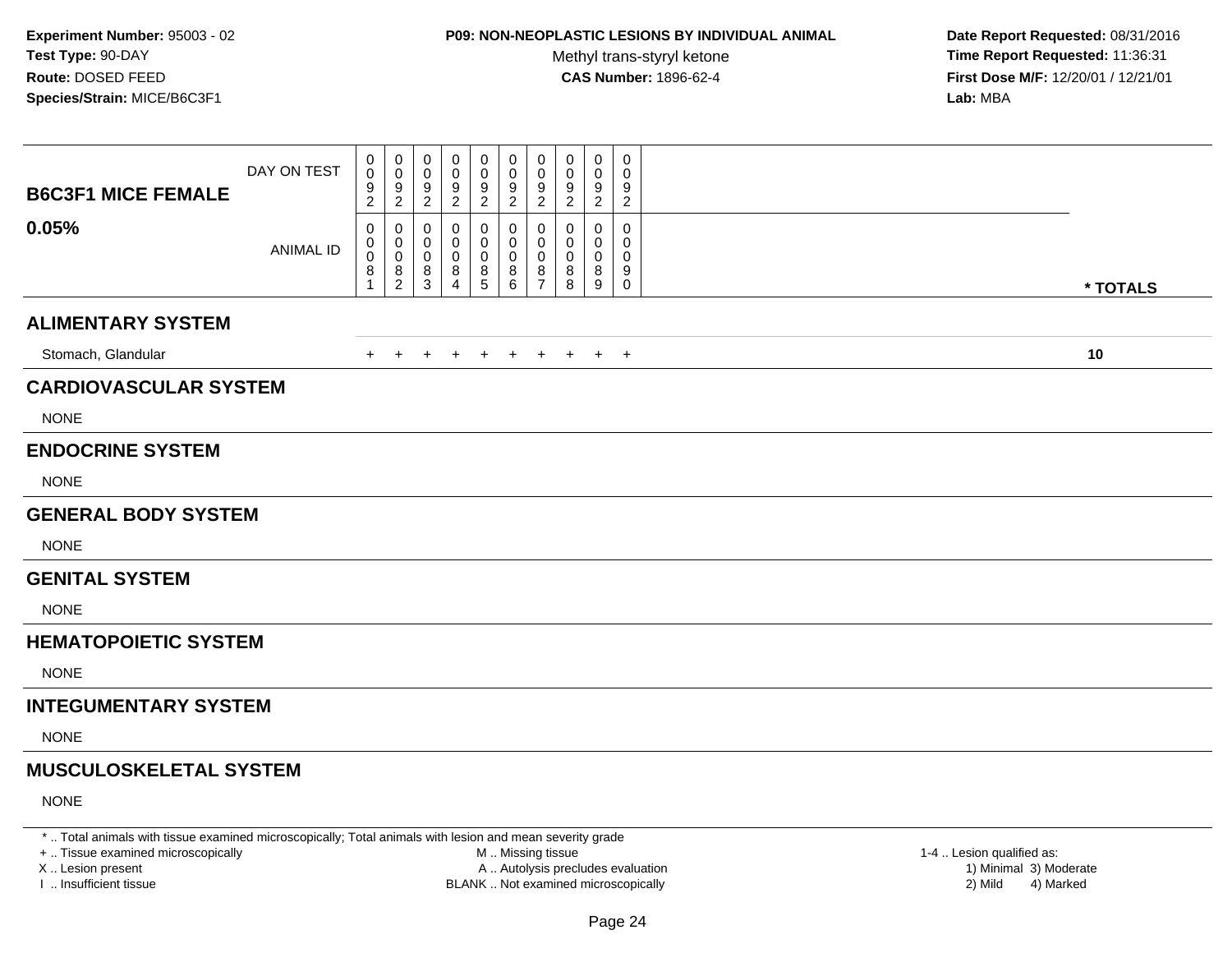# **P09: NON-NEOPLASTIC LESIONS BY INDIVIDUAL ANIMAL**

Methyl trans-styryl ketone<br>CAS Number: 1896-62-4

 **Date Report Requested:** 08/31/2016 **Time Report Requested:** 11:36:31 **First Dose M/F:** 12/20/01 / 12/21/01<br>**Lab:** MBA **Lab:** MBA

| <b>B6C3F1 MICE FEMALE</b>     | DAY ON TEST      | 0<br>$\,0\,$<br>9<br>$\sqrt{2}$      | 0<br>0<br>9<br>$\overline{c}$              | 0<br>$\mathbf 0$<br>9<br>$\overline{2}$ | 0<br>0<br>9<br>$\overline{2}$ | 0<br>$\pmb{0}$<br>$\frac{9}{2}$ | 0<br>0<br>9<br>$\overline{2}$                                 | 0<br>$\pmb{0}$<br>9<br>$\overline{2}$      | 0<br>0<br>9<br>$\sqrt{2}$ | 0<br>0<br>9<br>$\overline{2}$ | 0<br>0<br>9<br>$\overline{2}$ |          |  |
|-------------------------------|------------------|--------------------------------------|--------------------------------------------|-----------------------------------------|-------------------------------|---------------------------------|---------------------------------------------------------------|--------------------------------------------|---------------------------|-------------------------------|-------------------------------|----------|--|
| 0.05%                         | <b>ANIMAL ID</b> | 0<br>0<br>$\pmb{0}$<br>$\frac{8}{1}$ | 0<br>0<br>$\pmb{0}$<br>8<br>$\overline{c}$ | 0<br>0<br>0<br>8<br>3                   | 0<br>0<br>0<br>8<br>4         | 0<br>0<br>$\pmb{0}$<br>$^8$ 5   | 0<br>0<br>$\mathbf 0$<br>$\begin{matrix} 8 \\ 6 \end{matrix}$ | 0<br>0<br>$\pmb{0}$<br>8<br>$\overline{7}$ | 0<br>0<br>0<br>8<br>8     | 0<br>$\Omega$<br>0<br>8<br>9  | 0<br>0<br>0<br>9<br>$\pmb{0}$ | * TOTALS |  |
| <b>ALIMENTARY SYSTEM</b>      |                  |                                      |                                            |                                         |                               |                                 |                                                               |                                            |                           |                               |                               |          |  |
| Stomach, Glandular            |                  | $+$                                  | $\pm$                                      | $\div$                                  | $\ddot{}$                     | $\ddot{}$                       | $+$                                                           | $+$                                        | $+$                       |                               | $+$ $+$                       | 10       |  |
| <b>CARDIOVASCULAR SYSTEM</b>  |                  |                                      |                                            |                                         |                               |                                 |                                                               |                                            |                           |                               |                               |          |  |
| <b>NONE</b>                   |                  |                                      |                                            |                                         |                               |                                 |                                                               |                                            |                           |                               |                               |          |  |
| <b>ENDOCRINE SYSTEM</b>       |                  |                                      |                                            |                                         |                               |                                 |                                                               |                                            |                           |                               |                               |          |  |
| <b>NONE</b>                   |                  |                                      |                                            |                                         |                               |                                 |                                                               |                                            |                           |                               |                               |          |  |
| <b>GENERAL BODY SYSTEM</b>    |                  |                                      |                                            |                                         |                               |                                 |                                                               |                                            |                           |                               |                               |          |  |
| <b>NONE</b>                   |                  |                                      |                                            |                                         |                               |                                 |                                                               |                                            |                           |                               |                               |          |  |
| <b>GENITAL SYSTEM</b>         |                  |                                      |                                            |                                         |                               |                                 |                                                               |                                            |                           |                               |                               |          |  |
| <b>NONE</b>                   |                  |                                      |                                            |                                         |                               |                                 |                                                               |                                            |                           |                               |                               |          |  |
| <b>HEMATOPOIETIC SYSTEM</b>   |                  |                                      |                                            |                                         |                               |                                 |                                                               |                                            |                           |                               |                               |          |  |
| <b>NONE</b>                   |                  |                                      |                                            |                                         |                               |                                 |                                                               |                                            |                           |                               |                               |          |  |
| <b>INTEGUMENTARY SYSTEM</b>   |                  |                                      |                                            |                                         |                               |                                 |                                                               |                                            |                           |                               |                               |          |  |
| <b>NONE</b>                   |                  |                                      |                                            |                                         |                               |                                 |                                                               |                                            |                           |                               |                               |          |  |
| <b>MUSCULOSKELETAL SYSTEM</b> |                  |                                      |                                            |                                         |                               |                                 |                                                               |                                            |                           |                               |                               |          |  |
| <b>NONE</b>                   |                  |                                      |                                            |                                         |                               |                                 |                                                               |                                            |                           |                               |                               |          |  |

\* .. Total animals with tissue examined microscopically; Total animals with lesion and mean severity grade

+ .. Tissue examined microscopically

X .. Lesion present

I .. Insufficient tissue

 M .. Missing tissueA .. Autolysis precludes evaluation

 1-4 .. Lesion qualified as: BLANK .. Not examined microscopically 2) Mild 4) Marked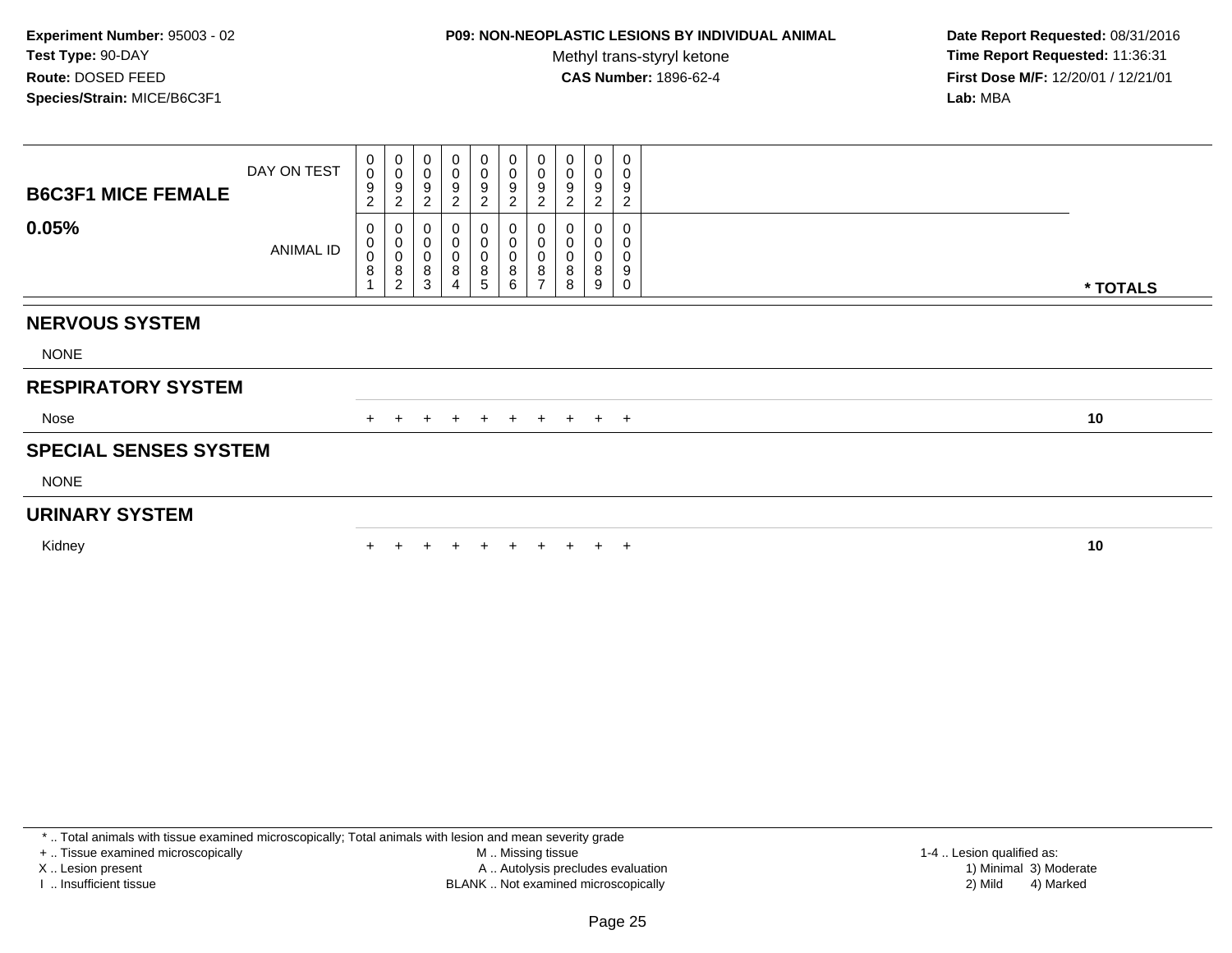## **P09: NON-NEOPLASTIC LESIONS BY INDIVIDUAL ANIMAL**

Methyl trans-styryl ketone<br>CAS Number: 1896-62-4

 **Date Report Requested:** 08/31/2016 **Time Report Requested:** 11:36:31 **First Dose M/F:** 12/20/01 / 12/21/01<br>**Lab:** MBA **Lab:** MBA

| <b>B6C3F1 MICE FEMALE</b>    | DAY ON TEST      | 0<br>0<br>$\boldsymbol{9}$<br>$\overline{2}$ | $_{\rm 0}^{\rm 0}$<br>$\boldsymbol{9}$<br>$\overline{c}$   | 0<br>$\pmb{0}$<br>$\boldsymbol{9}$<br>$\overline{c}$ | $\mathbf 0$<br>$\pmb{0}$<br>$\boldsymbol{9}$<br>$\sqrt{2}$ | $\pmb{0}$<br>0<br>$\boldsymbol{9}$<br>$\boldsymbol{2}$ | $\pmb{0}$<br>0<br>$\boldsymbol{9}$<br>$\overline{c}$ | 0<br>$\pmb{0}$<br>9<br>$\overline{c}$                  | 0<br>$\pmb{0}$<br>9<br>$\overline{c}$ | 0<br>$\pmb{0}$<br>9<br>$\overline{c}$ | 0<br>0<br>9<br>$\overline{c}$ |          |
|------------------------------|------------------|----------------------------------------------|------------------------------------------------------------|------------------------------------------------------|------------------------------------------------------------|--------------------------------------------------------|------------------------------------------------------|--------------------------------------------------------|---------------------------------------|---------------------------------------|-------------------------------|----------|
| 0.05%                        | <b>ANIMAL ID</b> | 0<br>0<br>$\mathbf 0$<br>8                   | 0<br>$\begin{matrix} 0 \\ 0 \end{matrix}$<br>$\frac{8}{2}$ | 0<br>$\,0\,$<br>$\pmb{0}$<br>8<br>3                  | 0<br>$\pmb{0}$<br>$\pmb{0}$<br>8<br>4                      | $\pmb{0}$<br>0<br>8<br>5                               | 0<br>0<br>0<br>8<br>6                                | $\boldsymbol{0}$<br>$\mathbf 0$<br>8<br>$\overline{ }$ | 0<br>0<br>8<br>8                      | 0<br>8<br>9                           | 0<br>0<br>0<br>9<br>0         | * TOTALS |
| <b>NERVOUS SYSTEM</b>        |                  |                                              |                                                            |                                                      |                                                            |                                                        |                                                      |                                                        |                                       |                                       |                               |          |
| <b>NONE</b>                  |                  |                                              |                                                            |                                                      |                                                            |                                                        |                                                      |                                                        |                                       |                                       |                               |          |
| <b>RESPIRATORY SYSTEM</b>    |                  |                                              |                                                            |                                                      |                                                            |                                                        |                                                      |                                                        |                                       |                                       |                               |          |
| Nose                         |                  | $+$                                          | $+$                                                        | $+$                                                  | $+$                                                        | $+$                                                    | $+$                                                  | $+$                                                    | $+$ $+$ $+$                           |                                       |                               | 10       |
| <b>SPECIAL SENSES SYSTEM</b> |                  |                                              |                                                            |                                                      |                                                            |                                                        |                                                      |                                                        |                                       |                                       |                               |          |
| <b>NONE</b>                  |                  |                                              |                                                            |                                                      |                                                            |                                                        |                                                      |                                                        |                                       |                                       |                               |          |
| <b>URINARY SYSTEM</b>        |                  |                                              |                                                            |                                                      |                                                            |                                                        |                                                      |                                                        |                                       |                                       |                               |          |
| Kidney                       |                  |                                              |                                                            |                                                      |                                                            |                                                        | $+$                                                  | $+$                                                    | $+$                                   |                                       | $+$ $+$                       | 10       |

\* .. Total animals with tissue examined microscopically; Total animals with lesion and mean severity grade

+ .. Tissue examined microscopically

X .. Lesion present

I .. Insufficient tissue

 M .. Missing tissueA .. Autolysis precludes evaluation

 1-4 .. Lesion qualified as: BLANK .. Not examined microscopically 2) Mild 4) Marked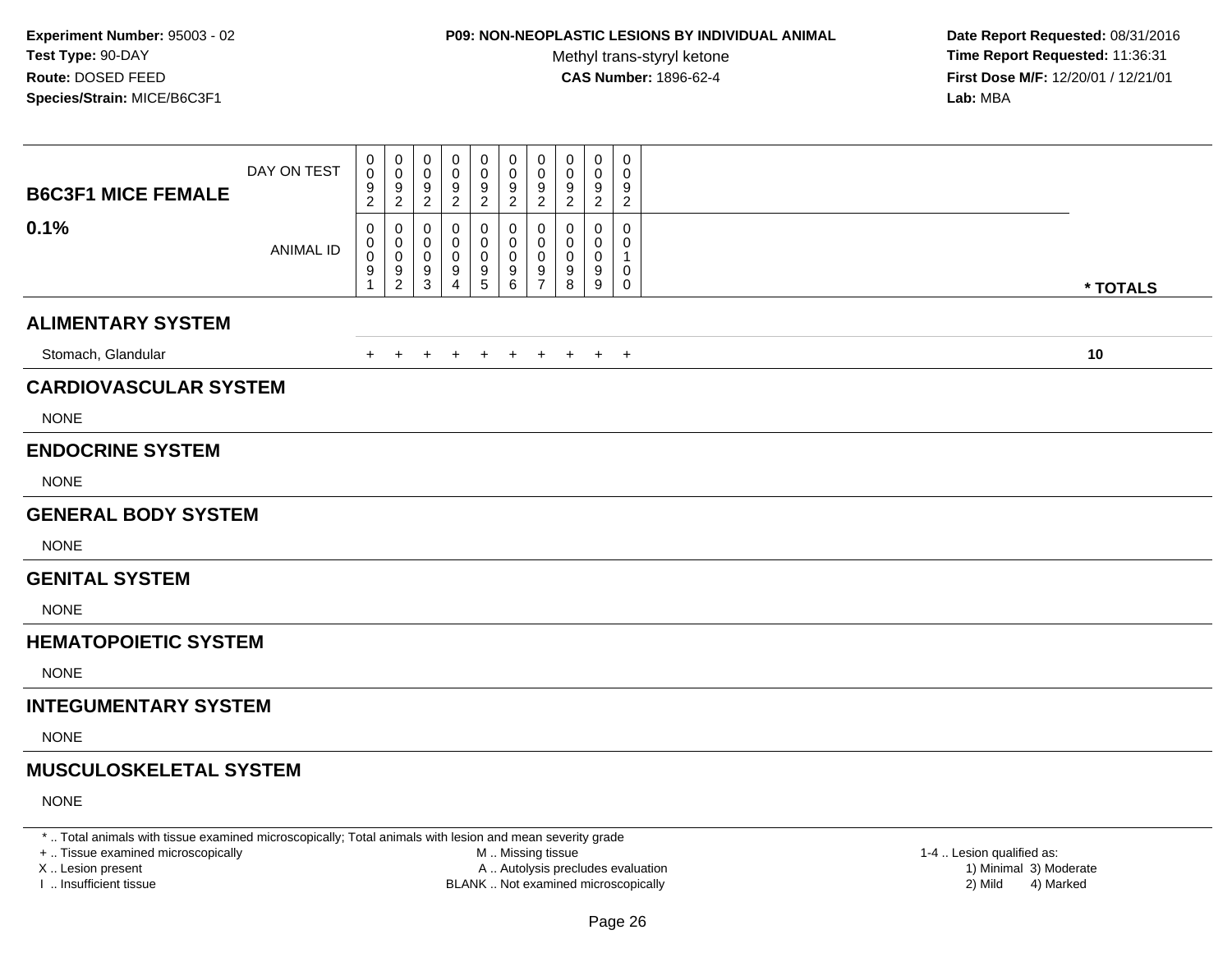# **P09: NON-NEOPLASTIC LESIONS BY INDIVIDUAL ANIMAL**

Methyl trans-styryl ketone<br>CAS Number: 1896-62-4

 **Date Report Requested:** 08/31/2016 **Time Report Requested:** 11:36:31 **First Dose M/F:** 12/20/01 / 12/21/01<br>**Lab:** MBA **Lab:** MBA

| <b>B6C3F1 MICE FEMALE</b>     | DAY ON TEST      | 0<br>$\mathbf 0$<br>$\boldsymbol{9}$<br>$\overline{2}$ | 0<br>0<br>9<br>$\overline{2}$ | 0<br>0<br>9<br>$\overline{2}$    | 0<br>0<br>9<br>$\sqrt{2}$          | 0<br>0<br>$\frac{9}{2}$      | 0<br>0<br>$\frac{9}{2}$                 | 0<br>$\pmb{0}$<br>$\frac{9}{2}$    | 0<br>0<br>9<br>$\sqrt{2}$ | 0<br>0<br>9<br>$\overline{2}$ | 0<br>0<br>9<br>$\overline{c}$ |          |
|-------------------------------|------------------|--------------------------------------------------------|-------------------------------|----------------------------------|------------------------------------|------------------------------|-----------------------------------------|------------------------------------|---------------------------|-------------------------------|-------------------------------|----------|
| 0.1%                          | <b>ANIMAL ID</b> | 0<br>0<br>$\pmb{0}$<br>9<br>$\mathbf{1}$               | 0<br>0<br>0<br>$\frac{9}{2}$  | 0<br>0<br>0<br>9<br>$\mathbf{3}$ | 0<br>0<br>0<br>9<br>$\overline{4}$ | 0<br>0<br>0<br>$\frac{9}{5}$ | $\mathbf{0}$<br>0<br>0<br>$\frac{9}{6}$ | 0<br>0<br>0<br>9<br>$\overline{7}$ | 0<br>0<br>0<br>9<br>8     | 0<br>0<br>0<br>9<br>9         | 0<br>0<br>1<br>0<br>0         | * TOTALS |
| <b>ALIMENTARY SYSTEM</b>      |                  |                                                        |                               |                                  |                                    |                              |                                         |                                    |                           |                               |                               |          |
| Stomach, Glandular            |                  | $\pm$                                                  | $\pm$                         | $\pm$                            | $\ddot{}$                          | $\pm$                        | $+$                                     | $+$                                | $+$                       |                               | $+$ $+$                       | 10       |
| <b>CARDIOVASCULAR SYSTEM</b>  |                  |                                                        |                               |                                  |                                    |                              |                                         |                                    |                           |                               |                               |          |
| <b>NONE</b>                   |                  |                                                        |                               |                                  |                                    |                              |                                         |                                    |                           |                               |                               |          |
| <b>ENDOCRINE SYSTEM</b>       |                  |                                                        |                               |                                  |                                    |                              |                                         |                                    |                           |                               |                               |          |
| <b>NONE</b>                   |                  |                                                        |                               |                                  |                                    |                              |                                         |                                    |                           |                               |                               |          |
| <b>GENERAL BODY SYSTEM</b>    |                  |                                                        |                               |                                  |                                    |                              |                                         |                                    |                           |                               |                               |          |
| <b>NONE</b>                   |                  |                                                        |                               |                                  |                                    |                              |                                         |                                    |                           |                               |                               |          |
| <b>GENITAL SYSTEM</b>         |                  |                                                        |                               |                                  |                                    |                              |                                         |                                    |                           |                               |                               |          |
| <b>NONE</b>                   |                  |                                                        |                               |                                  |                                    |                              |                                         |                                    |                           |                               |                               |          |
| <b>HEMATOPOIETIC SYSTEM</b>   |                  |                                                        |                               |                                  |                                    |                              |                                         |                                    |                           |                               |                               |          |
| <b>NONE</b>                   |                  |                                                        |                               |                                  |                                    |                              |                                         |                                    |                           |                               |                               |          |
| <b>INTEGUMENTARY SYSTEM</b>   |                  |                                                        |                               |                                  |                                    |                              |                                         |                                    |                           |                               |                               |          |
| <b>NONE</b>                   |                  |                                                        |                               |                                  |                                    |                              |                                         |                                    |                           |                               |                               |          |
| <b>MUSCULOSKELETAL SYSTEM</b> |                  |                                                        |                               |                                  |                                    |                              |                                         |                                    |                           |                               |                               |          |
| <b>NONE</b>                   |                  |                                                        |                               |                                  |                                    |                              |                                         |                                    |                           |                               |                               |          |

\* .. Total animals with tissue examined microscopically; Total animals with lesion and mean severity grade

+ .. Tissue examined microscopically

X .. Lesion present

I .. Insufficient tissue

 M .. Missing tissueA .. Autolysis precludes evaluation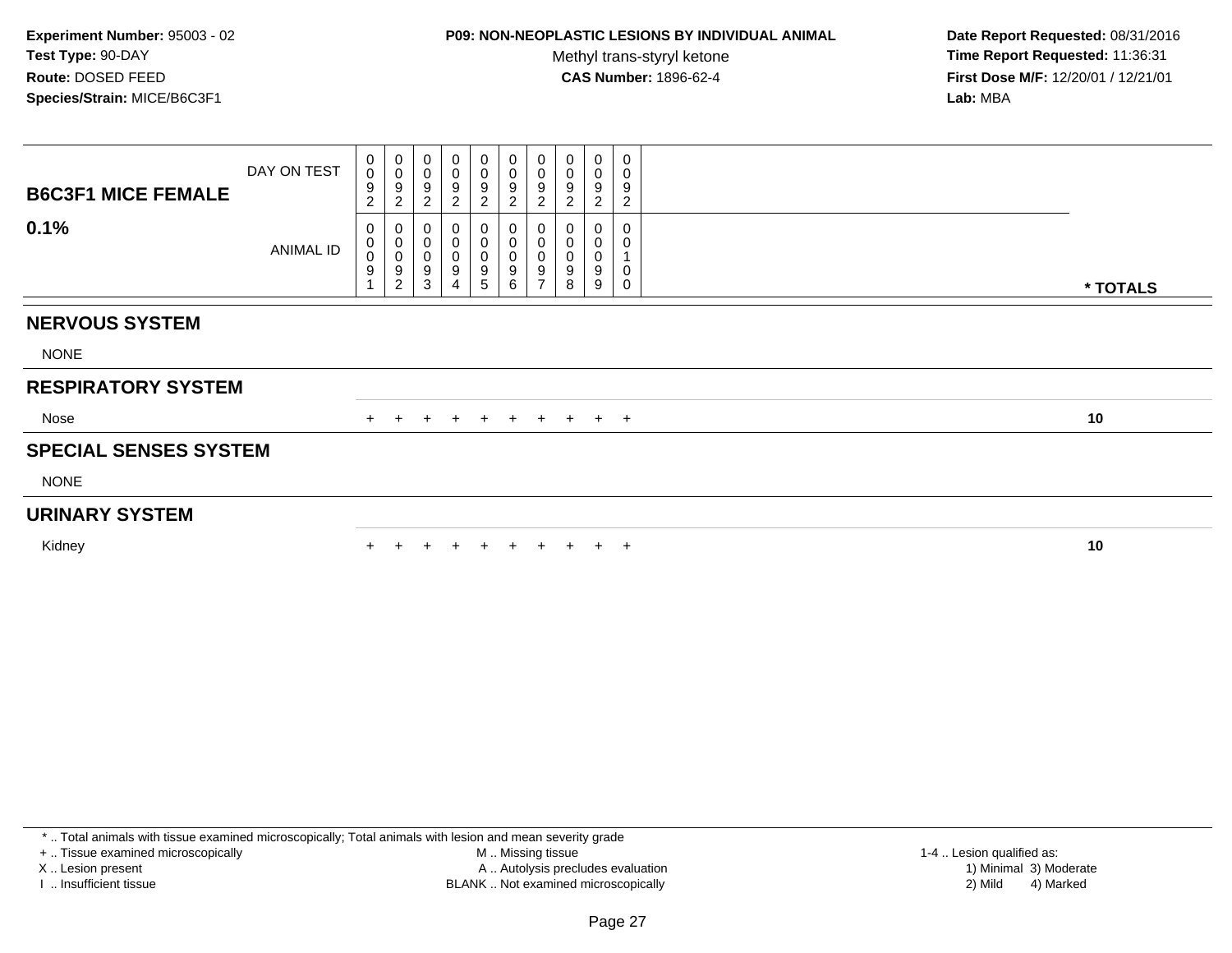## **P09: NON-NEOPLASTIC LESIONS BY INDIVIDUAL ANIMAL**

Methyl trans-styryl ketone<br>CAS Number: 1896-62-4

 **Date Report Requested:** 08/31/2016 **Time Report Requested:** 11:36:31 **First Dose M/F:** 12/20/01 / 12/21/01<br>Lab: MBA **Lab:** MBA

| <b>B6C3F1 MICE FEMALE</b>    | DAY ON TEST | 0<br>$\mathbf 0$<br>9<br>2 | $\pmb{0}$<br>$\pmb{0}$<br>$\boldsymbol{9}$<br>$\overline{c}$   | 0<br>$\pmb{0}$<br>9<br>$\boldsymbol{2}$        | 0<br>0<br>9<br>$\boldsymbol{2}$ | $\mathbf 0$<br>$\pmb{0}$<br>$\boldsymbol{9}$<br>$\sqrt{2}$            | $\mathbf 0$<br>$\pmb{0}$<br>$\boldsymbol{9}$<br>$\overline{c}$ | 0<br>$\pmb{0}$<br>9<br>$\overline{c}$        | 0<br>$\mathbf 0$<br>9<br>2 | $\pmb{0}$<br>$\pmb{0}$<br>9<br>$\overline{c}$ | 0<br>0<br>9<br>$\overline{c}$ |          |
|------------------------------|-------------|----------------------------|----------------------------------------------------------------|------------------------------------------------|---------------------------------|-----------------------------------------------------------------------|----------------------------------------------------------------|----------------------------------------------|----------------------------|-----------------------------------------------|-------------------------------|----------|
| 0.1%                         | ANIMAL ID   | 0<br>0<br>0<br>9           | $\mathbf 0$<br>$\pmb{0}$<br>$\pmb{0}$<br>$\boldsymbol{9}$<br>2 | 0<br>$\mathbf 0$<br>$\boldsymbol{0}$<br>9<br>3 | 0<br>0<br>9<br>$\overline{4}$   | $\boldsymbol{0}$<br>$\mathbf 0$<br>$\pmb{0}$<br>$\boldsymbol{9}$<br>5 | 0<br>0<br>0<br>9<br>6                                          | 0<br>$\mathbf 0$<br>0<br>9<br>$\overline{ }$ | 0<br>0<br>9<br>8           | 9<br>9                                        | 0<br>0<br>0<br>$\Omega$       | * TOTALS |
| <b>NERVOUS SYSTEM</b>        |             |                            |                                                                |                                                |                                 |                                                                       |                                                                |                                              |                            |                                               |                               |          |
| <b>NONE</b>                  |             |                            |                                                                |                                                |                                 |                                                                       |                                                                |                                              |                            |                                               |                               |          |
| <b>RESPIRATORY SYSTEM</b>    |             |                            |                                                                |                                                |                                 |                                                                       |                                                                |                                              |                            |                                               |                               |          |
| Nose                         |             | $+$                        | $+$                                                            | $+$                                            | $+$                             | $+$                                                                   |                                                                |                                              | + + + + +                  |                                               |                               | 10       |
| <b>SPECIAL SENSES SYSTEM</b> |             |                            |                                                                |                                                |                                 |                                                                       |                                                                |                                              |                            |                                               |                               |          |
| <b>NONE</b>                  |             |                            |                                                                |                                                |                                 |                                                                       |                                                                |                                              |                            |                                               |                               |          |
| <b>URINARY SYSTEM</b>        |             |                            |                                                                |                                                |                                 |                                                                       |                                                                |                                              |                            |                                               |                               |          |
| Kidney                       |             |                            |                                                                |                                                |                                 |                                                                       | $+$                                                            | $+$                                          | $+$                        |                                               | $+$ $+$                       | 10       |

\* .. Total animals with tissue examined microscopically; Total animals with lesion and mean severity grade

+ .. Tissue examined microscopically

X .. Lesion present

I .. Insufficient tissue

 M .. Missing tissueLesion present A .. Autolysis precludes evaluation 1) Minimal 3) Moderate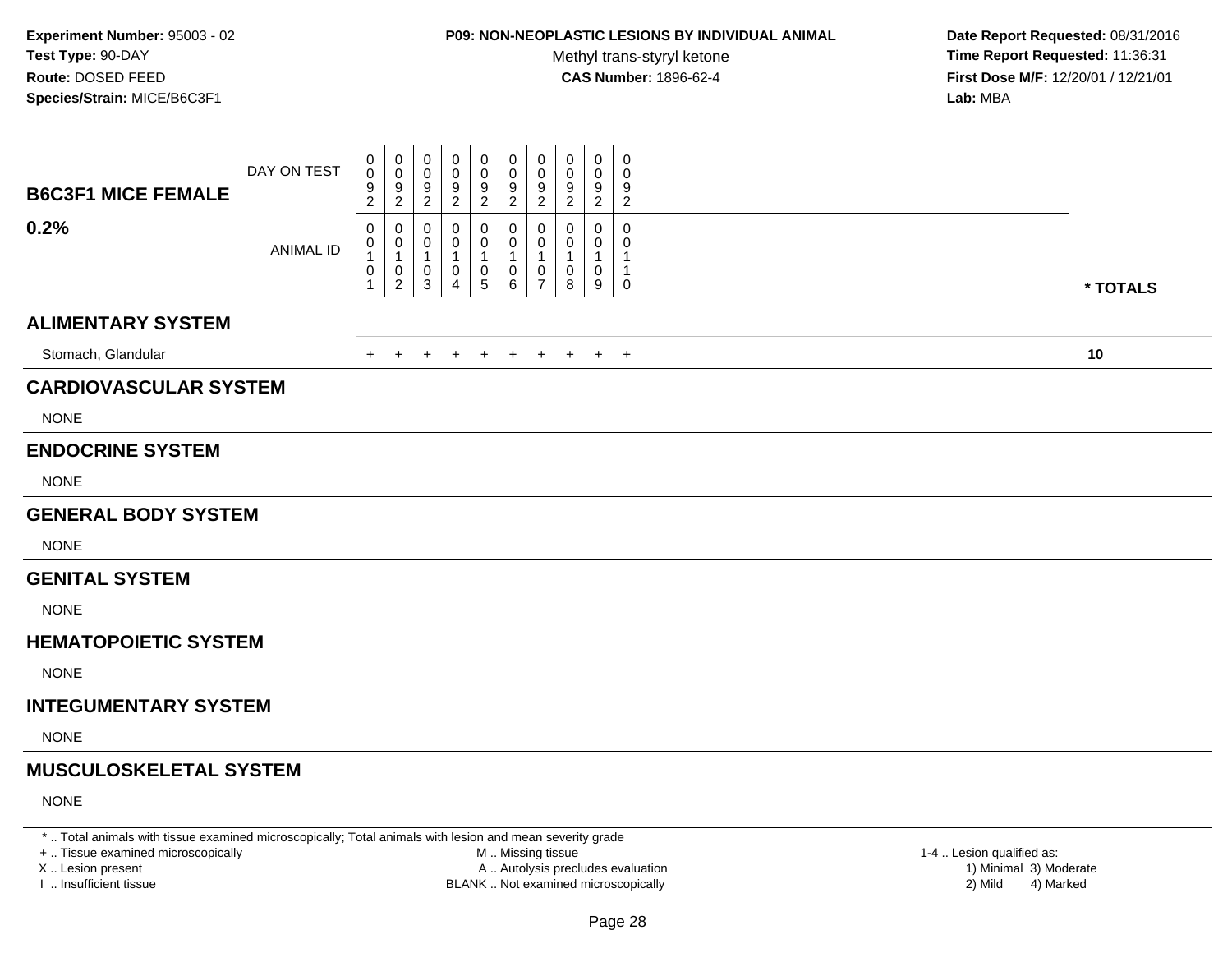# **P09: NON-NEOPLASTIC LESIONS BY INDIVIDUAL ANIMAL**

Methyl trans-styryl ketone<br>CAS Number: 1896-62-4

 **Date Report Requested:** 08/31/2016 **Time Report Requested:** 11:36:31 **First Dose M/F:** 12/20/01 / 12/21/01<br>**Lab:** MBA **Lab:** MBA

| <b>B6C3F1 MICE FEMALE</b>     | DAY ON TEST      | 0<br>0<br>$\frac{9}{2}$                     | 0<br>0<br>$\frac{9}{2}$                               | 0<br>0<br>$\frac{9}{2}$                               | 0<br>0<br>9<br>$\overline{2}$                       | 0<br>0<br>$\frac{9}{2}$                           | 0<br>0<br>9<br>$\overline{2}$                  | 0<br>0<br>9<br>$\boldsymbol{2}$                       | 0<br>0<br>9<br>$\overline{c}$ | 0<br>0<br>9<br>$\overline{2}$                   | $\mathbf 0$<br>0<br>9<br>$\overline{c}$ |    |          |
|-------------------------------|------------------|---------------------------------------------|-------------------------------------------------------|-------------------------------------------------------|-----------------------------------------------------|---------------------------------------------------|------------------------------------------------|-------------------------------------------------------|-------------------------------|-------------------------------------------------|-----------------------------------------|----|----------|
| 0.2%                          | <b>ANIMAL ID</b> | 0<br>0<br>$\mathbf{1}$<br>0<br>$\mathbf{1}$ | 0<br>0<br>$\mathbf{1}$<br>$\pmb{0}$<br>$\overline{c}$ | 0<br>0<br>$\mathbf{1}$<br>$\mathbf 0$<br>$\mathbf{3}$ | $\Omega$<br>0<br>$\overline{1}$<br>$\mathbf 0$<br>4 | 0<br>0<br>$\mathbf{1}$<br>$\pmb{0}$<br>$\sqrt{5}$ | 0<br>0<br>$\mathbf{1}$<br>$\pmb{0}$<br>$\,6\,$ | 0<br>0<br>$\mathbf{1}$<br>$\pmb{0}$<br>$\overline{7}$ | 0<br>0<br>1<br>0<br>8         | $\Omega$<br>0<br>$\mathbf{1}$<br>$\pmb{0}$<br>9 | $\Omega$<br>0<br>1<br>$\mathbf 0$       |    | * TOTALS |
| <b>ALIMENTARY SYSTEM</b>      |                  |                                             |                                                       |                                                       |                                                     |                                                   |                                                |                                                       |                               |                                                 |                                         |    |          |
| Stomach, Glandular            |                  | $+$                                         | $+$                                                   | $+$                                                   | $+$                                                 | $+$                                               | $+$                                            | $+$                                                   | $+$                           |                                                 | $+$ $+$                                 | 10 |          |
| <b>CARDIOVASCULAR SYSTEM</b>  |                  |                                             |                                                       |                                                       |                                                     |                                                   |                                                |                                                       |                               |                                                 |                                         |    |          |
| <b>NONE</b>                   |                  |                                             |                                                       |                                                       |                                                     |                                                   |                                                |                                                       |                               |                                                 |                                         |    |          |
| <b>ENDOCRINE SYSTEM</b>       |                  |                                             |                                                       |                                                       |                                                     |                                                   |                                                |                                                       |                               |                                                 |                                         |    |          |
| <b>NONE</b>                   |                  |                                             |                                                       |                                                       |                                                     |                                                   |                                                |                                                       |                               |                                                 |                                         |    |          |
| <b>GENERAL BODY SYSTEM</b>    |                  |                                             |                                                       |                                                       |                                                     |                                                   |                                                |                                                       |                               |                                                 |                                         |    |          |
| <b>NONE</b>                   |                  |                                             |                                                       |                                                       |                                                     |                                                   |                                                |                                                       |                               |                                                 |                                         |    |          |
| <b>GENITAL SYSTEM</b>         |                  |                                             |                                                       |                                                       |                                                     |                                                   |                                                |                                                       |                               |                                                 |                                         |    |          |
| <b>NONE</b>                   |                  |                                             |                                                       |                                                       |                                                     |                                                   |                                                |                                                       |                               |                                                 |                                         |    |          |
| <b>HEMATOPOIETIC SYSTEM</b>   |                  |                                             |                                                       |                                                       |                                                     |                                                   |                                                |                                                       |                               |                                                 |                                         |    |          |
| <b>NONE</b>                   |                  |                                             |                                                       |                                                       |                                                     |                                                   |                                                |                                                       |                               |                                                 |                                         |    |          |
| <b>INTEGUMENTARY SYSTEM</b>   |                  |                                             |                                                       |                                                       |                                                     |                                                   |                                                |                                                       |                               |                                                 |                                         |    |          |
| <b>NONE</b>                   |                  |                                             |                                                       |                                                       |                                                     |                                                   |                                                |                                                       |                               |                                                 |                                         |    |          |
| <b>MUSCULOSKELETAL SYSTEM</b> |                  |                                             |                                                       |                                                       |                                                     |                                                   |                                                |                                                       |                               |                                                 |                                         |    |          |
| <b>NONE</b>                   |                  |                                             |                                                       |                                                       |                                                     |                                                   |                                                |                                                       |                               |                                                 |                                         |    |          |

\* .. Total animals with tissue examined microscopically; Total animals with lesion and mean severity grade

+ .. Tissue examined microscopically

X .. Lesion present

I .. Insufficient tissue

 M .. Missing tissueA .. Autolysis precludes evaluation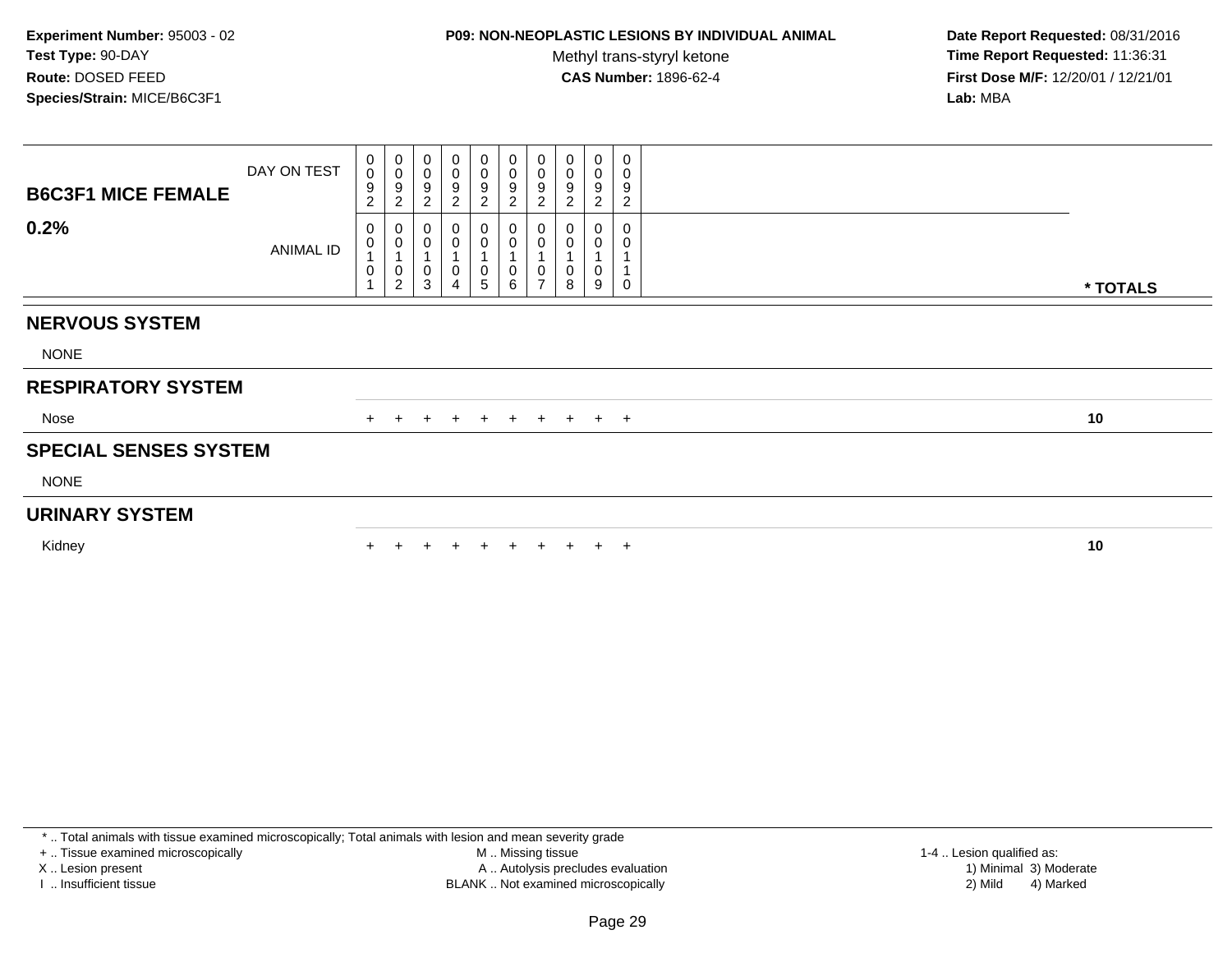## **P09: NON-NEOPLASTIC LESIONS BY INDIVIDUAL ANIMAL**

Methyl trans-styryl ketone<br>CAS Number: 1896-62-4

 **Date Report Requested:** 08/31/2016 **Time Report Requested:** 11:36:31 **First Dose M/F:** 12/20/01 / 12/21/01<br>**Lab:** MBA **Lab:** MBA

| <b>B6C3F1 MICE FEMALE</b>    | DAY ON TEST | 0<br>$\mathbf 0$<br>9<br>$\overline{c}$ | $_{\rm 0}^{\rm 0}$<br>$\boldsymbol{9}$<br>$\overline{c}$                  | 0<br>$\pmb{0}$<br>$\boldsymbol{9}$<br>$\overline{c}$ | $\mathbf 0$<br>$\pmb{0}$<br>$\boldsymbol{9}$<br>$\sqrt{2}$ | $\boldsymbol{0}$<br>$\mathsf 0$<br>$\boldsymbol{9}$<br>$\overline{c}$ | $\overline{0}$<br>$\pmb{0}$<br>$\boldsymbol{9}$<br>$\overline{c}$ | 0<br>$\pmb{0}$<br>9<br>$\overline{c}$   | 0<br>$\pmb{0}$<br>9<br>2 | $\boldsymbol{0}$<br>$\mathbf 0$<br>9<br>$\overline{c}$ | 0<br>0<br>9<br>$\overline{c}$ |          |
|------------------------------|-------------|-----------------------------------------|---------------------------------------------------------------------------|------------------------------------------------------|------------------------------------------------------------|-----------------------------------------------------------------------|-------------------------------------------------------------------|-----------------------------------------|--------------------------|--------------------------------------------------------|-------------------------------|----------|
| 0.2%                         | ANIMAL ID   | 0<br>0<br>0                             | $\pmb{0}$<br>$\mathbf 0$<br>$\overline{A}$<br>$\pmb{0}$<br>$\overline{c}$ | 0<br>$\pmb{0}$<br>$\boldsymbol{0}$<br>3              | 0<br>$\pmb{0}$<br>0<br>$\overline{4}$                      | 0<br>$\pmb{0}$<br>$\pmb{0}$<br>$\overline{5}$                         | 0<br>$\pmb{0}$<br>$\pmb{0}$<br>6                                  | $\boldsymbol{0}$<br>0<br>$\overline{ }$ | 0<br>0<br>8              | 9                                                      | 0<br>0                        | * TOTALS |
| <b>NERVOUS SYSTEM</b>        |             |                                         |                                                                           |                                                      |                                                            |                                                                       |                                                                   |                                         |                          |                                                        |                               |          |
| <b>NONE</b>                  |             |                                         |                                                                           |                                                      |                                                            |                                                                       |                                                                   |                                         |                          |                                                        |                               |          |
| <b>RESPIRATORY SYSTEM</b>    |             |                                         |                                                                           |                                                      |                                                            |                                                                       |                                                                   |                                         |                          |                                                        |                               |          |
| Nose                         |             | $+$                                     | $+$                                                                       | $+$                                                  | $+$                                                        | $+$                                                                   | $+$                                                               |                                         | + + + +                  |                                                        |                               | 10       |
| <b>SPECIAL SENSES SYSTEM</b> |             |                                         |                                                                           |                                                      |                                                            |                                                                       |                                                                   |                                         |                          |                                                        |                               |          |
| <b>NONE</b>                  |             |                                         |                                                                           |                                                      |                                                            |                                                                       |                                                                   |                                         |                          |                                                        |                               |          |
| <b>URINARY SYSTEM</b>        |             |                                         |                                                                           |                                                      |                                                            |                                                                       |                                                                   |                                         |                          |                                                        |                               |          |
| Kidney                       |             |                                         |                                                                           |                                                      |                                                            |                                                                       | $+$                                                               | $+$                                     | $+$                      |                                                        | $+$ $+$                       | 10       |

\* .. Total animals with tissue examined microscopically; Total animals with lesion and mean severity grade

+ .. Tissue examined microscopically

X .. Lesion present

I .. Insufficient tissue

 M .. Missing tissueA .. Autolysis precludes evaluation

 1-4 .. Lesion qualified as: BLANK .. Not examined microscopically 2) Mild 4) Marked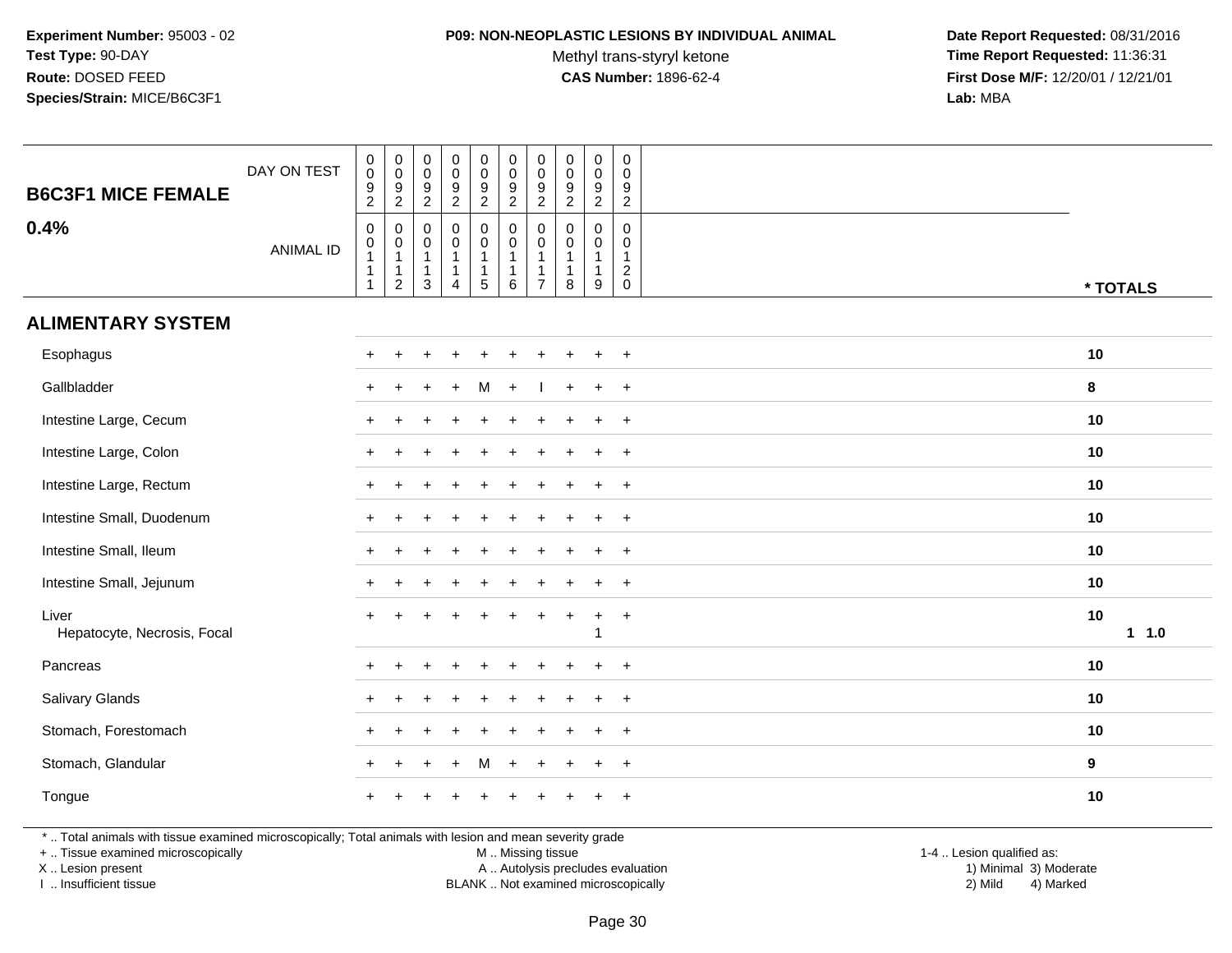#### **P09: NON-NEOPLASTIC LESIONS BY INDIVIDUAL ANIMAL**

Methyl trans-styryl ketone<br>CAS Number: 1896-62-4

 **Date Report Requested:** 08/31/2016 **Time Report Requested:** 11:36:31 **First Dose M/F:** 12/20/01 / 12/21/01<br>Lab: MBA **Lab:** MBA

| <b>B6C3F1 MICE FEMALE</b>                                                                                | DAY ON TEST      | $\pmb{0}$<br>$\pmb{0}$<br>$\boldsymbol{9}$<br>$\boldsymbol{2}$                  | $\pmb{0}$<br>$\mathbf 0$<br>$\frac{9}{2}$                        | 0<br>$\mathbf 0$<br>$\frac{9}{2}$                      | $\pmb{0}$<br>$\pmb{0}$<br>$\frac{9}{2}$                                  | $\pmb{0}$<br>$\mathsf 0$<br>$\frac{9}{2}$                                | $\pmb{0}$<br>$\mathbf 0$<br>$\frac{9}{2}$                   | $\pmb{0}$<br>$\mathbf 0$<br>9<br>$\boldsymbol{2}$                 | $\pmb{0}$<br>$\mathbf 0$<br>$\frac{9}{2}$                       | $\pmb{0}$<br>$\mathbf 0$<br>$\boldsymbol{9}$<br>$\overline{2}$ | $\mathbf 0$<br>$\mathsf{O}\xspace$<br>$\frac{9}{2}$                |             |
|----------------------------------------------------------------------------------------------------------|------------------|---------------------------------------------------------------------------------|------------------------------------------------------------------|--------------------------------------------------------|--------------------------------------------------------------------------|--------------------------------------------------------------------------|-------------------------------------------------------------|-------------------------------------------------------------------|-----------------------------------------------------------------|----------------------------------------------------------------|--------------------------------------------------------------------|-------------|
| 0.4%                                                                                                     | <b>ANIMAL ID</b> | $\boldsymbol{0}$<br>$\pmb{0}$<br>$\mathbf{1}$<br>$\overline{1}$<br>$\mathbf{1}$ | 0<br>$\pmb{0}$<br>$\mathbf{1}$<br>$\mathbf{1}$<br>$\overline{c}$ | 0<br>0<br>$\mathbf{1}$<br>$\mathbf{1}$<br>$\mathbf{3}$ | $\pmb{0}$<br>$\pmb{0}$<br>$\mathbf{1}$<br>$\mathbf{1}$<br>$\overline{4}$ | $\mathbf 0$<br>$\mathbf 0$<br>$\mathbf{1}$<br>$\mathbf{1}$<br>$\sqrt{5}$ | 0<br>$\mathbf 0$<br>$\mathbf{1}$<br>$\mathbf{1}$<br>$\,6\,$ | $\mathbf 0$<br>$\mathbf 0$<br>$\mathbf{1}$<br>1<br>$\overline{7}$ | $\mathbf 0$<br>$\mathbf 0$<br>$\mathbf{1}$<br>$\mathbf{1}$<br>8 | 0<br>0<br>$\mathbf{1}$<br>$\mathbf{1}$<br>9                    | $\mathsf{O}\xspace$<br>$\mathbf 0$<br>$\mathbf{1}$<br>$^2_{\rm 0}$ | * TOTALS    |
| <b>ALIMENTARY SYSTEM</b>                                                                                 |                  |                                                                                 |                                                                  |                                                        |                                                                          |                                                                          |                                                             |                                                                   |                                                                 |                                                                |                                                                    |             |
| Esophagus                                                                                                |                  |                                                                                 |                                                                  |                                                        |                                                                          |                                                                          |                                                             |                                                                   |                                                                 | $\div$                                                         | $^{+}$                                                             | 10          |
| Gallbladder                                                                                              |                  |                                                                                 |                                                                  |                                                        |                                                                          | м                                                                        | $\div$                                                      |                                                                   |                                                                 | $\ddot{}$                                                      | $+$                                                                | 8           |
| Intestine Large, Cecum                                                                                   |                  |                                                                                 |                                                                  |                                                        |                                                                          |                                                                          |                                                             |                                                                   |                                                                 | $\ddot{}$                                                      | $+$                                                                | 10          |
| Intestine Large, Colon                                                                                   |                  |                                                                                 |                                                                  |                                                        |                                                                          |                                                                          |                                                             |                                                                   |                                                                 |                                                                | $\overline{+}$                                                     | 10          |
| Intestine Large, Rectum                                                                                  |                  |                                                                                 |                                                                  |                                                        |                                                                          |                                                                          |                                                             |                                                                   |                                                                 | $\ddot{}$                                                      | $+$                                                                | 10          |
| Intestine Small, Duodenum                                                                                |                  |                                                                                 |                                                                  |                                                        |                                                                          |                                                                          |                                                             |                                                                   |                                                                 |                                                                | $\overline{+}$                                                     | 10          |
| Intestine Small, Ileum                                                                                   |                  |                                                                                 |                                                                  |                                                        |                                                                          |                                                                          |                                                             |                                                                   |                                                                 |                                                                | $\overline{+}$                                                     | 10          |
| Intestine Small, Jejunum                                                                                 |                  |                                                                                 |                                                                  |                                                        |                                                                          |                                                                          |                                                             |                                                                   |                                                                 |                                                                | $\overline{+}$                                                     | 10          |
| Liver<br>Hepatocyte, Necrosis, Focal                                                                     |                  |                                                                                 |                                                                  |                                                        |                                                                          |                                                                          |                                                             |                                                                   |                                                                 | $\ddot{}$<br>-1                                                | $\overline{+}$                                                     | 10<br>1 1.0 |
| Pancreas                                                                                                 |                  | $\pm$                                                                           |                                                                  |                                                        |                                                                          |                                                                          |                                                             |                                                                   |                                                                 | $\ddot{}$                                                      | $+$                                                                | 10          |
| Salivary Glands                                                                                          |                  |                                                                                 |                                                                  |                                                        |                                                                          |                                                                          |                                                             |                                                                   |                                                                 | $\ddot{}$                                                      | $\ddot{}$                                                          | 10          |
| Stomach, Forestomach                                                                                     |                  |                                                                                 |                                                                  |                                                        |                                                                          |                                                                          |                                                             |                                                                   |                                                                 | $\ddot{}$                                                      | $\overline{+}$                                                     | 10          |
| Stomach, Glandular                                                                                       |                  |                                                                                 |                                                                  |                                                        |                                                                          | М                                                                        |                                                             |                                                                   |                                                                 | $\ddot{}$                                                      | $+$                                                                | 9           |
| Tongue                                                                                                   |                  |                                                                                 |                                                                  |                                                        |                                                                          |                                                                          |                                                             |                                                                   |                                                                 |                                                                | $\ddot{}$                                                          | 10          |
| *  Total animals with tissue examined microscopically; Total animals with lesion and mean severity grade |                  |                                                                                 |                                                                  |                                                        |                                                                          |                                                                          |                                                             |                                                                   |                                                                 |                                                                |                                                                    |             |

+ .. Tissue examined microscopically

X .. Lesion present

I .. Insufficient tissue

M .. Missing tissue

BLANK .. Not examined microscopically

 1-4 .. Lesion qualified as: A .. Autolysis precludes evaluation 19 and 10 minimal 3) Moderate 1 and 20 minimal 3) Moderate 19 minimal 3) Moderat<br>19 and 19 and 19 and 19 and 19 and 19 and 19 and 19 and 19 and 19 and 19 and 19 and 19 and 19 and 19 and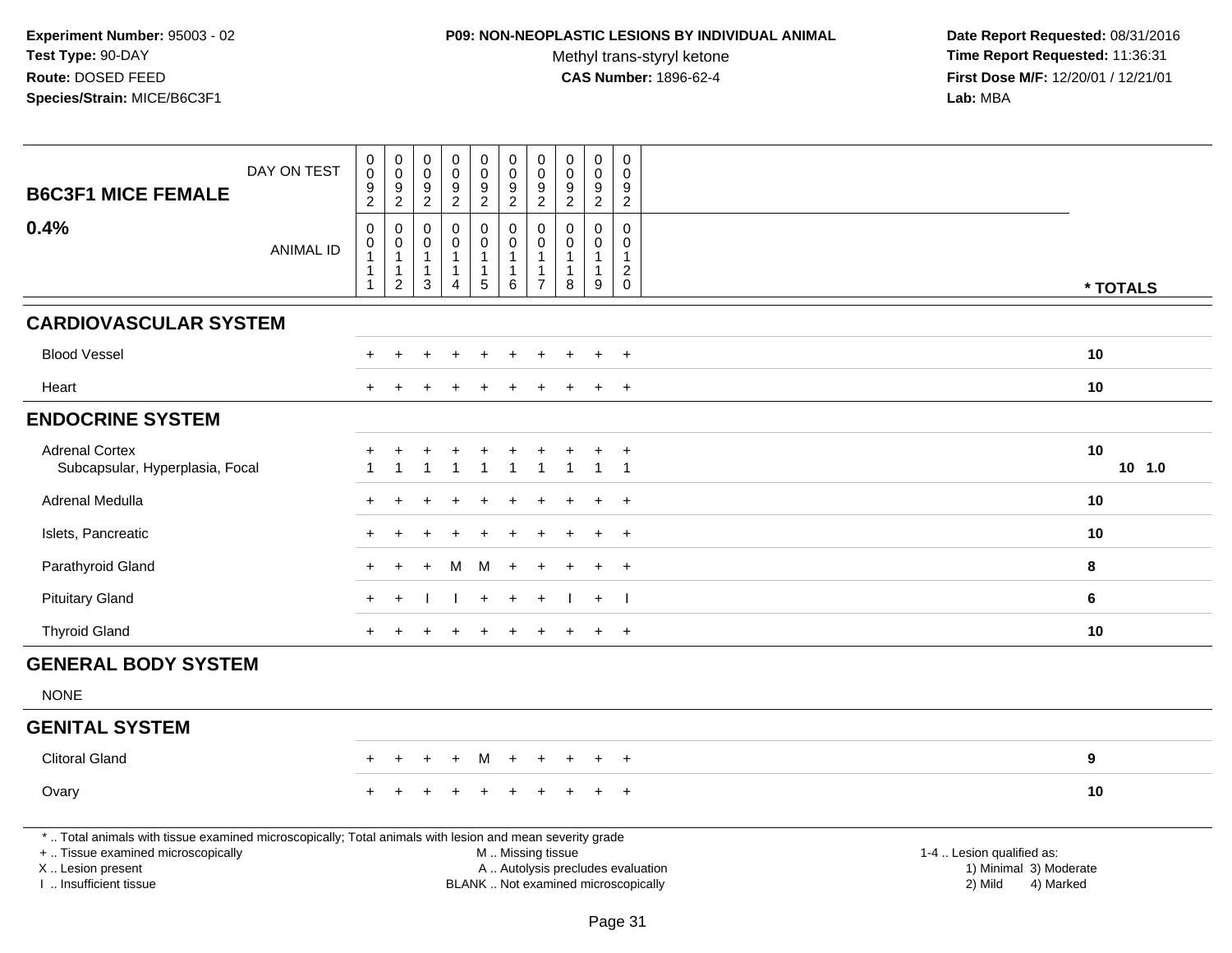### **P09: NON-NEOPLASTIC LESIONS BY INDIVIDUAL ANIMAL**

Methyl trans-styryl ketone<br>CAS Number: 1896-62-4

| <b>B6C3F1 MICE FEMALE</b>                                                                                                                                                                     | DAY ON TEST      | $\begin{smallmatrix} 0\\0 \end{smallmatrix}$<br>$\frac{9}{2}$ | $_{\rm 0}^{\rm 0}$<br>$\frac{9}{2}$                                | $\pmb{0}$<br>$\overline{0}$<br>$\frac{9}{2}$                                 | $\boldsymbol{0}$<br>$\ddot{\mathbf{0}}$<br>$\boldsymbol{9}$<br>$\overline{2}$ | $_{\rm 0}^{\rm 0}$<br>$\frac{9}{2}$                             | $\begin{smallmatrix} 0\\0 \end{smallmatrix}$<br>$\frac{9}{2}$ | $\mathbf 0$<br>$\mathbf 0$<br>9<br>$\overline{2}$ | $\begin{smallmatrix} 0\\0 \end{smallmatrix}$<br>$\frac{9}{2}$ | 0<br>$\mathbf 0$<br>$\boldsymbol{9}$<br>$\overline{2}$    | $\mathsf{O}\xspace$<br>$\mathbf 0$<br>$9\,$<br>$\overline{2}$               |                                                                                                                                                         |  |
|-----------------------------------------------------------------------------------------------------------------------------------------------------------------------------------------------|------------------|---------------------------------------------------------------|--------------------------------------------------------------------|------------------------------------------------------------------------------|-------------------------------------------------------------------------------|-----------------------------------------------------------------|---------------------------------------------------------------|---------------------------------------------------|---------------------------------------------------------------|-----------------------------------------------------------|-----------------------------------------------------------------------------|---------------------------------------------------------------------------------------------------------------------------------------------------------|--|
| 0.4%                                                                                                                                                                                          | <b>ANIMAL ID</b> | $\pmb{0}$<br>$\pmb{0}$<br>1<br>1<br>$\mathbf{1}$              | $\mathbf 0$<br>0<br>$\mathbf{1}$<br>$\mathbf{1}$<br>$\overline{2}$ | $\mathbf 0$<br>$\mathbf 0$<br>$\overline{1}$<br>$\mathbf{1}$<br>$\mathbf{3}$ | $\mathbf 0$<br>$\mathbf 0$<br>1<br>4                                          | $\mathbf 0$<br>$\mathbf 0$<br>$\mathbf{1}$<br>$\mathbf{1}$<br>5 | $\pmb{0}$<br>$\mathsf 0$<br>$\mathbf{1}$<br>1<br>$\,6\,$      | $\Omega$<br>$\Omega$<br>-1<br>$\overline{7}$      | $\mathbf 0$<br>0<br>$\mathbf{1}$<br>$\mathbf{1}$<br>8         | 0<br>$\mathbf 0$<br>$\mathbf{1}$<br>1<br>$\boldsymbol{9}$ | $\mathbf 0$<br>$\mathbf 0$<br>$\mathbf{1}$<br>$\overline{c}$<br>$\mathbf 0$ | * TOTALS                                                                                                                                                |  |
| <b>CARDIOVASCULAR SYSTEM</b>                                                                                                                                                                  |                  |                                                               |                                                                    |                                                                              |                                                                               |                                                                 |                                                               |                                                   |                                                               |                                                           |                                                                             |                                                                                                                                                         |  |
| <b>Blood Vessel</b>                                                                                                                                                                           |                  |                                                               |                                                                    |                                                                              |                                                                               |                                                                 |                                                               |                                                   |                                                               |                                                           |                                                                             | 10                                                                                                                                                      |  |
| Heart                                                                                                                                                                                         |                  |                                                               |                                                                    |                                                                              |                                                                               |                                                                 |                                                               |                                                   |                                                               | +                                                         | $\ddot{}$                                                                   | 10                                                                                                                                                      |  |
| <b>ENDOCRINE SYSTEM</b>                                                                                                                                                                       |                  |                                                               |                                                                    |                                                                              |                                                                               |                                                                 |                                                               |                                                   |                                                               |                                                           |                                                                             |                                                                                                                                                         |  |
| <b>Adrenal Cortex</b><br>Subcapsular, Hyperplasia, Focal                                                                                                                                      |                  | -1                                                            | -1                                                                 | $\mathbf 1$                                                                  | $\ddot{}$<br>$\mathbf 1$                                                      | $\overline{1}$                                                  | $\mathbf{1}$                                                  | $\mathbf 1$                                       | $\overline{1}$                                                | $\overline{1}$                                            | $\overline{+}$<br>$\overline{1}$                                            | 10<br>$10$ $1.0$                                                                                                                                        |  |
| Adrenal Medulla                                                                                                                                                                               |                  |                                                               |                                                                    |                                                                              |                                                                               |                                                                 |                                                               |                                                   |                                                               |                                                           | $+$                                                                         | 10                                                                                                                                                      |  |
| Islets, Pancreatic                                                                                                                                                                            |                  |                                                               |                                                                    |                                                                              |                                                                               |                                                                 |                                                               |                                                   |                                                               | ÷                                                         | $+$                                                                         | 10                                                                                                                                                      |  |
| Parathyroid Gland                                                                                                                                                                             |                  |                                                               |                                                                    |                                                                              | м                                                                             | M                                                               |                                                               |                                                   |                                                               |                                                           | $\ddot{}$                                                                   | 8                                                                                                                                                       |  |
| <b>Pituitary Gland</b>                                                                                                                                                                        |                  |                                                               |                                                                    |                                                                              |                                                                               |                                                                 |                                                               |                                                   |                                                               | $+$                                                       | $\blacksquare$                                                              | 6                                                                                                                                                       |  |
| <b>Thyroid Gland</b>                                                                                                                                                                          |                  |                                                               |                                                                    |                                                                              |                                                                               |                                                                 |                                                               |                                                   |                                                               | $+$                                                       | $+$                                                                         | 10                                                                                                                                                      |  |
| <b>GENERAL BODY SYSTEM</b>                                                                                                                                                                    |                  |                                                               |                                                                    |                                                                              |                                                                               |                                                                 |                                                               |                                                   |                                                               |                                                           |                                                                             |                                                                                                                                                         |  |
| <b>NONE</b>                                                                                                                                                                                   |                  |                                                               |                                                                    |                                                                              |                                                                               |                                                                 |                                                               |                                                   |                                                               |                                                           |                                                                             |                                                                                                                                                         |  |
| <b>GENITAL SYSTEM</b>                                                                                                                                                                         |                  |                                                               |                                                                    |                                                                              |                                                                               |                                                                 |                                                               |                                                   |                                                               |                                                           |                                                                             |                                                                                                                                                         |  |
| <b>Clitoral Gland</b>                                                                                                                                                                         |                  |                                                               |                                                                    |                                                                              |                                                                               |                                                                 |                                                               |                                                   |                                                               |                                                           |                                                                             | 9                                                                                                                                                       |  |
| Ovary                                                                                                                                                                                         |                  |                                                               |                                                                    |                                                                              |                                                                               |                                                                 |                                                               |                                                   |                                                               |                                                           | $+$                                                                         | 10                                                                                                                                                      |  |
| *  Total animals with tissue examined microscopically; Total animals with lesion and mean severity grade<br>+  Tissue examined microscopically<br>X  Lesion present<br>I  Insufficient tissue |                  |                                                               |                                                                    |                                                                              |                                                                               |                                                                 |                                                               |                                                   | M  Missing tissue                                             |                                                           |                                                                             | 1-4  Lesion qualified as:<br>1) Minimal 3) Moderate<br>A  Autolysis precludes evaluation<br>BLANK  Not examined microscopically<br>2) Mild<br>4) Marked |  |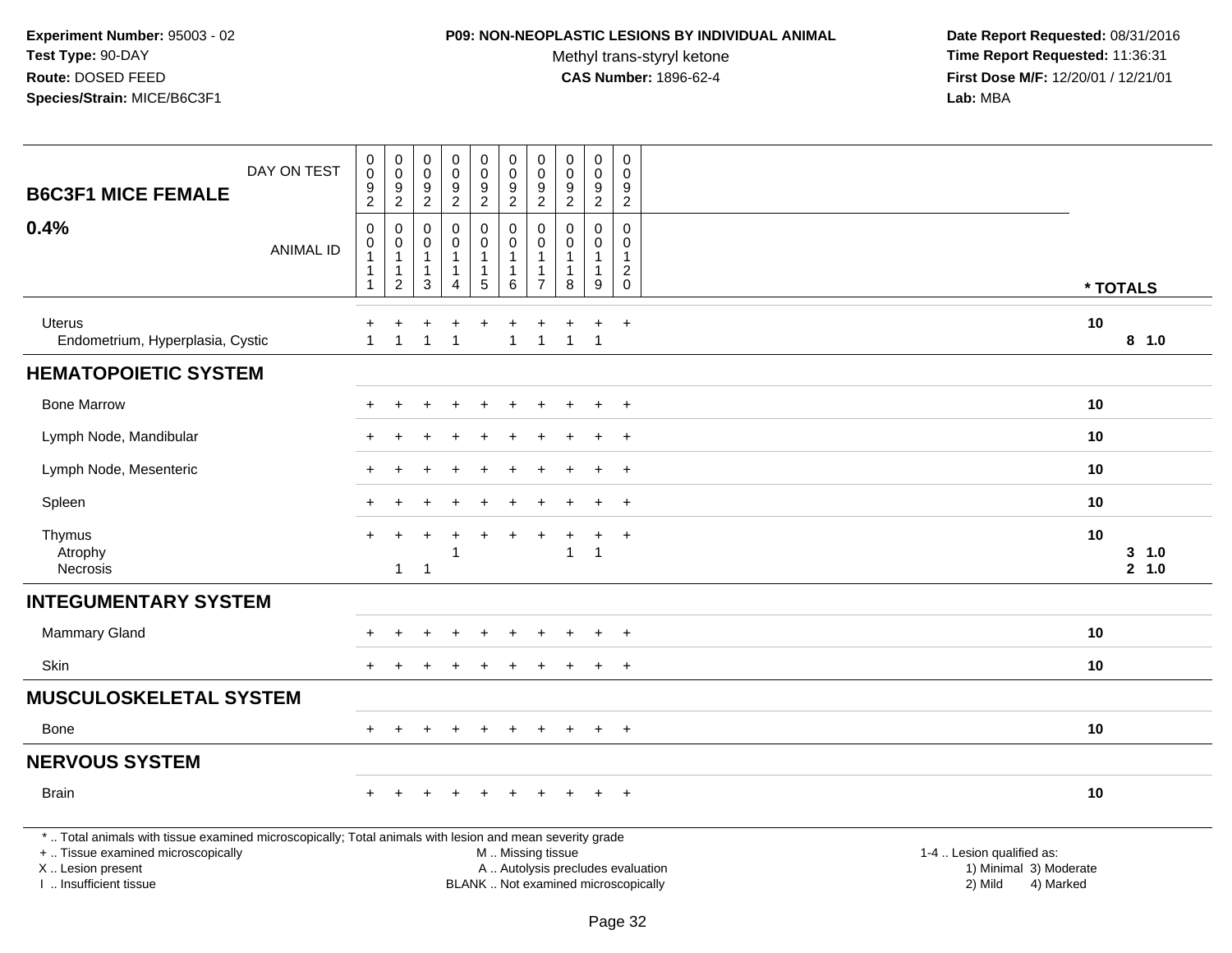### **P09: NON-NEOPLASTIC LESIONS BY INDIVIDUAL ANIMAL**

Methyl trans-styryl ketone<br>CAS Number: 1896-62-4

| DAY ON TEST<br><b>B6C3F1 MICE FEMALE</b>                                                                                                                                                      | $\pmb{0}$<br>$\overline{0}$<br>$\boldsymbol{9}$<br>$\overline{2}$                      | $\pmb{0}$<br>$\mathsf{O}\xspace$<br>$9\,$<br>2                   | $\pmb{0}$<br>$\mathsf 0$<br>$\boldsymbol{9}$<br>2    | $\pmb{0}$<br>$\ddot{\mathbf{0}}$<br>$\boldsymbol{9}$<br>$\overline{2}$      | $\mathbf 0$<br>$\ddot{\mathbf{0}}$<br>$\frac{9}{2}$                          | $\pmb{0}$<br>$\ddot{\mathbf{0}}$<br>$\frac{9}{2}$ | $\pmb{0}$<br>$\pmb{0}$<br>$\frac{9}{2}$                              | $\pmb{0}$<br>$\mathsf{O}\xspace$<br>$\frac{9}{2}$                        | $\pmb{0}$<br>$\mathbf 0$<br>$\boldsymbol{9}$<br>$\overline{2}$ | $\,0\,$<br>$\mathbf 0$<br>$\boldsymbol{9}$<br>$\overline{2}$ |                                                                             |  |
|-----------------------------------------------------------------------------------------------------------------------------------------------------------------------------------------------|----------------------------------------------------------------------------------------|------------------------------------------------------------------|------------------------------------------------------|-----------------------------------------------------------------------------|------------------------------------------------------------------------------|---------------------------------------------------|----------------------------------------------------------------------|--------------------------------------------------------------------------|----------------------------------------------------------------|--------------------------------------------------------------|-----------------------------------------------------------------------------|--|
| 0.4%<br><b>ANIMAL ID</b>                                                                                                                                                                      | $\boldsymbol{0}$<br>$\begin{smallmatrix}0\\1\end{smallmatrix}$<br>-1<br>$\overline{1}$ | 0<br>$\pmb{0}$<br>$\mathbf{1}$<br>$\mathbf{1}$<br>$\overline{c}$ | $\mathbf 0$<br>$\mathbf 0$<br>$\mathbf{1}$<br>1<br>3 | 0<br>$\mathsf 0$<br>$\mathbf{1}$<br>$\mathbf{1}$<br>$\overline{\mathbf{4}}$ | $\mathsf 0$<br>$\mathbf 0$<br>$\mathbf{1}$<br>$\mathbf{1}$<br>$\overline{5}$ | 0<br>$\pmb{0}$<br>1<br>1<br>6                     | 0<br>$\mathbf 0$<br>$\mathbf{1}$<br>$\overline{1}$<br>$\overline{7}$ | $\mathbf 0$<br>$\pmb{0}$<br>$\mathbf{1}$<br>$\mathbf{1}$<br>8            | $\mathbf 0$<br>0<br>$\mathbf 1$<br>1<br>9                      | $\mathbf 0$<br>$\pmb{0}$<br>$\mathbf{1}$<br>$^2_{\rm 0}$     | * TOTALS                                                                    |  |
| <b>Uterus</b><br>Endometrium, Hyperplasia, Cystic                                                                                                                                             | $\mathbf{1}$                                                                           | +<br>$\mathbf{1}$                                                | $\overline{1}$                                       | $\ddot{}$<br>$\mathbf{1}$                                                   | $\ddot{}$                                                                    | $\ddot{}$<br>$\mathbf{1}$                         | $\overline{1}$                                                       | $\overline{1}$                                                           | $\ddot{}$<br>$\overline{1}$                                    | $\ddot{}$                                                    | 10<br>8 1.0                                                                 |  |
| <b>HEMATOPOIETIC SYSTEM</b>                                                                                                                                                                   |                                                                                        |                                                                  |                                                      |                                                                             |                                                                              |                                                   |                                                                      |                                                                          |                                                                |                                                              |                                                                             |  |
| <b>Bone Marrow</b>                                                                                                                                                                            |                                                                                        | $\div$                                                           |                                                      |                                                                             | $\div$                                                                       | $\ddot{}$                                         |                                                                      |                                                                          | $\ddot{}$                                                      | $\overline{+}$                                               | 10                                                                          |  |
| Lymph Node, Mandibular                                                                                                                                                                        |                                                                                        |                                                                  |                                                      |                                                                             |                                                                              |                                                   |                                                                      |                                                                          | $\ddot{}$                                                      | $\ddot{}$                                                    | 10                                                                          |  |
| Lymph Node, Mesenteric                                                                                                                                                                        |                                                                                        |                                                                  |                                                      |                                                                             |                                                                              |                                                   |                                                                      |                                                                          | $\ddot{}$                                                      | $\ddot{}$                                                    | 10                                                                          |  |
| Spleen                                                                                                                                                                                        |                                                                                        |                                                                  |                                                      |                                                                             |                                                                              |                                                   |                                                                      |                                                                          |                                                                | $\overline{+}$                                               | 10                                                                          |  |
| Thymus<br>Atrophy<br><b>Necrosis</b>                                                                                                                                                          | $+$                                                                                    | $\div$<br>$\mathbf{1}$                                           | $\overline{1}$                                       | -1                                                                          |                                                                              |                                                   |                                                                      | 1                                                                        | ÷<br>1                                                         | $\ddot{}$                                                    | 10<br>$3 - 1.0$<br>2, 1.0                                                   |  |
| <b>INTEGUMENTARY SYSTEM</b>                                                                                                                                                                   |                                                                                        |                                                                  |                                                      |                                                                             |                                                                              |                                                   |                                                                      |                                                                          |                                                                |                                                              |                                                                             |  |
| <b>Mammary Gland</b>                                                                                                                                                                          |                                                                                        |                                                                  |                                                      | $\ddot{}$                                                                   | $\ddot{}$                                                                    | $\ddot{}$                                         |                                                                      |                                                                          | $\ddot{}$                                                      | $+$                                                          | 10                                                                          |  |
| <b>Skin</b>                                                                                                                                                                                   |                                                                                        |                                                                  |                                                      |                                                                             |                                                                              |                                                   |                                                                      |                                                                          | $\ddot{}$                                                      | $\overline{+}$                                               | 10                                                                          |  |
| <b>MUSCULOSKELETAL SYSTEM</b>                                                                                                                                                                 |                                                                                        |                                                                  |                                                      |                                                                             |                                                                              |                                                   |                                                                      |                                                                          |                                                                |                                                              |                                                                             |  |
| Bone                                                                                                                                                                                          | $+$                                                                                    | $\ddot{}$                                                        |                                                      | $\pm$                                                                       | $\pm$                                                                        | $\div$                                            | $\pm$                                                                |                                                                          | $\ddot{}$                                                      | $^{+}$                                                       | 10                                                                          |  |
| <b>NERVOUS SYSTEM</b>                                                                                                                                                                         |                                                                                        |                                                                  |                                                      |                                                                             |                                                                              |                                                   |                                                                      |                                                                          |                                                                |                                                              |                                                                             |  |
| <b>Brain</b>                                                                                                                                                                                  |                                                                                        |                                                                  |                                                      | $\ddot{}$                                                                   | $\ddot{}$                                                                    | $\ddot{}$                                         |                                                                      |                                                                          | $+$                                                            | $+$                                                          | 10                                                                          |  |
| *  Total animals with tissue examined microscopically; Total animals with lesion and mean severity grade<br>+  Tissue examined microscopically<br>X  Lesion present<br>I. Insufficient tissue |                                                                                        |                                                                  |                                                      |                                                                             |                                                                              | M  Missing tissue                                 |                                                                      | A  Autolysis precludes evaluation<br>BLANK  Not examined microscopically |                                                                |                                                              | 1-4  Lesion qualified as:<br>1) Minimal 3) Moderate<br>2) Mild<br>4) Marked |  |